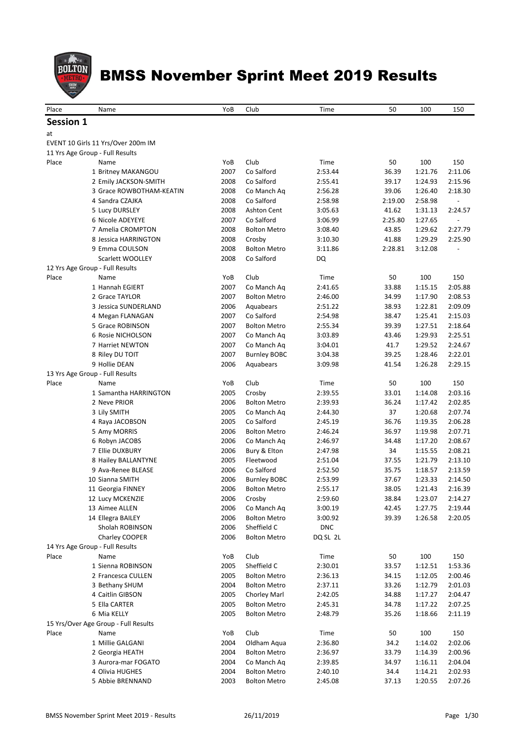

| Place            | Name                                 | YoB  | Club                | Time       | 50      | 100     | 150     |
|------------------|--------------------------------------|------|---------------------|------------|---------|---------|---------|
|                  |                                      |      |                     |            |         |         |         |
| <b>Session 1</b> |                                      |      |                     |            |         |         |         |
| at               |                                      |      |                     |            |         |         |         |
|                  | EVENT 10 Girls 11 Yrs/Over 200m IM   |      |                     |            |         |         |         |
|                  | 11 Yrs Age Group - Full Results      |      |                     |            |         |         |         |
| Place            | Name                                 | YoB  | Club                | Time       | 50      | 100     | 150     |
|                  | 1 Britney MAKANGOU                   | 2007 | Co Salford          | 2:53.44    | 36.39   | 1:21.76 | 2:11.06 |
|                  | 2 Emily JACKSON-SMITH                | 2008 | Co Salford          | 2:55.41    | 39.17   | 1:24.93 | 2:15.96 |
|                  | 3 Grace ROWBOTHAM-KEATIN             | 2008 | Co Manch Aq         | 2:56.28    | 39.06   | 1:26.40 | 2:18.30 |
|                  | 4 Sandra CZAJKA                      | 2008 | Co Salford          | 2:58.98    | 2:19.00 | 2:58.98 |         |
|                  | 5 Lucy DURSLEY                       | 2008 | <b>Ashton Cent</b>  | 3:05.63    | 41.62   | 1:31.13 | 2:24.57 |
|                  | 6 Nicole ADEYEYE                     | 2007 | Co Salford          | 3:06.99    | 2:25.80 | 1:27.65 |         |
|                  | 7 Amelia CROMPTON                    | 2008 | <b>Bolton Metro</b> | 3:08.40    | 43.85   | 1:29.62 | 2:27.79 |
|                  | 8 Jessica HARRINGTON                 | 2008 | Crosby              | 3:10.30    | 41.88   | 1:29.29 | 2:25.90 |
|                  | 9 Emma COULSON                       | 2008 | <b>Bolton Metro</b> | 3:11.86    | 2:28.81 | 3:12.08 |         |
|                  | Scarlett WOOLLEY                     | 2008 | Co Salford          | DQ         |         |         |         |
|                  | 12 Yrs Age Group - Full Results      |      |                     |            |         |         |         |
| Place            | Name                                 | YoB  | Club                | Time       | 50      | 100     | 150     |
|                  | 1 Hannah EGIERT                      | 2007 | Co Manch Ag         | 2:41.65    | 33.88   | 1:15.15 | 2:05.88 |
|                  | 2 Grace TAYLOR                       | 2007 | <b>Bolton Metro</b> | 2:46.00    | 34.99   | 1:17.90 | 2:08.53 |
|                  | 3 Jessica SUNDERLAND                 | 2006 | Aquabears           | 2:51.22    | 38.93   | 1:22.81 | 2:09.09 |
|                  | 4 Megan FLANAGAN                     | 2007 | Co Salford          | 2:54.98    | 38.47   | 1:25.41 | 2:15.03 |
|                  | 5 Grace ROBINSON                     | 2007 | <b>Bolton Metro</b> | 2:55.34    | 39.39   | 1:27.51 | 2:18.64 |
|                  | 6 Rosie NICHOLSON                    | 2007 | Co Manch Ag         | 3:03.89    | 43.46   | 1:29.93 | 2:25.51 |
|                  | 7 Harriet NEWTON                     | 2007 | Co Manch Aq         | 3:04.01    | 41.7    | 1:29.52 | 2:24.67 |
|                  | 8 Riley DU TOIT                      | 2007 | <b>Burnley BOBC</b> | 3:04.38    | 39.25   | 1:28.46 | 2:22.01 |
|                  | 9 Hollie DEAN                        | 2006 | Aquabears           | 3:09.98    | 41.54   | 1:26.28 | 2:29.15 |
|                  | 13 Yrs Age Group - Full Results      |      |                     |            |         |         |         |
| Place            | Name                                 | YoB  | Club                | Time       | 50      | 100     | 150     |
|                  | 1 Samantha HARRINGTON                | 2005 | Crosby              | 2:39.55    | 33.01   | 1:14.08 | 2:03.16 |
|                  | 2 Neve PRIOR                         | 2006 | <b>Bolton Metro</b> | 2:39.93    | 36.24   | 1:17.42 | 2:02.85 |
|                  | 3 Lily SMITH                         | 2005 | Co Manch Aq         | 2:44.30    | 37      | 1:20.68 | 2:07.74 |
|                  | 4 Raya JACOBSON                      | 2005 | Co Salford          | 2:45.19    | 36.76   | 1:19.35 | 2:06.28 |
|                  | 5 Amy MORRIS                         | 2006 | <b>Bolton Metro</b> | 2:46.24    | 36.97   | 1:19.98 | 2:07.71 |
|                  | 6 Robyn JACOBS                       | 2006 | Co Manch Aq         | 2:46.97    | 34.48   | 1:17.20 | 2:08.67 |
|                  | 7 Ellie DUXBURY                      | 2006 | Bury & Elton        | 2:47.98    | 34      | 1:15.55 | 2:08.21 |
|                  | 8 Hailey BALLANTYNE                  | 2005 | Fleetwood           | 2:51.04    | 37.55   | 1:21.79 | 2:13.10 |
|                  | 9 Ava-Renee BLEASE                   | 2006 | Co Salford          | 2:52.50    | 35.75   | 1:18.57 | 2:13.59 |
|                  | 10 Sianna SMITH                      | 2006 | <b>Burnley BOBC</b> | 2:53.99    | 37.67   | 1:23.33 | 2:14.50 |
|                  | 11 Georgia FINNEY                    | 2006 | <b>Bolton Metro</b> | 2:55.17    | 38.05   | 1:21.43 | 2:16.39 |
|                  | 12 Lucy MCKENZIE                     | 2006 | Crosby              | 2:59.60    | 38.84   | 1:23.07 | 2:14.27 |
|                  | 13 Aimee ALLEN                       | 2006 | Co Manch Aq         | 3:00.19    | 42.45   | 1:27.75 | 2:19.44 |
|                  | 14 Ellegra BAILEY                    | 2006 | <b>Bolton Metro</b> | 3:00.92    | 39.39   | 1:26.58 | 2:20.05 |
|                  | Sholah ROBINSON                      | 2006 | Sheffield C         | <b>DNC</b> |         |         |         |
|                  | Charley COOPER                       | 2006 | <b>Bolton Metro</b> | DQ SL 2L   |         |         |         |
|                  | 14 Yrs Age Group - Full Results      |      |                     |            |         |         |         |
| Place            | Name                                 | YoB  | Club                | Time       | 50      | 100     | 150     |
|                  | 1 Sienna ROBINSON                    | 2005 | Sheffield C         | 2:30.01    | 33.57   | 1:12.51 | 1:53.36 |
|                  | 2 Francesca CULLEN                   | 2005 | <b>Bolton Metro</b> | 2:36.13    | 34.15   | 1:12.05 | 2:00.46 |
|                  | 3 Bethany SHUM                       | 2004 | <b>Bolton Metro</b> | 2:37.11    | 33.26   | 1:12.79 | 2:01.03 |
|                  | 4 Caitlin GIBSON                     | 2005 | Chorley Marl        | 2:42.05    | 34.88   | 1:17.27 | 2:04.47 |
|                  | 5 Ella CARTER                        | 2005 | <b>Bolton Metro</b> | 2:45.31    | 34.78   | 1:17.22 | 2:07.25 |
|                  | 6 Mia KELLY                          | 2005 | <b>Bolton Metro</b> | 2:48.79    | 35.26   | 1:18.66 | 2:11.19 |
|                  | 15 Yrs/Over Age Group - Full Results |      |                     |            |         |         |         |
| Place            | Name                                 | YoB  | Club                | Time       | 50      | 100     | 150     |
|                  | 1 Millie GALGANI                     | 2004 | Oldham Aqua         | 2:36.80    | 34.2    | 1:14.02 | 2:02.06 |
|                  | 2 Georgia HEATH                      | 2004 | <b>Bolton Metro</b> | 2:36.97    | 33.79   | 1:14.39 | 2:00.96 |
|                  | 3 Aurora-mar FOGATO                  | 2004 | Co Manch Aq         | 2:39.85    | 34.97   | 1:16.11 | 2:04.04 |
|                  | 4 Olivia HUGHES                      | 2004 | <b>Bolton Metro</b> | 2:40.10    | 34.4    | 1:14.21 | 2:02.93 |
|                  | 5 Abbie BRENNAND                     | 2003 | <b>Bolton Metro</b> | 2:45.08    | 37.13   | 1:20.55 | 2:07.26 |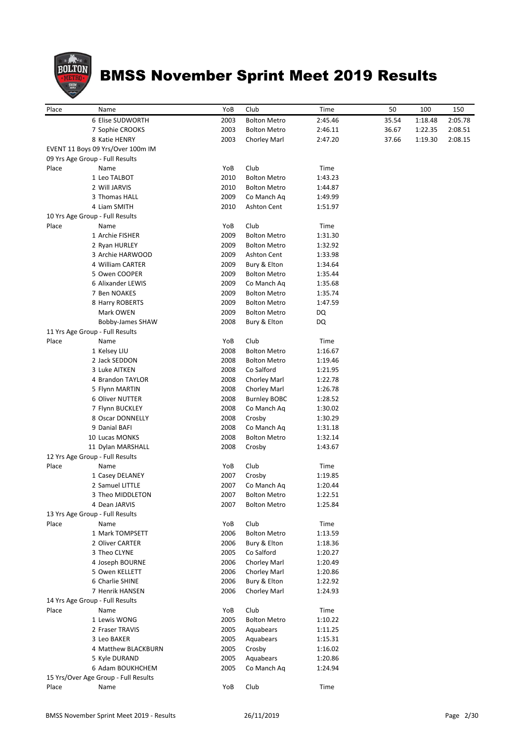

| Place |                                      |      |                     |         |       |         |         |
|-------|--------------------------------------|------|---------------------|---------|-------|---------|---------|
|       | Name                                 | YoB  | Club                | Time    | 50    | 100     | 150     |
|       | 6 Elise SUDWORTH                     | 2003 | <b>Bolton Metro</b> | 2:45.46 | 35.54 | 1:18.48 | 2:05.78 |
|       | 7 Sophie CROOKS                      | 2003 | <b>Bolton Metro</b> | 2:46.11 | 36.67 | 1:22.35 | 2:08.51 |
|       | 8 Katie HENRY                        | 2003 | Chorley Marl        | 2:47.20 | 37.66 | 1:19.30 | 2:08.15 |
|       | EVENT 11 Boys 09 Yrs/Over 100m IM    |      |                     |         |       |         |         |
|       | 09 Yrs Age Group - Full Results      |      |                     |         |       |         |         |
| Place | Name                                 | YoB  | Club                | Time    |       |         |         |
|       | 1 Leo TALBOT                         | 2010 | <b>Bolton Metro</b> | 1:43.23 |       |         |         |
|       | 2 Will JARVIS                        | 2010 | <b>Bolton Metro</b> | 1:44.87 |       |         |         |
|       | 3 Thomas HALL                        | 2009 | Co Manch Aq         | 1:49.99 |       |         |         |
|       | 4 Liam SMITH                         | 2010 | Ashton Cent         | 1:51.97 |       |         |         |
|       | 10 Yrs Age Group - Full Results      |      |                     |         |       |         |         |
| Place | Name                                 | YoB  | Club                | Time    |       |         |         |
|       | 1 Archie FISHER                      | 2009 | <b>Bolton Metro</b> | 1:31.30 |       |         |         |
|       | 2 Ryan HURLEY                        | 2009 | <b>Bolton Metro</b> | 1:32.92 |       |         |         |
|       | 3 Archie HARWOOD                     | 2009 | Ashton Cent         | 1:33.98 |       |         |         |
|       | 4 William CARTER                     | 2009 | Bury & Elton        | 1:34.64 |       |         |         |
|       | 5 Owen COOPER                        | 2009 | <b>Bolton Metro</b> | 1:35.44 |       |         |         |
|       | 6 Alixander LEWIS                    | 2009 | Co Manch Aq         | 1:35.68 |       |         |         |
|       | 7 Ben NOAKES                         | 2009 | <b>Bolton Metro</b> | 1:35.74 |       |         |         |
|       | 8 Harry ROBERTS                      | 2009 | <b>Bolton Metro</b> | 1:47.59 |       |         |         |
|       | Mark OWEN                            | 2009 | <b>Bolton Metro</b> | DQ      |       |         |         |
|       | Bobby-James SHAW                     | 2008 | Bury & Elton        | DQ      |       |         |         |
|       | 11 Yrs Age Group - Full Results      |      |                     |         |       |         |         |
| Place | Name                                 | YoB  | Club                | Time    |       |         |         |
|       | 1 Kelsey LIU                         | 2008 | <b>Bolton Metro</b> | 1:16.67 |       |         |         |
|       | 2 Jack SEDDON                        | 2008 | <b>Bolton Metro</b> | 1:19.46 |       |         |         |
|       | 3 Luke AITKEN                        | 2008 | Co Salford          | 1:21.95 |       |         |         |
|       | 4 Brandon TAYLOR                     | 2008 | Chorley Marl        | 1:22.78 |       |         |         |
|       | 5 Flynn MARTIN                       | 2008 | Chorley Marl        | 1:26.78 |       |         |         |
|       | 6 Oliver NUTTER                      | 2008 | <b>Burnley BOBC</b> | 1:28.52 |       |         |         |
|       | 7 Flynn BUCKLEY                      | 2008 | Co Manch Aq         | 1:30.02 |       |         |         |
|       | 8 Oscar DONNELLY                     | 2008 | Crosby              | 1:30.29 |       |         |         |
|       | 9 Danial BAFI                        | 2008 | Co Manch Aq         | 1:31.18 |       |         |         |
|       | 10 Lucas MONKS                       | 2008 | <b>Bolton Metro</b> | 1:32.14 |       |         |         |
|       | 11 Dylan MARSHALL                    | 2008 | Crosby              | 1:43.67 |       |         |         |
|       | 12 Yrs Age Group - Full Results      |      |                     |         |       |         |         |
| Place | Name                                 | YoB  | Club                | Time    |       |         |         |
|       | 1 Casey DELANEY                      | 2007 | Crosby              | 1:19.85 |       |         |         |
|       | 2 Samuel LITTLE                      | 2007 | Co Manch Ag         | 1:20.44 |       |         |         |
|       | 3 Theo MIDDLETON                     | 2007 | <b>Bolton Metro</b> | 1:22.51 |       |         |         |
|       | 4 Dean JARVIS                        | 2007 | <b>Bolton Metro</b> | 1:25.84 |       |         |         |
|       | 13 Yrs Age Group - Full Results      |      |                     |         |       |         |         |
| Place | Name                                 | YoB  | Club                | Time    |       |         |         |
|       | 1 Mark TOMPSETT                      | 2006 | <b>Bolton Metro</b> | 1:13.59 |       |         |         |
|       | 2 Oliver CARTER                      | 2006 | Bury & Elton        | 1:18.36 |       |         |         |
|       | 3 Theo CLYNE                         | 2005 | Co Salford          | 1:20.27 |       |         |         |
|       | 4 Joseph BOURNE                      | 2006 | Chorley Marl        | 1:20.49 |       |         |         |
|       | 5 Owen KELLETT                       | 2006 | Chorley Marl        | 1:20.86 |       |         |         |
|       | 6 Charlie SHINE                      | 2006 | Bury & Elton        | 1:22.92 |       |         |         |
|       | 7 Henrik HANSEN                      | 2006 | Chorley Marl        | 1:24.93 |       |         |         |
|       | 14 Yrs Age Group - Full Results      |      |                     |         |       |         |         |
| Place | Name                                 | YoB  | Club                | Time    |       |         |         |
|       | 1 Lewis WONG                         | 2005 | <b>Bolton Metro</b> | 1:10.22 |       |         |         |
|       | 2 Fraser TRAVIS                      | 2005 | Aquabears           | 1:11.25 |       |         |         |
|       | 3 Leo BAKER                          | 2005 | Aquabears           | 1:15.31 |       |         |         |
|       | 4 Matthew BLACKBURN                  | 2005 | Crosby              | 1:16.02 |       |         |         |
|       | 5 Kyle DURAND                        | 2005 | Aquabears           | 1:20.86 |       |         |         |
|       | 6 Adam BOUKHCHEM                     | 2005 | Co Manch Aq         | 1:24.94 |       |         |         |
|       | 15 Yrs/Over Age Group - Full Results |      |                     |         |       |         |         |
| Place | Name                                 | YoB  | Club                | Time    |       |         |         |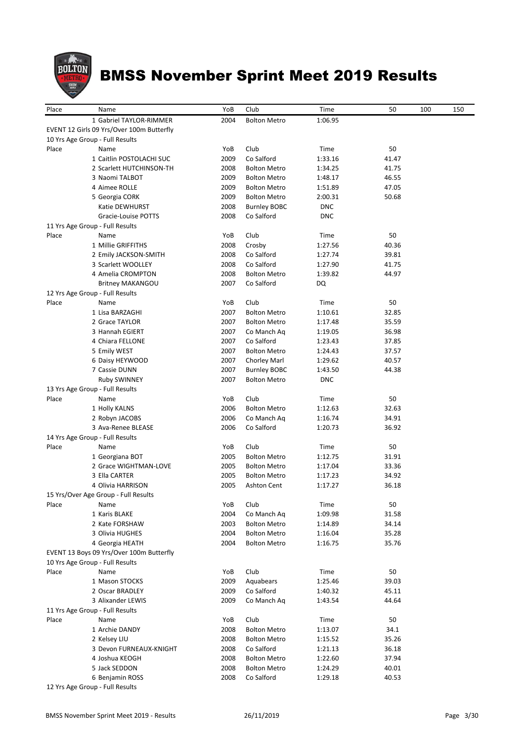

| Place | Name                                      | YoB  | Club                | Time       | 50    | 100 | 150 |
|-------|-------------------------------------------|------|---------------------|------------|-------|-----|-----|
|       | 1 Gabriel TAYLOR-RIMMER                   | 2004 | <b>Bolton Metro</b> | 1:06.95    |       |     |     |
|       | EVENT 12 Girls 09 Yrs/Over 100m Butterfly |      |                     |            |       |     |     |
|       | 10 Yrs Age Group - Full Results           |      |                     |            |       |     |     |
| Place | Name                                      | YoB  | Club                | Time       | 50    |     |     |
|       | 1 Caitlin POSTOLACHI SUC                  | 2009 | Co Salford          | 1:33.16    | 41.47 |     |     |
|       | 2 Scarlett HUTCHINSON-TH                  | 2008 | <b>Bolton Metro</b> | 1:34.25    | 41.75 |     |     |
|       | 3 Naomi TALBOT                            | 2009 | <b>Bolton Metro</b> | 1:48.17    | 46.55 |     |     |
|       | 4 Aimee ROLLE                             | 2009 | <b>Bolton Metro</b> | 1:51.89    | 47.05 |     |     |
|       | 5 Georgia CORK                            | 2009 | <b>Bolton Metro</b> | 2:00.31    | 50.68 |     |     |
|       | Katie DEWHURST                            |      |                     |            |       |     |     |
|       |                                           | 2008 | <b>Burnley BOBC</b> | <b>DNC</b> |       |     |     |
|       | Gracie-Louise POTTS                       | 2008 | Co Salford          | <b>DNC</b> |       |     |     |
|       | 11 Yrs Age Group - Full Results           |      |                     |            |       |     |     |
| Place | Name                                      | YoB  | Club                | Time       | 50    |     |     |
|       | 1 Millie GRIFFITHS                        | 2008 | Crosby              | 1:27.56    | 40.36 |     |     |
|       | 2 Emily JACKSON-SMITH                     | 2008 | Co Salford          | 1:27.74    | 39.81 |     |     |
|       | 3 Scarlett WOOLLEY                        | 2008 | Co Salford          | 1:27.90    | 41.75 |     |     |
|       | 4 Amelia CROMPTON                         | 2008 | <b>Bolton Metro</b> | 1:39.82    | 44.97 |     |     |
|       | <b>Britney MAKANGOU</b>                   | 2007 | Co Salford          | DQ         |       |     |     |
|       | 12 Yrs Age Group - Full Results           |      |                     |            |       |     |     |
| Place | Name                                      | YoB  | Club                | Time       | 50    |     |     |
|       | 1 Lisa BARZAGHI                           | 2007 | <b>Bolton Metro</b> | 1:10.61    | 32.85 |     |     |
|       | 2 Grace TAYLOR                            | 2007 | <b>Bolton Metro</b> | 1:17.48    | 35.59 |     |     |
|       | 3 Hannah EGIERT                           | 2007 | Co Manch Aq         | 1:19.05    | 36.98 |     |     |
|       | 4 Chiara FELLONE                          | 2007 | Co Salford          | 1:23.43    | 37.85 |     |     |
|       | 5 Emily WEST                              | 2007 | <b>Bolton Metro</b> | 1:24.43    | 37.57 |     |     |
|       | 6 Daisy HEYWOOD                           | 2007 | Chorley Marl        | 1:29.62    | 40.57 |     |     |
|       | 7 Cassie DUNN                             | 2007 | <b>Burnley BOBC</b> | 1:43.50    | 44.38 |     |     |
|       |                                           | 2007 |                     | <b>DNC</b> |       |     |     |
|       | <b>Ruby SWINNEY</b>                       |      | <b>Bolton Metro</b> |            |       |     |     |
|       | 13 Yrs Age Group - Full Results           |      |                     |            |       |     |     |
| Place | Name                                      | YoB  | Club                | Time       | 50    |     |     |
|       | 1 Holly KALNS                             | 2006 | <b>Bolton Metro</b> | 1:12.63    | 32.63 |     |     |
|       | 2 Robyn JACOBS                            | 2006 | Co Manch Aq         | 1:16.74    | 34.91 |     |     |
|       | 3 Ava-Renee BLEASE                        | 2006 | Co Salford          | 1:20.73    | 36.92 |     |     |
|       | 14 Yrs Age Group - Full Results           |      |                     |            |       |     |     |
| Place | Name                                      | YoB  | Club                | Time       | 50    |     |     |
|       | 1 Georgiana BOT                           | 2005 | <b>Bolton Metro</b> | 1:12.75    | 31.91 |     |     |
|       | 2 Grace WIGHTMAN-LOVE                     | 2005 | <b>Bolton Metro</b> | 1:17.04    | 33.36 |     |     |
|       | 3 Ella CARTER                             | 2005 | <b>Bolton Metro</b> | 1:17.23    | 34.92 |     |     |
|       | 4 Olivia HARRISON                         | 2005 | <b>Ashton Cent</b>  | 1:17.27    | 36.18 |     |     |
|       | 15 Yrs/Over Age Group - Full Results      |      |                     |            |       |     |     |
| Place | Name                                      | YoB  | Club                | Time       | 50    |     |     |
|       | 1 Karis BLAKE                             | 2004 | Co Manch Aq         | 1:09.98    | 31.58 |     |     |
|       | 2 Kate FORSHAW                            | 2003 | <b>Bolton Metro</b> | 1:14.89    | 34.14 |     |     |
|       | 3 Olivia HUGHES                           | 2004 | <b>Bolton Metro</b> | 1:16.04    | 35.28 |     |     |
|       | 4 Georgia HEATH                           | 2004 | <b>Bolton Metro</b> | 1:16.75    | 35.76 |     |     |
|       | EVENT 13 Boys 09 Yrs/Over 100m Butterfly  |      |                     |            |       |     |     |
|       | 10 Yrs Age Group - Full Results           |      |                     |            |       |     |     |
|       |                                           |      |                     |            |       |     |     |
| Place | Name                                      | YoB  | Club                | Time       | 50    |     |     |
|       | 1 Mason STOCKS                            | 2009 | Aquabears           | 1:25.46    | 39.03 |     |     |
|       | 2 Oscar BRADLEY                           | 2009 | Co Salford          | 1:40.32    | 45.11 |     |     |
|       | 3 Alixander LEWIS                         | 2009 | Co Manch Ag         | 1:43.54    | 44.64 |     |     |
|       | 11 Yrs Age Group - Full Results           |      |                     |            |       |     |     |
| Place | Name                                      | YoB  | Club                | Time       | 50    |     |     |
|       | 1 Archie DANDY                            | 2008 | <b>Bolton Metro</b> | 1:13.07    | 34.1  |     |     |
|       | 2 Kelsey LIU                              | 2008 | <b>Bolton Metro</b> | 1:15.52    | 35.26 |     |     |
|       | 3 Devon FURNEAUX-KNIGHT                   | 2008 | Co Salford          | 1:21.13    | 36.18 |     |     |
|       | 4 Joshua KEOGH                            | 2008 | <b>Bolton Metro</b> | 1:22.60    | 37.94 |     |     |
|       | 5 Jack SEDDON                             | 2008 | <b>Bolton Metro</b> | 1:24.29    | 40.01 |     |     |
|       | 6 Benjamin ROSS                           | 2008 | Co Salford          | 1:29.18    | 40.53 |     |     |
|       | 12 Vrs Age Group - Full Results           |      |                     |            |       |     |     |

12 Yrs Age Group - Full Results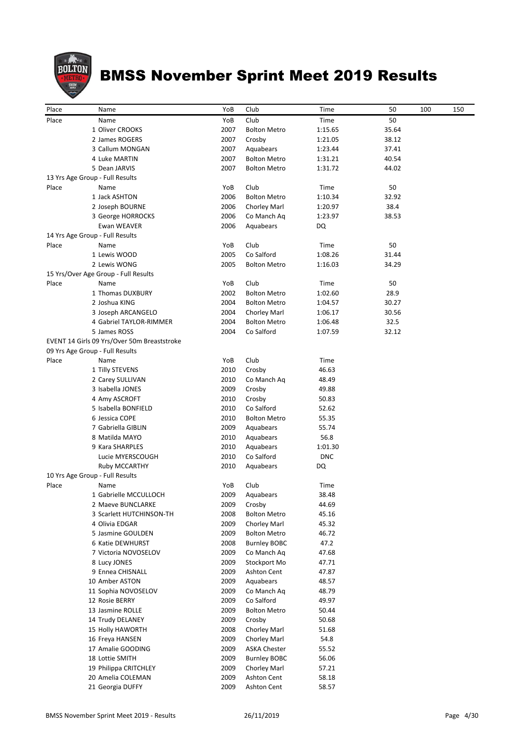

| Place | Name                                        | YoB  | Club                | Time       | 50    | 100 | 150 |
|-------|---------------------------------------------|------|---------------------|------------|-------|-----|-----|
| Place |                                             | YoB  | Club                |            |       |     |     |
|       | Name                                        |      |                     | Time       | 50    |     |     |
|       | 1 Oliver CROOKS                             | 2007 | <b>Bolton Metro</b> | 1:15.65    | 35.64 |     |     |
|       | 2 James ROGERS                              | 2007 | Crosby              | 1:21.05    | 38.12 |     |     |
|       | 3 Callum MONGAN                             | 2007 | Aquabears           | 1:23.44    | 37.41 |     |     |
|       | 4 Luke MARTIN                               | 2007 | <b>Bolton Metro</b> | 1:31.21    | 40.54 |     |     |
|       | 5 Dean JARVIS                               | 2007 | <b>Bolton Metro</b> | 1:31.72    | 44.02 |     |     |
|       | 13 Yrs Age Group - Full Results             |      |                     |            |       |     |     |
| Place | Name                                        | YoB  | Club                | Time       | 50    |     |     |
|       | 1 Jack ASHTON                               | 2006 | <b>Bolton Metro</b> | 1:10.34    | 32.92 |     |     |
|       | 2 Joseph BOURNE                             | 2006 | Chorley Marl        | 1:20.97    | 38.4  |     |     |
|       | 3 George HORROCKS                           | 2006 | Co Manch Aq         | 1:23.97    | 38.53 |     |     |
|       | Ewan WEAVER                                 | 2006 | Aquabears           | DQ         |       |     |     |
|       | 14 Yrs Age Group - Full Results             |      |                     |            |       |     |     |
| Place | Name                                        | YoB  | Club                | Time       | 50    |     |     |
|       | 1 Lewis WOOD                                | 2005 | Co Salford          | 1:08.26    | 31.44 |     |     |
|       | 2 Lewis WONG                                | 2005 | <b>Bolton Metro</b> | 1:16.03    | 34.29 |     |     |
|       | 15 Yrs/Over Age Group - Full Results        |      |                     |            |       |     |     |
| Place | Name                                        | YoB  | Club                | Time       | 50    |     |     |
|       | 1 Thomas DUXBURY                            | 2002 | <b>Bolton Metro</b> | 1:02.60    | 28.9  |     |     |
|       | 2 Joshua KING                               | 2004 | <b>Bolton Metro</b> | 1:04.57    | 30.27 |     |     |
|       | 3 Joseph ARCANGELO                          | 2004 | Chorley Marl        | 1:06.17    | 30.56 |     |     |
|       | 4 Gabriel TAYLOR-RIMMER                     | 2004 | <b>Bolton Metro</b> | 1:06.48    | 32.5  |     |     |
|       | 5 James ROSS                                | 2004 | Co Salford          | 1:07.59    | 32.12 |     |     |
|       | EVENT 14 Girls 09 Yrs/Over 50m Breaststroke |      |                     |            |       |     |     |
|       | 09 Yrs Age Group - Full Results             |      |                     |            |       |     |     |
| Place | Name                                        | YoB  | Club                | Time       |       |     |     |
|       | 1 Tilly STEVENS                             | 2010 | Crosby              | 46.63      |       |     |     |
|       | 2 Carey SULLIVAN                            | 2010 | Co Manch Aq         | 48.49      |       |     |     |
|       | 3 Isabella JONES                            | 2009 | Crosby              | 49.88      |       |     |     |
|       | 4 Amy ASCROFT                               | 2010 | Crosby              | 50.83      |       |     |     |
|       | 5 Isabella BONFIELD                         | 2010 | Co Salford          | 52.62      |       |     |     |
|       | 6 Jessica COPE                              | 2010 | <b>Bolton Metro</b> | 55.35      |       |     |     |
|       | 7 Gabriella GIBLIN                          | 2009 | Aquabears           | 55.74      |       |     |     |
|       | 8 Matilda MAYO                              | 2010 | Aquabears           | 56.8       |       |     |     |
|       | 9 Kara SHARPLES                             | 2010 | Aquabears           | 1:01.30    |       |     |     |
|       | Lucie MYERSCOUGH                            | 2010 | Co Salford          | <b>DNC</b> |       |     |     |
|       | <b>Ruby MCCARTHY</b>                        | 2010 | Aquabears           | DQ         |       |     |     |
|       | 10 Yrs Age Group - Full Results             |      |                     |            |       |     |     |
| Place | Name                                        | YoB  | Club                | Time       |       |     |     |
|       | 1 Gabrielle MCCULLOCH                       | 2009 | Aquabears           | 38.48      |       |     |     |
|       | 2 Maeve BUNCLARKE                           | 2009 | Crosby              | 44.69      |       |     |     |
|       | 3 Scarlett HUTCHINSON-TH                    | 2008 | <b>Bolton Metro</b> | 45.16      |       |     |     |
|       | 4 Olivia EDGAR                              | 2009 | Chorley Marl        | 45.32      |       |     |     |
|       | 5 Jasmine GOULDEN                           | 2009 | <b>Bolton Metro</b> | 46.72      |       |     |     |
|       | 6 Katie DEWHURST                            | 2008 | <b>Burnley BOBC</b> | 47.2       |       |     |     |
|       | 7 Victoria NOVOSELOV                        | 2009 | Co Manch Aq         | 47.68      |       |     |     |
|       | 8 Lucy JONES                                | 2009 | Stockport Mo        | 47.71      |       |     |     |
|       | 9 Ennea CHISNALL                            | 2009 | Ashton Cent         | 47.87      |       |     |     |
|       | 10 Amber ASTON                              | 2009 | Aquabears           | 48.57      |       |     |     |
|       | 11 Sophia NOVOSELOV                         | 2009 | Co Manch Aq         | 48.79      |       |     |     |
|       | 12 Rosie BERRY                              | 2009 | Co Salford          | 49.97      |       |     |     |
|       | 13 Jasmine ROLLE                            | 2009 | <b>Bolton Metro</b> | 50.44      |       |     |     |
|       | 14 Trudy DELANEY                            | 2009 | Crosby              | 50.68      |       |     |     |
|       | 15 Holly HAWORTH                            | 2008 | Chorley Marl        | 51.68      |       |     |     |
|       | 16 Freya HANSEN                             | 2009 | Chorley Marl        | 54.8       |       |     |     |
|       | 17 Amalie GOODING                           | 2009 | <b>ASKA Chester</b> | 55.52      |       |     |     |
|       | 18 Lottie SMITH                             | 2009 | <b>Burnley BOBC</b> | 56.06      |       |     |     |
|       | 19 Philippa CRITCHLEY                       | 2009 | Chorley Marl        | 57.21      |       |     |     |
|       | 20 Amelia COLEMAN                           | 2009 | Ashton Cent         | 58.18      |       |     |     |
|       | 21 Georgia DUFFY                            | 2009 | Ashton Cent         | 58.57      |       |     |     |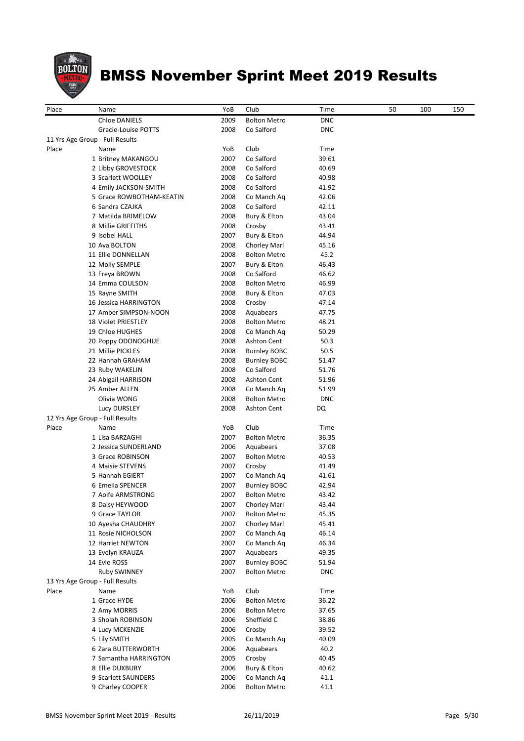

| Place | Name                            | YoB  | Club                | Time       | 50 | 100 | 150 |
|-------|---------------------------------|------|---------------------|------------|----|-----|-----|
|       | Chloe DANIELS                   | 2009 | <b>Bolton Metro</b> | <b>DNC</b> |    |     |     |
|       | Gracie-Louise POTTS             | 2008 | Co Salford          | <b>DNC</b> |    |     |     |
|       | 11 Yrs Age Group - Full Results |      |                     |            |    |     |     |
| Place | Name                            | YoB  | Club                | Time       |    |     |     |
|       | 1 Britney MAKANGOU              | 2007 | Co Salford          | 39.61      |    |     |     |
|       | 2 Libby GROVESTOCK              | 2008 | Co Salford          | 40.69      |    |     |     |
|       | 3 Scarlett WOOLLEY              | 2008 | Co Salford          | 40.98      |    |     |     |
|       | 4 Emily JACKSON-SMITH           | 2008 | Co Salford          | 41.92      |    |     |     |
|       | 5 Grace ROWBOTHAM-KEATIN        | 2008 | Co Manch Aq         | 42.06      |    |     |     |
|       | 6 Sandra CZAJKA                 | 2008 | Co Salford          | 42.11      |    |     |     |
|       | 7 Matilda BRIMELOW              | 2008 | Bury & Elton        | 43.04      |    |     |     |
|       | 8 Millie GRIFFITHS              | 2008 | Crosby              | 43.41      |    |     |     |
|       | 9 Isobel HALL                   | 2007 | Bury & Elton        | 44.94      |    |     |     |
|       | 10 Ava BOLTON                   | 2008 | Chorley Marl        | 45.16      |    |     |     |
|       | 11 Ellie DONNELLAN              | 2008 | <b>Bolton Metro</b> | 45.2       |    |     |     |
|       | 12 Molly SEMPLE                 | 2007 | Bury & Elton        | 46.43      |    |     |     |
|       | 13 Freya BROWN                  | 2008 | Co Salford          | 46.62      |    |     |     |
|       | 14 Emma COULSON                 | 2008 | <b>Bolton Metro</b> | 46.99      |    |     |     |
|       | 15 Rayne SMITH                  | 2008 | Bury & Elton        | 47.03      |    |     |     |
|       | 16 Jessica HARRINGTON           | 2008 | Crosby              | 47.14      |    |     |     |
|       | 17 Amber SIMPSON-NOON           | 2008 | Aquabears           | 47.75      |    |     |     |
|       | 18 Violet PRIESTLEY             | 2008 | <b>Bolton Metro</b> | 48.21      |    |     |     |
|       | 19 Chloe HUGHES                 | 2008 | Co Manch Aq         | 50.29      |    |     |     |
|       | 20 Poppy ODONOGHUE              | 2008 | Ashton Cent         | 50.3       |    |     |     |
|       | 21 Millie PICKLES               | 2008 | <b>Burnley BOBC</b> | 50.5       |    |     |     |
|       | 22 Hannah GRAHAM                | 2008 | <b>Burnley BOBC</b> | 51.47      |    |     |     |
|       | 23 Ruby WAKELIN                 | 2008 | Co Salford          | 51.76      |    |     |     |
|       | 24 Abigail HARRISON             | 2008 | <b>Ashton Cent</b>  | 51.96      |    |     |     |
|       | 25 Amber ALLEN                  | 2008 | Co Manch Aq         | 51.99      |    |     |     |
|       | Olivia WONG                     | 2008 | <b>Bolton Metro</b> | <b>DNC</b> |    |     |     |
|       | Lucy DURSLEY                    | 2008 | <b>Ashton Cent</b>  | DQ         |    |     |     |
|       | 12 Yrs Age Group - Full Results |      |                     |            |    |     |     |
| Place | Name                            | YoB  | Club                | Time       |    |     |     |
|       | 1 Lisa BARZAGHI                 | 2007 | <b>Bolton Metro</b> | 36.35      |    |     |     |
|       | 2 Jessica SUNDERLAND            | 2006 | Aquabears           | 37.08      |    |     |     |
|       | 3 Grace ROBINSON                | 2007 | <b>Bolton Metro</b> | 40.53      |    |     |     |
|       | 4 Maisie STEVENS                | 2007 | Crosby              | 41.49      |    |     |     |
|       | 5 Hannah EGIERT                 | 2007 | Co Manch Aq         | 41.61      |    |     |     |
|       | 6 Emelia SPENCER                | 2007 | <b>Burnley BOBC</b> | 42.94      |    |     |     |
|       | 7 Aoife ARMSTRONG               | 2007 | Bolton Metro        | 43.42      |    |     |     |
|       | 8 Daisy HEYWOOD                 | 2007 | Chorley Marl        | 43.44      |    |     |     |
|       | 9 Grace TAYLOR                  | 2007 | <b>Bolton Metro</b> | 45.35      |    |     |     |
|       | 10 Ayesha CHAUDHRY              | 2007 | Chorley Marl        | 45.41      |    |     |     |
|       | 11 Rosie NICHOLSON              | 2007 | Co Manch Aq         | 46.14      |    |     |     |
|       | 12 Harriet NEWTON               | 2007 | Co Manch Aq         | 46.34      |    |     |     |
|       | 13 Evelyn KRAUZA                | 2007 | Aquabears           | 49.35      |    |     |     |
|       | 14 Evie ROSS                    | 2007 | <b>Burnley BOBC</b> | 51.94      |    |     |     |
|       | Ruby SWINNEY                    | 2007 | <b>Bolton Metro</b> | <b>DNC</b> |    |     |     |
|       | 13 Yrs Age Group - Full Results |      |                     |            |    |     |     |
| Place | Name                            | YoB  | Club                | Time       |    |     |     |
|       | 1 Grace HYDE                    | 2006 | <b>Bolton Metro</b> | 36.22      |    |     |     |
|       | 2 Amy MORRIS                    | 2006 | <b>Bolton Metro</b> | 37.65      |    |     |     |
|       | 3 Sholah ROBINSON               | 2006 | Sheffield C         | 38.86      |    |     |     |
|       | 4 Lucy MCKENZIE                 | 2006 | Crosby              | 39.52      |    |     |     |
|       | 5 Lily SMITH                    | 2005 | Co Manch Aq         | 40.09      |    |     |     |
|       | 6 Zara BUTTERWORTH              | 2006 | Aquabears           | 40.2       |    |     |     |
|       | 7 Samantha HARRINGTON           | 2005 | Crosby              | 40.45      |    |     |     |
|       | 8 Ellie DUXBURY                 | 2006 | Bury & Elton        | 40.62      |    |     |     |
|       | 9 Scarlett SAUNDERS             | 2006 | Co Manch Aq         | 41.1       |    |     |     |
|       | 9 Charley COOPER                | 2006 | <b>Bolton Metro</b> | 41.1       |    |     |     |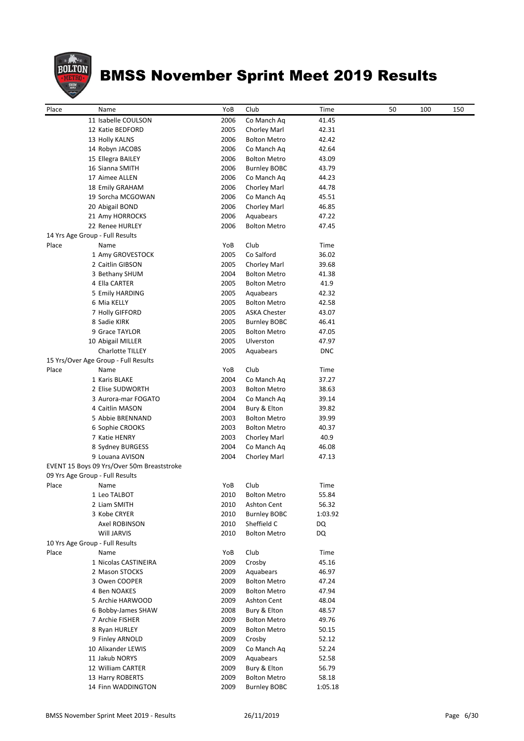

| Place | Name                                       | YoB  | Club                | Time       | 50 | 100 | 150 |
|-------|--------------------------------------------|------|---------------------|------------|----|-----|-----|
|       | 11 Isabelle COULSON                        | 2006 | Co Manch Aq         | 41.45      |    |     |     |
|       | 12 Katie BEDFORD                           | 2005 | Chorley Marl        | 42.31      |    |     |     |
|       | 13 Holly KALNS                             | 2006 | Bolton Metro        | 42.42      |    |     |     |
|       | 14 Robyn JACOBS                            | 2006 | Co Manch Ag         | 42.64      |    |     |     |
|       | 15 Ellegra BAILEY                          | 2006 | Bolton Metro        | 43.09      |    |     |     |
|       | 16 Sianna SMITH                            | 2006 | Burnley BOBC        | 43.79      |    |     |     |
|       | 17 Aimee ALLEN                             | 2006 | Co Manch Aq         | 44.23      |    |     |     |
|       | 18 Emily GRAHAM                            | 2006 | Chorley Marl        | 44.78      |    |     |     |
|       | 19 Sorcha MCGOWAN                          | 2006 | Co Manch Aq         | 45.51      |    |     |     |
|       | 20 Abigail BOND                            | 2006 | Chorley Marl        | 46.85      |    |     |     |
|       | 21 Amy HORROCKS                            | 2006 | Aquabears           | 47.22      |    |     |     |
|       | 22 Renee HURLEY                            | 2006 | <b>Bolton Metro</b> | 47.45      |    |     |     |
|       | 14 Yrs Age Group - Full Results            |      |                     |            |    |     |     |
| Place | Name                                       | YoB  | Club                | Time       |    |     |     |
|       | 1 Amy GROVESTOCK                           | 2005 | Co Salford          | 36.02      |    |     |     |
|       | 2 Caitlin GIBSON                           | 2005 | Chorley Marl        | 39.68      |    |     |     |
|       | 3 Bethany SHUM                             | 2004 | <b>Bolton Metro</b> | 41.38      |    |     |     |
|       | 4 Ella CARTER                              | 2005 | <b>Bolton Metro</b> | 41.9       |    |     |     |
|       | 5 Emily HARDING                            | 2005 | Aquabears           | 42.32      |    |     |     |
|       | 6 Mia KELLY                                | 2005 | <b>Bolton Metro</b> | 42.58      |    |     |     |
|       | 7 Holly GIFFORD                            | 2005 | <b>ASKA Chester</b> | 43.07      |    |     |     |
|       | 8 Sadie KIRK                               | 2005 | Burnley BOBC        | 46.41      |    |     |     |
|       | 9 Grace TAYLOR                             | 2005 | <b>Bolton Metro</b> | 47.05      |    |     |     |
|       | 10 Abigail MILLER                          | 2005 | Ulverston           | 47.97      |    |     |     |
|       | Charlotte TILLEY                           | 2005 | Aquabears           | <b>DNC</b> |    |     |     |
|       | 15 Yrs/Over Age Group - Full Results       |      |                     |            |    |     |     |
| Place | Name                                       | YoB  | Club                | Time       |    |     |     |
|       | 1 Karis BLAKE                              | 2004 | Co Manch Aq         | 37.27      |    |     |     |
|       | 2 Elise SUDWORTH                           | 2003 | Bolton Metro        | 38.63      |    |     |     |
|       | 3 Aurora-mar FOGATO                        | 2004 | Co Manch Aq         | 39.14      |    |     |     |
|       | 4 Caitlin MASON                            | 2004 | Bury & Elton        | 39.82      |    |     |     |
|       | 5 Abbie BRENNAND                           | 2003 | Bolton Metro        | 39.99      |    |     |     |
|       | 6 Sophie CROOKS                            | 2003 | Bolton Metro        | 40.37      |    |     |     |
|       | 7 Katie HENRY                              | 2003 | Chorley Marl        | 40.9       |    |     |     |
|       | 8 Sydney BURGESS                           | 2004 | Co Manch Aq         | 46.08      |    |     |     |
|       | 9 Louana AVISON                            | 2004 | Chorley Marl        | 47.13      |    |     |     |
|       | EVENT 15 Boys 09 Yrs/Over 50m Breaststroke |      |                     |            |    |     |     |
|       | 09 Yrs Age Group - Full Results            |      |                     |            |    |     |     |
| Place | Name                                       | YoB  | Club                | Time       |    |     |     |
|       | 1 Leo TALBOT                               | 2010 | <b>Bolton Metro</b> | 55.84      |    |     |     |
|       | 2 Liam SMITH                               | 2010 | Ashton Cent         | 56.32      |    |     |     |
|       | 3 Kobe CRYER                               | 2010 | <b>Burnley BOBC</b> | 1:03.92    |    |     |     |
|       | Axel ROBINSON                              | 2010 | Sheffield C         | DQ         |    |     |     |
|       | Will JARVIS                                | 2010 | <b>Bolton Metro</b> | DQ         |    |     |     |
|       | 10 Yrs Age Group - Full Results            |      |                     |            |    |     |     |
| Place | Name                                       | YoB  | Club                | Time       |    |     |     |
|       | 1 Nicolas CASTINEIRA                       | 2009 | Crosby              | 45.16      |    |     |     |
|       | 2 Mason STOCKS                             | 2009 | Aquabears           | 46.97      |    |     |     |
|       | 3 Owen COOPER                              | 2009 | <b>Bolton Metro</b> | 47.24      |    |     |     |
|       | 4 Ben NOAKES                               | 2009 | Bolton Metro        | 47.94      |    |     |     |
|       | 5 Archie HARWOOD                           | 2009 | Ashton Cent         | 48.04      |    |     |     |
|       | 6 Bobby-James SHAW                         | 2008 | Bury & Elton        | 48.57      |    |     |     |
|       | 7 Archie FISHER                            | 2009 | Bolton Metro        | 49.76      |    |     |     |
|       | 8 Ryan HURLEY                              | 2009 | Bolton Metro        | 50.15      |    |     |     |
|       | 9 Finley ARNOLD                            | 2009 | Crosby              | 52.12      |    |     |     |
|       | 10 Alixander LEWIS                         | 2009 | Co Manch Aq         | 52.24      |    |     |     |
|       | 11 Jakub NORYS                             | 2009 | Aquabears           | 52.58      |    |     |     |
|       | 12 William CARTER                          | 2009 | Bury & Elton        | 56.79      |    |     |     |
|       | 13 Harry ROBERTS                           | 2009 | <b>Bolton Metro</b> | 58.18      |    |     |     |
|       | 14 Finn WADDINGTON                         | 2009 | <b>Burnley BOBC</b> | 1:05.18    |    |     |     |
|       |                                            |      |                     |            |    |     |     |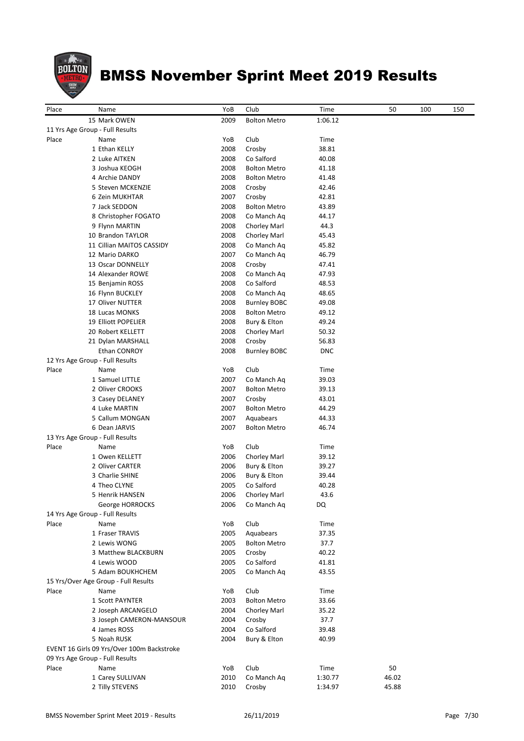

| Place | Name                                       | YoB  | Club                | Time       | 50    | 100 | 150 |
|-------|--------------------------------------------|------|---------------------|------------|-------|-----|-----|
|       | 15 Mark OWEN                               | 2009 | <b>Bolton Metro</b> | 1:06.12    |       |     |     |
|       | 11 Yrs Age Group - Full Results            |      |                     |            |       |     |     |
| Place | Name                                       | YoB  | Club                | Time       |       |     |     |
|       | 1 Ethan KELLY                              | 2008 | Crosby              | 38.81      |       |     |     |
|       | 2 Luke AITKEN                              | 2008 | Co Salford          | 40.08      |       |     |     |
|       |                                            |      |                     |            |       |     |     |
|       | 3 Joshua KEOGH                             | 2008 | <b>Bolton Metro</b> | 41.18      |       |     |     |
|       | 4 Archie DANDY                             | 2008 | <b>Bolton Metro</b> | 41.48      |       |     |     |
|       | 5 Steven MCKENZIE                          | 2008 | Crosby              | 42.46      |       |     |     |
|       | 6 Zein MUKHTAR                             | 2007 | Crosby              | 42.81      |       |     |     |
|       | 7 Jack SEDDON                              | 2008 | <b>Bolton Metro</b> | 43.89      |       |     |     |
|       | 8 Christopher FOGATO                       | 2008 | Co Manch Ag         | 44.17      |       |     |     |
|       | 9 Flynn MARTIN                             | 2008 | Chorley Marl        | 44.3       |       |     |     |
|       | 10 Brandon TAYLOR                          | 2008 | Chorley Marl        | 45.43      |       |     |     |
|       | 11 Cillian MAITOS CASSIDY                  | 2008 | Co Manch Aq         | 45.82      |       |     |     |
|       | 12 Mario DARKO                             | 2007 | Co Manch Aq         | 46.79      |       |     |     |
|       | 13 Oscar DONNELLY                          | 2008 | Crosby              | 47.41      |       |     |     |
|       |                                            |      |                     |            |       |     |     |
|       | 14 Alexander ROWE                          | 2008 | Co Manch Aq         | 47.93      |       |     |     |
|       | 15 Benjamin ROSS                           | 2008 | Co Salford          | 48.53      |       |     |     |
|       | 16 Flynn BUCKLEY                           | 2008 | Co Manch Aq         | 48.65      |       |     |     |
|       | 17 Oliver NUTTER                           | 2008 | <b>Burnley BOBC</b> | 49.08      |       |     |     |
|       | 18 Lucas MONKS                             | 2008 | <b>Bolton Metro</b> | 49.12      |       |     |     |
|       | 19 Elliott POPELIER                        | 2008 | Bury & Elton        | 49.24      |       |     |     |
|       | 20 Robert KELLETT                          | 2008 | <b>Chorley Marl</b> | 50.32      |       |     |     |
|       | 21 Dylan MARSHALL                          | 2008 | Crosby              | 56.83      |       |     |     |
|       | <b>Ethan CONROY</b>                        | 2008 | <b>Burnley BOBC</b> | <b>DNC</b> |       |     |     |
|       | 12 Yrs Age Group - Full Results            |      |                     |            |       |     |     |
| Place |                                            |      | Club                |            |       |     |     |
|       | Name                                       | YoB  |                     | Time       |       |     |     |
|       | 1 Samuel LITTLE                            | 2007 | Co Manch Ag         | 39.03      |       |     |     |
|       | 2 Oliver CROOKS                            | 2007 | <b>Bolton Metro</b> | 39.13      |       |     |     |
|       | 3 Casey DELANEY                            | 2007 | Crosby              | 43.01      |       |     |     |
|       | 4 Luke MARTIN                              | 2007 | <b>Bolton Metro</b> | 44.29      |       |     |     |
|       | 5 Callum MONGAN                            | 2007 | Aquabears           | 44.33      |       |     |     |
|       | 6 Dean JARVIS                              | 2007 | <b>Bolton Metro</b> | 46.74      |       |     |     |
|       | 13 Yrs Age Group - Full Results            |      |                     |            |       |     |     |
| Place | Name                                       | YoB  | Club                | Time       |       |     |     |
|       | 1 Owen KELLETT                             | 2006 | Chorley Marl        | 39.12      |       |     |     |
|       | 2 Oliver CARTER                            | 2006 | Bury & Elton        | 39.27      |       |     |     |
|       | 3 Charlie SHINE                            | 2006 | Bury & Elton        |            |       |     |     |
|       |                                            |      |                     | 39.44      |       |     |     |
|       | 4 Theo CLYNE                               | 2005 | Co Salford          | 40.28      |       |     |     |
|       | 5 Henrik HANSEN                            | 2006 | Chorley Marl        | 43.6       |       |     |     |
|       | George HORROCKS                            | 2006 | Co Manch Aq         | DQ         |       |     |     |
|       | 14 Yrs Age Group - Full Results            |      |                     |            |       |     |     |
| Place | Name                                       | YoB  | Club                | Time       |       |     |     |
|       | 1 Fraser TRAVIS                            | 2005 | Aquabears           | 37.35      |       |     |     |
|       | 2 Lewis WONG                               | 2005 | <b>Bolton Metro</b> | 37.7       |       |     |     |
|       | 3 Matthew BLACKBURN                        | 2005 | Crosby              | 40.22      |       |     |     |
|       | 4 Lewis WOOD                               | 2005 | Co Salford          | 41.81      |       |     |     |
|       | 5 Adam BOUKHCHEM                           | 2005 | Co Manch Aq         | 43.55      |       |     |     |
|       |                                            |      |                     |            |       |     |     |
|       | 15 Yrs/Over Age Group - Full Results       |      |                     |            |       |     |     |
| Place | Name                                       | YoB  | Club                | Time       |       |     |     |
|       | 1 Scott PAYNTER                            | 2003 | <b>Bolton Metro</b> | 33.66      |       |     |     |
|       | 2 Joseph ARCANGELO                         | 2004 | Chorley Marl        | 35.22      |       |     |     |
|       | 3 Joseph CAMERON-MANSOUR                   | 2004 | Crosby              | 37.7       |       |     |     |
|       | 4 James ROSS                               | 2004 | Co Salford          | 39.48      |       |     |     |
|       | 5 Noah RUSK                                | 2004 | Bury & Elton        | 40.99      |       |     |     |
|       | EVENT 16 Girls 09 Yrs/Over 100m Backstroke |      |                     |            |       |     |     |
|       | 09 Yrs Age Group - Full Results            |      |                     |            |       |     |     |
| Place | Name                                       | YoB  | Club                | Time       | 50    |     |     |
|       |                                            |      |                     |            |       |     |     |
|       | 1 Carey SULLIVAN                           | 2010 | Co Manch Aq         | 1:30.77    | 46.02 |     |     |
|       | 2 Tilly STEVENS                            | 2010 | Crosby              | 1:34.97    | 45.88 |     |     |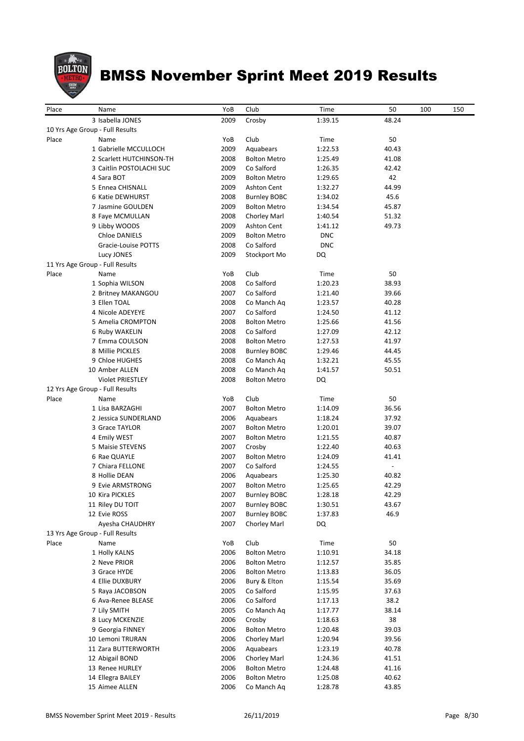

| Place | Name                            | YoB  | Club                | Time       | 50                       | 100 | 150 |
|-------|---------------------------------|------|---------------------|------------|--------------------------|-----|-----|
|       | 3 Isabella JONES                | 2009 | Crosby              | 1:39.15    | 48.24                    |     |     |
|       | 10 Yrs Age Group - Full Results |      |                     |            |                          |     |     |
| Place | Name                            | YoB  | Club                | Time       | 50                       |     |     |
|       | 1 Gabrielle MCCULLOCH           | 2009 | Aquabears           | 1:22.53    | 40.43                    |     |     |
|       | 2 Scarlett HUTCHINSON-TH        | 2008 | <b>Bolton Metro</b> | 1:25.49    | 41.08                    |     |     |
|       | 3 Caitlin POSTOLACHI SUC        | 2009 | Co Salford          | 1:26.35    | 42.42                    |     |     |
|       | 4 Sara BOT                      | 2009 | <b>Bolton Metro</b> | 1:29.65    | 42                       |     |     |
|       | 5 Ennea CHISNALL                | 2009 | Ashton Cent         | 1:32.27    | 44.99                    |     |     |
|       | 6 Katie DEWHURST                | 2008 | <b>Burnley BOBC</b> | 1:34.02    | 45.6                     |     |     |
|       | 7 Jasmine GOULDEN               | 2009 | <b>Bolton Metro</b> | 1:34.54    | 45.87                    |     |     |
|       | 8 Faye MCMULLAN                 | 2008 | Chorley Marl        | 1:40.54    | 51.32                    |     |     |
|       | 9 Libby WOODS                   | 2009 | Ashton Cent         | 1:41.12    | 49.73                    |     |     |
|       | Chloe DANIELS                   | 2009 | <b>Bolton Metro</b> | <b>DNC</b> |                          |     |     |
|       | Gracie-Louise POTTS             | 2008 | Co Salford          | <b>DNC</b> |                          |     |     |
|       | Lucy JONES                      | 2009 | Stockport Mo        | DQ         |                          |     |     |
|       | 11 Yrs Age Group - Full Results |      |                     |            |                          |     |     |
| Place | Name                            | YoB  | Club                | Time       | 50                       |     |     |
|       | 1 Sophia WILSON                 | 2008 | Co Salford          | 1:20.23    | 38.93                    |     |     |
|       | 2 Britney MAKANGOU              | 2007 | Co Salford          | 1:21.40    | 39.66                    |     |     |
|       | 3 Ellen TOAL                    | 2008 | Co Manch Ag         | 1:23.57    | 40.28                    |     |     |
|       | 4 Nicole ADEYEYE                | 2007 | Co Salford          | 1:24.50    | 41.12                    |     |     |
|       | 5 Amelia CROMPTON               | 2008 | <b>Bolton Metro</b> | 1:25.66    | 41.56                    |     |     |
|       | 6 Ruby WAKELIN                  | 2008 | Co Salford          | 1:27.09    | 42.12                    |     |     |
|       | 7 Emma COULSON                  | 2008 | <b>Bolton Metro</b> | 1:27.53    | 41.97                    |     |     |
|       | 8 Millie PICKLES                | 2008 | <b>Burnley BOBC</b> | 1:29.46    | 44.45                    |     |     |
|       | 9 Chloe HUGHES                  | 2008 | Co Manch Aq         | 1:32.21    | 45.55                    |     |     |
|       | 10 Amber ALLEN                  | 2008 | Co Manch Aq         | 1:41.57    | 50.51                    |     |     |
|       | Violet PRIESTLEY                | 2008 | <b>Bolton Metro</b> | DQ         |                          |     |     |
|       | 12 Yrs Age Group - Full Results |      |                     |            |                          |     |     |
| Place | Name                            | YoB  | Club                | Time       | 50                       |     |     |
|       | 1 Lisa BARZAGHI                 | 2007 | <b>Bolton Metro</b> | 1:14.09    | 36.56                    |     |     |
|       | 2 Jessica SUNDERLAND            | 2006 | Aquabears           | 1:18.24    | 37.92                    |     |     |
|       | 3 Grace TAYLOR                  | 2007 | <b>Bolton Metro</b> | 1:20.01    | 39.07                    |     |     |
|       | 4 Emily WEST                    | 2007 | <b>Bolton Metro</b> | 1:21.55    | 40.87                    |     |     |
|       | 5 Maisie STEVENS                | 2007 | Crosby              | 1:22.40    | 40.63                    |     |     |
|       | 6 Rae QUAYLE                    | 2007 | <b>Bolton Metro</b> | 1:24.09    | 41.41                    |     |     |
|       | 7 Chiara FELLONE                | 2007 | Co Salford          | 1:24.55    | $\overline{\phantom{a}}$ |     |     |
|       | 8 Hollie DEAN                   | 2006 | Aquabears           | 1:25.30    | 40.82                    |     |     |
|       | 9 Evie ARMSTRONG                | 2007 | <b>Bolton Metro</b> | 1:25.65    | 42.29                    |     |     |
|       | 10 Kira PICKLES                 | 2007 | <b>Burnley BOBC</b> | 1:28.18    | 42.29                    |     |     |
|       | 11 Riley DU TOIT                | 2007 | <b>Burnley BOBC</b> | 1:30.51    | 43.67                    |     |     |
|       | 12 Evie ROSS                    | 2007 | <b>Burnley BOBC</b> | 1:37.83    | 46.9                     |     |     |
|       | Ayesha CHAUDHRY                 | 2007 | Chorley Marl        | DQ         |                          |     |     |
|       | 13 Yrs Age Group - Full Results |      |                     |            |                          |     |     |
| Place | Name                            | YoB  | Club                | Time       | 50                       |     |     |
|       | 1 Holly KALNS                   | 2006 | <b>Bolton Metro</b> | 1:10.91    | 34.18                    |     |     |
|       | 2 Neve PRIOR                    | 2006 | <b>Bolton Metro</b> | 1:12.57    | 35.85                    |     |     |
|       | 3 Grace HYDE                    | 2006 | <b>Bolton Metro</b> | 1:13.83    | 36.05                    |     |     |
|       | 4 Ellie DUXBURY                 | 2006 | Bury & Elton        | 1:15.54    | 35.69                    |     |     |
|       | 5 Raya JACOBSON                 | 2005 | Co Salford          | 1:15.95    | 37.63                    |     |     |
|       | 6 Ava-Renee BLEASE              | 2006 | Co Salford          | 1:17.13    | 38.2                     |     |     |
|       | 7 Lily SMITH                    | 2005 | Co Manch Aq         | 1:17.77    | 38.14                    |     |     |
|       | 8 Lucy MCKENZIE                 | 2006 | Crosby              | 1:18.63    | 38                       |     |     |
|       | 9 Georgia FINNEY                | 2006 | <b>Bolton Metro</b> | 1:20.48    | 39.03                    |     |     |
|       | 10 Lemoni TRURAN                | 2006 | Chorley Marl        | 1:20.94    | 39.56                    |     |     |
|       | 11 Zara BUTTERWORTH             | 2006 | Aquabears           | 1:23.19    | 40.78                    |     |     |
|       | 12 Abigail BOND                 | 2006 | Chorley Marl        | 1:24.36    | 41.51                    |     |     |
|       | 13 Renee HURLEY                 | 2006 | <b>Bolton Metro</b> | 1:24.48    | 41.16                    |     |     |
|       | 14 Ellegra BAILEY               | 2006 | <b>Bolton Metro</b> | 1:25.08    | 40.62                    |     |     |
|       | 15 Aimee ALLEN                  | 2006 | Co Manch Aq         | 1:28.78    | 43.85                    |     |     |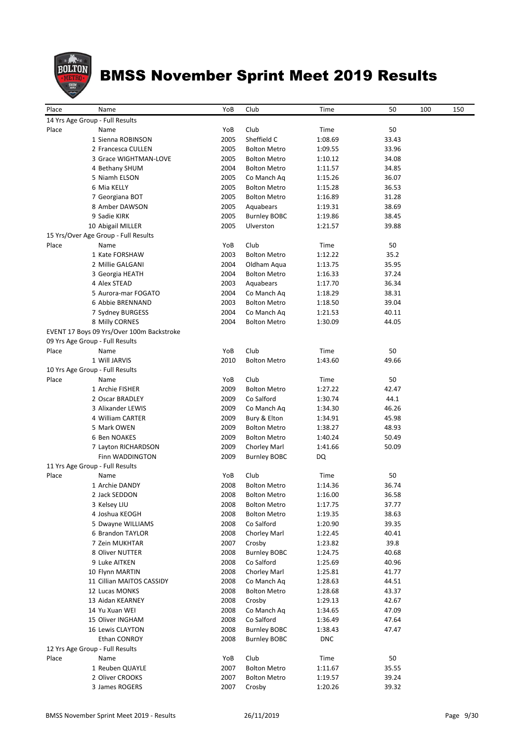

| 14 Yrs Age Group - Full Results<br>Club<br>Time<br>50<br>Place<br>Name<br>YoB<br>Sheffield C<br>1 Sienna ROBINSON<br>2005<br>1:08.69<br>33.43<br>2 Francesca CULLEN<br>2005<br><b>Bolton Metro</b><br>1:09.55<br>33.96<br>2005<br>3 Grace WIGHTMAN-LOVE<br><b>Bolton Metro</b><br>34.08<br>1:10.12<br>2004<br>34.85<br>4 Bethany SHUM<br><b>Bolton Metro</b><br>1:11.57<br>2005<br>36.07<br>5 Niamh ELSON<br>Co Manch Aq<br>1:15.26<br>6 Mia KELLY<br>2005<br>36.53<br><b>Bolton Metro</b><br>1:15.28<br>2005<br><b>Bolton Metro</b><br>31.28<br>7 Georgiana BOT<br>1:16.89<br>2005<br>38.69<br>8 Amber DAWSON<br>Aquabears<br>1:19.31<br>9 Sadie KIRK<br>2005<br><b>Burnley BOBC</b><br>38.45<br>1:19.86<br>10 Abigail MILLER<br>2005<br>Ulverston<br>39.88<br>1:21.57<br>15 Yrs/Over Age Group - Full Results<br>Club<br>YoB<br>50<br>Place<br>Name<br>Time<br>1 Kate FORSHAW<br>2003<br><b>Bolton Metro</b><br>1:12.22<br>35.2<br>2004<br>2 Millie GALGANI<br>1:13.75<br>35.95<br>Oldham Aqua<br>2004<br><b>Bolton Metro</b><br>37.24<br>3 Georgia HEATH<br>1:16.33<br>4 Alex STEAD<br>2003<br>36.34<br>Aquabears<br>1:17.70<br>5 Aurora-mar FOGATO<br>2004<br>Co Manch Aq<br>38.31<br>1:18.29<br><b>6 Abbie BRENNAND</b><br>2003<br><b>Bolton Metro</b><br>39.04<br>1:18.50<br>2004<br>7 Sydney BURGESS<br>Co Manch Aq<br>1:21.53<br>40.11<br>8 Milly CORNES<br>2004<br><b>Bolton Metro</b><br>44.05<br>1:30.09<br>EVENT 17 Boys 09 Yrs/Over 100m Backstroke<br>09 Yrs Age Group - Full Results<br>Club<br>YoB<br>Time<br>50<br>Place<br>Name<br>1 Will JARVIS<br>2010<br><b>Bolton Metro</b><br>1:43.60<br>49.66<br>10 Yrs Age Group - Full Results<br>Place<br>Name<br>YoB<br>Club<br>Time<br>50<br>1 Archie FISHER<br>2009<br><b>Bolton Metro</b><br>1:27.22<br>42.47<br>2 Oscar BRADLEY<br>2009<br>Co Salford<br>44.1<br>1:30.74<br>2009<br>46.26<br>3 Alixander LEWIS<br>Co Manch Aq<br>1:34.30<br>4 William CARTER<br>2009<br>Bury & Elton<br>45.98<br>1:34.91<br>5 Mark OWEN<br>2009<br><b>Bolton Metro</b><br>1:38.27<br>48.93<br>6 Ben NOAKES<br>2009<br>1:40.24<br>50.49<br><b>Bolton Metro</b><br>2009<br>50.09<br>7 Layton RICHARDSON<br>Chorley Marl<br>1:41.66<br>2009<br>DQ<br>Finn WADDINGTON<br><b>Burnley BOBC</b><br>11 Yrs Age Group - Full Results<br>Club<br>Place<br>YoB<br>Time<br>50<br>Name<br>36.74<br>1 Archie DANDY<br>2008<br><b>Bolton Metro</b><br>1:14.36<br>2008<br>2 Jack SEDDON<br>1:16.00<br>36.58<br><b>Bolton Metro</b><br>3 Kelsey LIU<br>2008<br><b>Bolton Metro</b><br>1:17.75<br>37.77<br>4 Joshua KEOGH<br>2008<br><b>Bolton Metro</b><br>38.63<br>1:19.35<br>5 Dwayne WILLIAMS<br>2008<br>Co Salford<br>39.35<br>1:20.90<br>2008<br>Chorley Marl<br>40.41<br>6 Brandon TAYLOR<br>1:22.45<br>7 Zein MUKHTAR<br>2007<br>39.8<br>Crosby<br>1:23.82<br>2008<br><b>Burnley BOBC</b><br>40.68<br>8 Oliver NUTTER<br>1:24.75<br>9 Luke AITKEN<br>2008<br>Co Salford<br>1:25.69<br>40.96<br>10 Flynn MARTIN<br>2008<br>Chorley Marl<br>41.77<br>1:25.81<br>2008<br>11 Cillian MAITOS CASSIDY<br>Co Manch Ag<br>1:28.63<br>44.51<br>2008<br><b>Bolton Metro</b><br>43.37<br>12 Lucas MONKS<br>1:28.68<br>13 Aidan KEARNEY<br>2008<br>42.67<br>Crosby<br>1:29.13<br>2008<br>Co Manch Aq<br>47.09<br>14 Yu Xuan WEI<br>1:34.65<br>15 Oliver INGHAM<br>2008<br>Co Salford<br>47.64<br>1:36.49<br>2008<br><b>Burnley BOBC</b><br>47.47<br>16 Lewis CLAYTON<br>1:38.43<br>2008<br>Ethan CONROY<br><b>Burnley BOBC</b><br><b>DNC</b><br>12 Yrs Age Group - Full Results<br>YoB<br>Club<br>Time<br>50<br>Place<br>Name<br>1 Reuben QUAYLE<br>2007<br><b>Bolton Metro</b><br>35.55<br>1:11.67<br>2 Oliver CROOKS<br>2007<br><b>Bolton Metro</b><br>39.24<br>1:19.57<br>3 James ROGERS<br>2007<br>39.32<br>Crosby<br>1:20.26 | Place | Name | YoB | Club | Time | 50 | 100 | 150 |
|-------------------------------------------------------------------------------------------------------------------------------------------------------------------------------------------------------------------------------------------------------------------------------------------------------------------------------------------------------------------------------------------------------------------------------------------------------------------------------------------------------------------------------------------------------------------------------------------------------------------------------------------------------------------------------------------------------------------------------------------------------------------------------------------------------------------------------------------------------------------------------------------------------------------------------------------------------------------------------------------------------------------------------------------------------------------------------------------------------------------------------------------------------------------------------------------------------------------------------------------------------------------------------------------------------------------------------------------------------------------------------------------------------------------------------------------------------------------------------------------------------------------------------------------------------------------------------------------------------------------------------------------------------------------------------------------------------------------------------------------------------------------------------------------------------------------------------------------------------------------------------------------------------------------------------------------------------------------------------------------------------------------------------------------------------------------------------------------------------------------------------------------------------------------------------------------------------------------------------------------------------------------------------------------------------------------------------------------------------------------------------------------------------------------------------------------------------------------------------------------------------------------------------------------------------------------------------------------------------------------------------------------------------------------------------------------------------------------------------------------------------------------------------------------------------------------------------------------------------------------------------------------------------------------------------------------------------------------------------------------------------------------------------------------------------------------------------------------------------------------------------------------------------------------------------------------------------------------------------------------------------------------------------------------------------------------------------------------------------------------------------------------------------------------------------------------------------------------------------------------------------------------------------------------------------------------------------------------------------------------------------------------------------------------------------------------------------------------------------------------------------------|-------|------|-----|------|------|----|-----|-----|
|                                                                                                                                                                                                                                                                                                                                                                                                                                                                                                                                                                                                                                                                                                                                                                                                                                                                                                                                                                                                                                                                                                                                                                                                                                                                                                                                                                                                                                                                                                                                                                                                                                                                                                                                                                                                                                                                                                                                                                                                                                                                                                                                                                                                                                                                                                                                                                                                                                                                                                                                                                                                                                                                                                                                                                                                                                                                                                                                                                                                                                                                                                                                                                                                                                                                                                                                                                                                                                                                                                                                                                                                                                                                                                                                                             |       |      |     |      |      |    |     |     |
|                                                                                                                                                                                                                                                                                                                                                                                                                                                                                                                                                                                                                                                                                                                                                                                                                                                                                                                                                                                                                                                                                                                                                                                                                                                                                                                                                                                                                                                                                                                                                                                                                                                                                                                                                                                                                                                                                                                                                                                                                                                                                                                                                                                                                                                                                                                                                                                                                                                                                                                                                                                                                                                                                                                                                                                                                                                                                                                                                                                                                                                                                                                                                                                                                                                                                                                                                                                                                                                                                                                                                                                                                                                                                                                                                             |       |      |     |      |      |    |     |     |
|                                                                                                                                                                                                                                                                                                                                                                                                                                                                                                                                                                                                                                                                                                                                                                                                                                                                                                                                                                                                                                                                                                                                                                                                                                                                                                                                                                                                                                                                                                                                                                                                                                                                                                                                                                                                                                                                                                                                                                                                                                                                                                                                                                                                                                                                                                                                                                                                                                                                                                                                                                                                                                                                                                                                                                                                                                                                                                                                                                                                                                                                                                                                                                                                                                                                                                                                                                                                                                                                                                                                                                                                                                                                                                                                                             |       |      |     |      |      |    |     |     |
|                                                                                                                                                                                                                                                                                                                                                                                                                                                                                                                                                                                                                                                                                                                                                                                                                                                                                                                                                                                                                                                                                                                                                                                                                                                                                                                                                                                                                                                                                                                                                                                                                                                                                                                                                                                                                                                                                                                                                                                                                                                                                                                                                                                                                                                                                                                                                                                                                                                                                                                                                                                                                                                                                                                                                                                                                                                                                                                                                                                                                                                                                                                                                                                                                                                                                                                                                                                                                                                                                                                                                                                                                                                                                                                                                             |       |      |     |      |      |    |     |     |
|                                                                                                                                                                                                                                                                                                                                                                                                                                                                                                                                                                                                                                                                                                                                                                                                                                                                                                                                                                                                                                                                                                                                                                                                                                                                                                                                                                                                                                                                                                                                                                                                                                                                                                                                                                                                                                                                                                                                                                                                                                                                                                                                                                                                                                                                                                                                                                                                                                                                                                                                                                                                                                                                                                                                                                                                                                                                                                                                                                                                                                                                                                                                                                                                                                                                                                                                                                                                                                                                                                                                                                                                                                                                                                                                                             |       |      |     |      |      |    |     |     |
|                                                                                                                                                                                                                                                                                                                                                                                                                                                                                                                                                                                                                                                                                                                                                                                                                                                                                                                                                                                                                                                                                                                                                                                                                                                                                                                                                                                                                                                                                                                                                                                                                                                                                                                                                                                                                                                                                                                                                                                                                                                                                                                                                                                                                                                                                                                                                                                                                                                                                                                                                                                                                                                                                                                                                                                                                                                                                                                                                                                                                                                                                                                                                                                                                                                                                                                                                                                                                                                                                                                                                                                                                                                                                                                                                             |       |      |     |      |      |    |     |     |
|                                                                                                                                                                                                                                                                                                                                                                                                                                                                                                                                                                                                                                                                                                                                                                                                                                                                                                                                                                                                                                                                                                                                                                                                                                                                                                                                                                                                                                                                                                                                                                                                                                                                                                                                                                                                                                                                                                                                                                                                                                                                                                                                                                                                                                                                                                                                                                                                                                                                                                                                                                                                                                                                                                                                                                                                                                                                                                                                                                                                                                                                                                                                                                                                                                                                                                                                                                                                                                                                                                                                                                                                                                                                                                                                                             |       |      |     |      |      |    |     |     |
|                                                                                                                                                                                                                                                                                                                                                                                                                                                                                                                                                                                                                                                                                                                                                                                                                                                                                                                                                                                                                                                                                                                                                                                                                                                                                                                                                                                                                                                                                                                                                                                                                                                                                                                                                                                                                                                                                                                                                                                                                                                                                                                                                                                                                                                                                                                                                                                                                                                                                                                                                                                                                                                                                                                                                                                                                                                                                                                                                                                                                                                                                                                                                                                                                                                                                                                                                                                                                                                                                                                                                                                                                                                                                                                                                             |       |      |     |      |      |    |     |     |
|                                                                                                                                                                                                                                                                                                                                                                                                                                                                                                                                                                                                                                                                                                                                                                                                                                                                                                                                                                                                                                                                                                                                                                                                                                                                                                                                                                                                                                                                                                                                                                                                                                                                                                                                                                                                                                                                                                                                                                                                                                                                                                                                                                                                                                                                                                                                                                                                                                                                                                                                                                                                                                                                                                                                                                                                                                                                                                                                                                                                                                                                                                                                                                                                                                                                                                                                                                                                                                                                                                                                                                                                                                                                                                                                                             |       |      |     |      |      |    |     |     |
|                                                                                                                                                                                                                                                                                                                                                                                                                                                                                                                                                                                                                                                                                                                                                                                                                                                                                                                                                                                                                                                                                                                                                                                                                                                                                                                                                                                                                                                                                                                                                                                                                                                                                                                                                                                                                                                                                                                                                                                                                                                                                                                                                                                                                                                                                                                                                                                                                                                                                                                                                                                                                                                                                                                                                                                                                                                                                                                                                                                                                                                                                                                                                                                                                                                                                                                                                                                                                                                                                                                                                                                                                                                                                                                                                             |       |      |     |      |      |    |     |     |
|                                                                                                                                                                                                                                                                                                                                                                                                                                                                                                                                                                                                                                                                                                                                                                                                                                                                                                                                                                                                                                                                                                                                                                                                                                                                                                                                                                                                                                                                                                                                                                                                                                                                                                                                                                                                                                                                                                                                                                                                                                                                                                                                                                                                                                                                                                                                                                                                                                                                                                                                                                                                                                                                                                                                                                                                                                                                                                                                                                                                                                                                                                                                                                                                                                                                                                                                                                                                                                                                                                                                                                                                                                                                                                                                                             |       |      |     |      |      |    |     |     |
|                                                                                                                                                                                                                                                                                                                                                                                                                                                                                                                                                                                                                                                                                                                                                                                                                                                                                                                                                                                                                                                                                                                                                                                                                                                                                                                                                                                                                                                                                                                                                                                                                                                                                                                                                                                                                                                                                                                                                                                                                                                                                                                                                                                                                                                                                                                                                                                                                                                                                                                                                                                                                                                                                                                                                                                                                                                                                                                                                                                                                                                                                                                                                                                                                                                                                                                                                                                                                                                                                                                                                                                                                                                                                                                                                             |       |      |     |      |      |    |     |     |
|                                                                                                                                                                                                                                                                                                                                                                                                                                                                                                                                                                                                                                                                                                                                                                                                                                                                                                                                                                                                                                                                                                                                                                                                                                                                                                                                                                                                                                                                                                                                                                                                                                                                                                                                                                                                                                                                                                                                                                                                                                                                                                                                                                                                                                                                                                                                                                                                                                                                                                                                                                                                                                                                                                                                                                                                                                                                                                                                                                                                                                                                                                                                                                                                                                                                                                                                                                                                                                                                                                                                                                                                                                                                                                                                                             |       |      |     |      |      |    |     |     |
|                                                                                                                                                                                                                                                                                                                                                                                                                                                                                                                                                                                                                                                                                                                                                                                                                                                                                                                                                                                                                                                                                                                                                                                                                                                                                                                                                                                                                                                                                                                                                                                                                                                                                                                                                                                                                                                                                                                                                                                                                                                                                                                                                                                                                                                                                                                                                                                                                                                                                                                                                                                                                                                                                                                                                                                                                                                                                                                                                                                                                                                                                                                                                                                                                                                                                                                                                                                                                                                                                                                                                                                                                                                                                                                                                             |       |      |     |      |      |    |     |     |
|                                                                                                                                                                                                                                                                                                                                                                                                                                                                                                                                                                                                                                                                                                                                                                                                                                                                                                                                                                                                                                                                                                                                                                                                                                                                                                                                                                                                                                                                                                                                                                                                                                                                                                                                                                                                                                                                                                                                                                                                                                                                                                                                                                                                                                                                                                                                                                                                                                                                                                                                                                                                                                                                                                                                                                                                                                                                                                                                                                                                                                                                                                                                                                                                                                                                                                                                                                                                                                                                                                                                                                                                                                                                                                                                                             |       |      |     |      |      |    |     |     |
|                                                                                                                                                                                                                                                                                                                                                                                                                                                                                                                                                                                                                                                                                                                                                                                                                                                                                                                                                                                                                                                                                                                                                                                                                                                                                                                                                                                                                                                                                                                                                                                                                                                                                                                                                                                                                                                                                                                                                                                                                                                                                                                                                                                                                                                                                                                                                                                                                                                                                                                                                                                                                                                                                                                                                                                                                                                                                                                                                                                                                                                                                                                                                                                                                                                                                                                                                                                                                                                                                                                                                                                                                                                                                                                                                             |       |      |     |      |      |    |     |     |
|                                                                                                                                                                                                                                                                                                                                                                                                                                                                                                                                                                                                                                                                                                                                                                                                                                                                                                                                                                                                                                                                                                                                                                                                                                                                                                                                                                                                                                                                                                                                                                                                                                                                                                                                                                                                                                                                                                                                                                                                                                                                                                                                                                                                                                                                                                                                                                                                                                                                                                                                                                                                                                                                                                                                                                                                                                                                                                                                                                                                                                                                                                                                                                                                                                                                                                                                                                                                                                                                                                                                                                                                                                                                                                                                                             |       |      |     |      |      |    |     |     |
|                                                                                                                                                                                                                                                                                                                                                                                                                                                                                                                                                                                                                                                                                                                                                                                                                                                                                                                                                                                                                                                                                                                                                                                                                                                                                                                                                                                                                                                                                                                                                                                                                                                                                                                                                                                                                                                                                                                                                                                                                                                                                                                                                                                                                                                                                                                                                                                                                                                                                                                                                                                                                                                                                                                                                                                                                                                                                                                                                                                                                                                                                                                                                                                                                                                                                                                                                                                                                                                                                                                                                                                                                                                                                                                                                             |       |      |     |      |      |    |     |     |
|                                                                                                                                                                                                                                                                                                                                                                                                                                                                                                                                                                                                                                                                                                                                                                                                                                                                                                                                                                                                                                                                                                                                                                                                                                                                                                                                                                                                                                                                                                                                                                                                                                                                                                                                                                                                                                                                                                                                                                                                                                                                                                                                                                                                                                                                                                                                                                                                                                                                                                                                                                                                                                                                                                                                                                                                                                                                                                                                                                                                                                                                                                                                                                                                                                                                                                                                                                                                                                                                                                                                                                                                                                                                                                                                                             |       |      |     |      |      |    |     |     |
|                                                                                                                                                                                                                                                                                                                                                                                                                                                                                                                                                                                                                                                                                                                                                                                                                                                                                                                                                                                                                                                                                                                                                                                                                                                                                                                                                                                                                                                                                                                                                                                                                                                                                                                                                                                                                                                                                                                                                                                                                                                                                                                                                                                                                                                                                                                                                                                                                                                                                                                                                                                                                                                                                                                                                                                                                                                                                                                                                                                                                                                                                                                                                                                                                                                                                                                                                                                                                                                                                                                                                                                                                                                                                                                                                             |       |      |     |      |      |    |     |     |
|                                                                                                                                                                                                                                                                                                                                                                                                                                                                                                                                                                                                                                                                                                                                                                                                                                                                                                                                                                                                                                                                                                                                                                                                                                                                                                                                                                                                                                                                                                                                                                                                                                                                                                                                                                                                                                                                                                                                                                                                                                                                                                                                                                                                                                                                                                                                                                                                                                                                                                                                                                                                                                                                                                                                                                                                                                                                                                                                                                                                                                                                                                                                                                                                                                                                                                                                                                                                                                                                                                                                                                                                                                                                                                                                                             |       |      |     |      |      |    |     |     |
|                                                                                                                                                                                                                                                                                                                                                                                                                                                                                                                                                                                                                                                                                                                                                                                                                                                                                                                                                                                                                                                                                                                                                                                                                                                                                                                                                                                                                                                                                                                                                                                                                                                                                                                                                                                                                                                                                                                                                                                                                                                                                                                                                                                                                                                                                                                                                                                                                                                                                                                                                                                                                                                                                                                                                                                                                                                                                                                                                                                                                                                                                                                                                                                                                                                                                                                                                                                                                                                                                                                                                                                                                                                                                                                                                             |       |      |     |      |      |    |     |     |
|                                                                                                                                                                                                                                                                                                                                                                                                                                                                                                                                                                                                                                                                                                                                                                                                                                                                                                                                                                                                                                                                                                                                                                                                                                                                                                                                                                                                                                                                                                                                                                                                                                                                                                                                                                                                                                                                                                                                                                                                                                                                                                                                                                                                                                                                                                                                                                                                                                                                                                                                                                                                                                                                                                                                                                                                                                                                                                                                                                                                                                                                                                                                                                                                                                                                                                                                                                                                                                                                                                                                                                                                                                                                                                                                                             |       |      |     |      |      |    |     |     |
|                                                                                                                                                                                                                                                                                                                                                                                                                                                                                                                                                                                                                                                                                                                                                                                                                                                                                                                                                                                                                                                                                                                                                                                                                                                                                                                                                                                                                                                                                                                                                                                                                                                                                                                                                                                                                                                                                                                                                                                                                                                                                                                                                                                                                                                                                                                                                                                                                                                                                                                                                                                                                                                                                                                                                                                                                                                                                                                                                                                                                                                                                                                                                                                                                                                                                                                                                                                                                                                                                                                                                                                                                                                                                                                                                             |       |      |     |      |      |    |     |     |
|                                                                                                                                                                                                                                                                                                                                                                                                                                                                                                                                                                                                                                                                                                                                                                                                                                                                                                                                                                                                                                                                                                                                                                                                                                                                                                                                                                                                                                                                                                                                                                                                                                                                                                                                                                                                                                                                                                                                                                                                                                                                                                                                                                                                                                                                                                                                                                                                                                                                                                                                                                                                                                                                                                                                                                                                                                                                                                                                                                                                                                                                                                                                                                                                                                                                                                                                                                                                                                                                                                                                                                                                                                                                                                                                                             |       |      |     |      |      |    |     |     |
|                                                                                                                                                                                                                                                                                                                                                                                                                                                                                                                                                                                                                                                                                                                                                                                                                                                                                                                                                                                                                                                                                                                                                                                                                                                                                                                                                                                                                                                                                                                                                                                                                                                                                                                                                                                                                                                                                                                                                                                                                                                                                                                                                                                                                                                                                                                                                                                                                                                                                                                                                                                                                                                                                                                                                                                                                                                                                                                                                                                                                                                                                                                                                                                                                                                                                                                                                                                                                                                                                                                                                                                                                                                                                                                                                             |       |      |     |      |      |    |     |     |
|                                                                                                                                                                                                                                                                                                                                                                                                                                                                                                                                                                                                                                                                                                                                                                                                                                                                                                                                                                                                                                                                                                                                                                                                                                                                                                                                                                                                                                                                                                                                                                                                                                                                                                                                                                                                                                                                                                                                                                                                                                                                                                                                                                                                                                                                                                                                                                                                                                                                                                                                                                                                                                                                                                                                                                                                                                                                                                                                                                                                                                                                                                                                                                                                                                                                                                                                                                                                                                                                                                                                                                                                                                                                                                                                                             |       |      |     |      |      |    |     |     |
|                                                                                                                                                                                                                                                                                                                                                                                                                                                                                                                                                                                                                                                                                                                                                                                                                                                                                                                                                                                                                                                                                                                                                                                                                                                                                                                                                                                                                                                                                                                                                                                                                                                                                                                                                                                                                                                                                                                                                                                                                                                                                                                                                                                                                                                                                                                                                                                                                                                                                                                                                                                                                                                                                                                                                                                                                                                                                                                                                                                                                                                                                                                                                                                                                                                                                                                                                                                                                                                                                                                                                                                                                                                                                                                                                             |       |      |     |      |      |    |     |     |
|                                                                                                                                                                                                                                                                                                                                                                                                                                                                                                                                                                                                                                                                                                                                                                                                                                                                                                                                                                                                                                                                                                                                                                                                                                                                                                                                                                                                                                                                                                                                                                                                                                                                                                                                                                                                                                                                                                                                                                                                                                                                                                                                                                                                                                                                                                                                                                                                                                                                                                                                                                                                                                                                                                                                                                                                                                                                                                                                                                                                                                                                                                                                                                                                                                                                                                                                                                                                                                                                                                                                                                                                                                                                                                                                                             |       |      |     |      |      |    |     |     |
|                                                                                                                                                                                                                                                                                                                                                                                                                                                                                                                                                                                                                                                                                                                                                                                                                                                                                                                                                                                                                                                                                                                                                                                                                                                                                                                                                                                                                                                                                                                                                                                                                                                                                                                                                                                                                                                                                                                                                                                                                                                                                                                                                                                                                                                                                                                                                                                                                                                                                                                                                                                                                                                                                                                                                                                                                                                                                                                                                                                                                                                                                                                                                                                                                                                                                                                                                                                                                                                                                                                                                                                                                                                                                                                                                             |       |      |     |      |      |    |     |     |
|                                                                                                                                                                                                                                                                                                                                                                                                                                                                                                                                                                                                                                                                                                                                                                                                                                                                                                                                                                                                                                                                                                                                                                                                                                                                                                                                                                                                                                                                                                                                                                                                                                                                                                                                                                                                                                                                                                                                                                                                                                                                                                                                                                                                                                                                                                                                                                                                                                                                                                                                                                                                                                                                                                                                                                                                                                                                                                                                                                                                                                                                                                                                                                                                                                                                                                                                                                                                                                                                                                                                                                                                                                                                                                                                                             |       |      |     |      |      |    |     |     |
|                                                                                                                                                                                                                                                                                                                                                                                                                                                                                                                                                                                                                                                                                                                                                                                                                                                                                                                                                                                                                                                                                                                                                                                                                                                                                                                                                                                                                                                                                                                                                                                                                                                                                                                                                                                                                                                                                                                                                                                                                                                                                                                                                                                                                                                                                                                                                                                                                                                                                                                                                                                                                                                                                                                                                                                                                                                                                                                                                                                                                                                                                                                                                                                                                                                                                                                                                                                                                                                                                                                                                                                                                                                                                                                                                             |       |      |     |      |      |    |     |     |
|                                                                                                                                                                                                                                                                                                                                                                                                                                                                                                                                                                                                                                                                                                                                                                                                                                                                                                                                                                                                                                                                                                                                                                                                                                                                                                                                                                                                                                                                                                                                                                                                                                                                                                                                                                                                                                                                                                                                                                                                                                                                                                                                                                                                                                                                                                                                                                                                                                                                                                                                                                                                                                                                                                                                                                                                                                                                                                                                                                                                                                                                                                                                                                                                                                                                                                                                                                                                                                                                                                                                                                                                                                                                                                                                                             |       |      |     |      |      |    |     |     |
|                                                                                                                                                                                                                                                                                                                                                                                                                                                                                                                                                                                                                                                                                                                                                                                                                                                                                                                                                                                                                                                                                                                                                                                                                                                                                                                                                                                                                                                                                                                                                                                                                                                                                                                                                                                                                                                                                                                                                                                                                                                                                                                                                                                                                                                                                                                                                                                                                                                                                                                                                                                                                                                                                                                                                                                                                                                                                                                                                                                                                                                                                                                                                                                                                                                                                                                                                                                                                                                                                                                                                                                                                                                                                                                                                             |       |      |     |      |      |    |     |     |
|                                                                                                                                                                                                                                                                                                                                                                                                                                                                                                                                                                                                                                                                                                                                                                                                                                                                                                                                                                                                                                                                                                                                                                                                                                                                                                                                                                                                                                                                                                                                                                                                                                                                                                                                                                                                                                                                                                                                                                                                                                                                                                                                                                                                                                                                                                                                                                                                                                                                                                                                                                                                                                                                                                                                                                                                                                                                                                                                                                                                                                                                                                                                                                                                                                                                                                                                                                                                                                                                                                                                                                                                                                                                                                                                                             |       |      |     |      |      |    |     |     |
|                                                                                                                                                                                                                                                                                                                                                                                                                                                                                                                                                                                                                                                                                                                                                                                                                                                                                                                                                                                                                                                                                                                                                                                                                                                                                                                                                                                                                                                                                                                                                                                                                                                                                                                                                                                                                                                                                                                                                                                                                                                                                                                                                                                                                                                                                                                                                                                                                                                                                                                                                                                                                                                                                                                                                                                                                                                                                                                                                                                                                                                                                                                                                                                                                                                                                                                                                                                                                                                                                                                                                                                                                                                                                                                                                             |       |      |     |      |      |    |     |     |
|                                                                                                                                                                                                                                                                                                                                                                                                                                                                                                                                                                                                                                                                                                                                                                                                                                                                                                                                                                                                                                                                                                                                                                                                                                                                                                                                                                                                                                                                                                                                                                                                                                                                                                                                                                                                                                                                                                                                                                                                                                                                                                                                                                                                                                                                                                                                                                                                                                                                                                                                                                                                                                                                                                                                                                                                                                                                                                                                                                                                                                                                                                                                                                                                                                                                                                                                                                                                                                                                                                                                                                                                                                                                                                                                                             |       |      |     |      |      |    |     |     |
|                                                                                                                                                                                                                                                                                                                                                                                                                                                                                                                                                                                                                                                                                                                                                                                                                                                                                                                                                                                                                                                                                                                                                                                                                                                                                                                                                                                                                                                                                                                                                                                                                                                                                                                                                                                                                                                                                                                                                                                                                                                                                                                                                                                                                                                                                                                                                                                                                                                                                                                                                                                                                                                                                                                                                                                                                                                                                                                                                                                                                                                                                                                                                                                                                                                                                                                                                                                                                                                                                                                                                                                                                                                                                                                                                             |       |      |     |      |      |    |     |     |
|                                                                                                                                                                                                                                                                                                                                                                                                                                                                                                                                                                                                                                                                                                                                                                                                                                                                                                                                                                                                                                                                                                                                                                                                                                                                                                                                                                                                                                                                                                                                                                                                                                                                                                                                                                                                                                                                                                                                                                                                                                                                                                                                                                                                                                                                                                                                                                                                                                                                                                                                                                                                                                                                                                                                                                                                                                                                                                                                                                                                                                                                                                                                                                                                                                                                                                                                                                                                                                                                                                                                                                                                                                                                                                                                                             |       |      |     |      |      |    |     |     |
|                                                                                                                                                                                                                                                                                                                                                                                                                                                                                                                                                                                                                                                                                                                                                                                                                                                                                                                                                                                                                                                                                                                                                                                                                                                                                                                                                                                                                                                                                                                                                                                                                                                                                                                                                                                                                                                                                                                                                                                                                                                                                                                                                                                                                                                                                                                                                                                                                                                                                                                                                                                                                                                                                                                                                                                                                                                                                                                                                                                                                                                                                                                                                                                                                                                                                                                                                                                                                                                                                                                                                                                                                                                                                                                                                             |       |      |     |      |      |    |     |     |
|                                                                                                                                                                                                                                                                                                                                                                                                                                                                                                                                                                                                                                                                                                                                                                                                                                                                                                                                                                                                                                                                                                                                                                                                                                                                                                                                                                                                                                                                                                                                                                                                                                                                                                                                                                                                                                                                                                                                                                                                                                                                                                                                                                                                                                                                                                                                                                                                                                                                                                                                                                                                                                                                                                                                                                                                                                                                                                                                                                                                                                                                                                                                                                                                                                                                                                                                                                                                                                                                                                                                                                                                                                                                                                                                                             |       |      |     |      |      |    |     |     |
|                                                                                                                                                                                                                                                                                                                                                                                                                                                                                                                                                                                                                                                                                                                                                                                                                                                                                                                                                                                                                                                                                                                                                                                                                                                                                                                                                                                                                                                                                                                                                                                                                                                                                                                                                                                                                                                                                                                                                                                                                                                                                                                                                                                                                                                                                                                                                                                                                                                                                                                                                                                                                                                                                                                                                                                                                                                                                                                                                                                                                                                                                                                                                                                                                                                                                                                                                                                                                                                                                                                                                                                                                                                                                                                                                             |       |      |     |      |      |    |     |     |
|                                                                                                                                                                                                                                                                                                                                                                                                                                                                                                                                                                                                                                                                                                                                                                                                                                                                                                                                                                                                                                                                                                                                                                                                                                                                                                                                                                                                                                                                                                                                                                                                                                                                                                                                                                                                                                                                                                                                                                                                                                                                                                                                                                                                                                                                                                                                                                                                                                                                                                                                                                                                                                                                                                                                                                                                                                                                                                                                                                                                                                                                                                                                                                                                                                                                                                                                                                                                                                                                                                                                                                                                                                                                                                                                                             |       |      |     |      |      |    |     |     |
|                                                                                                                                                                                                                                                                                                                                                                                                                                                                                                                                                                                                                                                                                                                                                                                                                                                                                                                                                                                                                                                                                                                                                                                                                                                                                                                                                                                                                                                                                                                                                                                                                                                                                                                                                                                                                                                                                                                                                                                                                                                                                                                                                                                                                                                                                                                                                                                                                                                                                                                                                                                                                                                                                                                                                                                                                                                                                                                                                                                                                                                                                                                                                                                                                                                                                                                                                                                                                                                                                                                                                                                                                                                                                                                                                             |       |      |     |      |      |    |     |     |
|                                                                                                                                                                                                                                                                                                                                                                                                                                                                                                                                                                                                                                                                                                                                                                                                                                                                                                                                                                                                                                                                                                                                                                                                                                                                                                                                                                                                                                                                                                                                                                                                                                                                                                                                                                                                                                                                                                                                                                                                                                                                                                                                                                                                                                                                                                                                                                                                                                                                                                                                                                                                                                                                                                                                                                                                                                                                                                                                                                                                                                                                                                                                                                                                                                                                                                                                                                                                                                                                                                                                                                                                                                                                                                                                                             |       |      |     |      |      |    |     |     |
|                                                                                                                                                                                                                                                                                                                                                                                                                                                                                                                                                                                                                                                                                                                                                                                                                                                                                                                                                                                                                                                                                                                                                                                                                                                                                                                                                                                                                                                                                                                                                                                                                                                                                                                                                                                                                                                                                                                                                                                                                                                                                                                                                                                                                                                                                                                                                                                                                                                                                                                                                                                                                                                                                                                                                                                                                                                                                                                                                                                                                                                                                                                                                                                                                                                                                                                                                                                                                                                                                                                                                                                                                                                                                                                                                             |       |      |     |      |      |    |     |     |
|                                                                                                                                                                                                                                                                                                                                                                                                                                                                                                                                                                                                                                                                                                                                                                                                                                                                                                                                                                                                                                                                                                                                                                                                                                                                                                                                                                                                                                                                                                                                                                                                                                                                                                                                                                                                                                                                                                                                                                                                                                                                                                                                                                                                                                                                                                                                                                                                                                                                                                                                                                                                                                                                                                                                                                                                                                                                                                                                                                                                                                                                                                                                                                                                                                                                                                                                                                                                                                                                                                                                                                                                                                                                                                                                                             |       |      |     |      |      |    |     |     |
|                                                                                                                                                                                                                                                                                                                                                                                                                                                                                                                                                                                                                                                                                                                                                                                                                                                                                                                                                                                                                                                                                                                                                                                                                                                                                                                                                                                                                                                                                                                                                                                                                                                                                                                                                                                                                                                                                                                                                                                                                                                                                                                                                                                                                                                                                                                                                                                                                                                                                                                                                                                                                                                                                                                                                                                                                                                                                                                                                                                                                                                                                                                                                                                                                                                                                                                                                                                                                                                                                                                                                                                                                                                                                                                                                             |       |      |     |      |      |    |     |     |
|                                                                                                                                                                                                                                                                                                                                                                                                                                                                                                                                                                                                                                                                                                                                                                                                                                                                                                                                                                                                                                                                                                                                                                                                                                                                                                                                                                                                                                                                                                                                                                                                                                                                                                                                                                                                                                                                                                                                                                                                                                                                                                                                                                                                                                                                                                                                                                                                                                                                                                                                                                                                                                                                                                                                                                                                                                                                                                                                                                                                                                                                                                                                                                                                                                                                                                                                                                                                                                                                                                                                                                                                                                                                                                                                                             |       |      |     |      |      |    |     |     |
|                                                                                                                                                                                                                                                                                                                                                                                                                                                                                                                                                                                                                                                                                                                                                                                                                                                                                                                                                                                                                                                                                                                                                                                                                                                                                                                                                                                                                                                                                                                                                                                                                                                                                                                                                                                                                                                                                                                                                                                                                                                                                                                                                                                                                                                                                                                                                                                                                                                                                                                                                                                                                                                                                                                                                                                                                                                                                                                                                                                                                                                                                                                                                                                                                                                                                                                                                                                                                                                                                                                                                                                                                                                                                                                                                             |       |      |     |      |      |    |     |     |
|                                                                                                                                                                                                                                                                                                                                                                                                                                                                                                                                                                                                                                                                                                                                                                                                                                                                                                                                                                                                                                                                                                                                                                                                                                                                                                                                                                                                                                                                                                                                                                                                                                                                                                                                                                                                                                                                                                                                                                                                                                                                                                                                                                                                                                                                                                                                                                                                                                                                                                                                                                                                                                                                                                                                                                                                                                                                                                                                                                                                                                                                                                                                                                                                                                                                                                                                                                                                                                                                                                                                                                                                                                                                                                                                                             |       |      |     |      |      |    |     |     |
|                                                                                                                                                                                                                                                                                                                                                                                                                                                                                                                                                                                                                                                                                                                                                                                                                                                                                                                                                                                                                                                                                                                                                                                                                                                                                                                                                                                                                                                                                                                                                                                                                                                                                                                                                                                                                                                                                                                                                                                                                                                                                                                                                                                                                                                                                                                                                                                                                                                                                                                                                                                                                                                                                                                                                                                                                                                                                                                                                                                                                                                                                                                                                                                                                                                                                                                                                                                                                                                                                                                                                                                                                                                                                                                                                             |       |      |     |      |      |    |     |     |
|                                                                                                                                                                                                                                                                                                                                                                                                                                                                                                                                                                                                                                                                                                                                                                                                                                                                                                                                                                                                                                                                                                                                                                                                                                                                                                                                                                                                                                                                                                                                                                                                                                                                                                                                                                                                                                                                                                                                                                                                                                                                                                                                                                                                                                                                                                                                                                                                                                                                                                                                                                                                                                                                                                                                                                                                                                                                                                                                                                                                                                                                                                                                                                                                                                                                                                                                                                                                                                                                                                                                                                                                                                                                                                                                                             |       |      |     |      |      |    |     |     |
|                                                                                                                                                                                                                                                                                                                                                                                                                                                                                                                                                                                                                                                                                                                                                                                                                                                                                                                                                                                                                                                                                                                                                                                                                                                                                                                                                                                                                                                                                                                                                                                                                                                                                                                                                                                                                                                                                                                                                                                                                                                                                                                                                                                                                                                                                                                                                                                                                                                                                                                                                                                                                                                                                                                                                                                                                                                                                                                                                                                                                                                                                                                                                                                                                                                                                                                                                                                                                                                                                                                                                                                                                                                                                                                                                             |       |      |     |      |      |    |     |     |
|                                                                                                                                                                                                                                                                                                                                                                                                                                                                                                                                                                                                                                                                                                                                                                                                                                                                                                                                                                                                                                                                                                                                                                                                                                                                                                                                                                                                                                                                                                                                                                                                                                                                                                                                                                                                                                                                                                                                                                                                                                                                                                                                                                                                                                                                                                                                                                                                                                                                                                                                                                                                                                                                                                                                                                                                                                                                                                                                                                                                                                                                                                                                                                                                                                                                                                                                                                                                                                                                                                                                                                                                                                                                                                                                                             |       |      |     |      |      |    |     |     |
|                                                                                                                                                                                                                                                                                                                                                                                                                                                                                                                                                                                                                                                                                                                                                                                                                                                                                                                                                                                                                                                                                                                                                                                                                                                                                                                                                                                                                                                                                                                                                                                                                                                                                                                                                                                                                                                                                                                                                                                                                                                                                                                                                                                                                                                                                                                                                                                                                                                                                                                                                                                                                                                                                                                                                                                                                                                                                                                                                                                                                                                                                                                                                                                                                                                                                                                                                                                                                                                                                                                                                                                                                                                                                                                                                             |       |      |     |      |      |    |     |     |
|                                                                                                                                                                                                                                                                                                                                                                                                                                                                                                                                                                                                                                                                                                                                                                                                                                                                                                                                                                                                                                                                                                                                                                                                                                                                                                                                                                                                                                                                                                                                                                                                                                                                                                                                                                                                                                                                                                                                                                                                                                                                                                                                                                                                                                                                                                                                                                                                                                                                                                                                                                                                                                                                                                                                                                                                                                                                                                                                                                                                                                                                                                                                                                                                                                                                                                                                                                                                                                                                                                                                                                                                                                                                                                                                                             |       |      |     |      |      |    |     |     |
|                                                                                                                                                                                                                                                                                                                                                                                                                                                                                                                                                                                                                                                                                                                                                                                                                                                                                                                                                                                                                                                                                                                                                                                                                                                                                                                                                                                                                                                                                                                                                                                                                                                                                                                                                                                                                                                                                                                                                                                                                                                                                                                                                                                                                                                                                                                                                                                                                                                                                                                                                                                                                                                                                                                                                                                                                                                                                                                                                                                                                                                                                                                                                                                                                                                                                                                                                                                                                                                                                                                                                                                                                                                                                                                                                             |       |      |     |      |      |    |     |     |
|                                                                                                                                                                                                                                                                                                                                                                                                                                                                                                                                                                                                                                                                                                                                                                                                                                                                                                                                                                                                                                                                                                                                                                                                                                                                                                                                                                                                                                                                                                                                                                                                                                                                                                                                                                                                                                                                                                                                                                                                                                                                                                                                                                                                                                                                                                                                                                                                                                                                                                                                                                                                                                                                                                                                                                                                                                                                                                                                                                                                                                                                                                                                                                                                                                                                                                                                                                                                                                                                                                                                                                                                                                                                                                                                                             |       |      |     |      |      |    |     |     |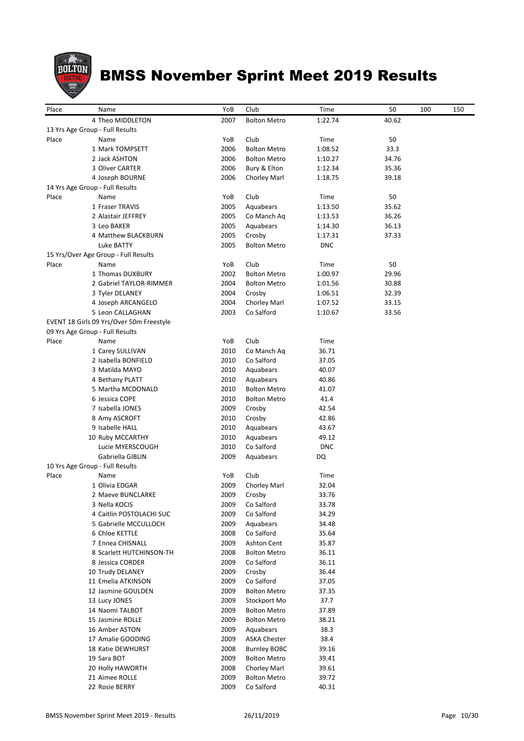

| Place | Name                                     | YoB  | Club                | Time       | 50    | 100 | 150 |
|-------|------------------------------------------|------|---------------------|------------|-------|-----|-----|
|       | 4 Theo MIDDLETON                         | 2007 | <b>Bolton Metro</b> | 1:22.74    | 40.62 |     |     |
|       | 13 Yrs Age Group - Full Results          |      |                     |            |       |     |     |
| Place | Name                                     | YoB  | Club                | Time       | 50    |     |     |
|       | 1 Mark TOMPSETT                          | 2006 | <b>Bolton Metro</b> | 1:08.52    | 33.3  |     |     |
|       | 2 Jack ASHTON                            | 2006 | <b>Bolton Metro</b> | 1:10.27    | 34.76 |     |     |
|       | 3 Oliver CARTER                          | 2006 | Bury & Elton        | 1:12.34    | 35.36 |     |     |
|       | 4 Joseph BOURNE                          | 2006 | Chorley Marl        | 1:18.75    | 39.18 |     |     |
|       | 14 Yrs Age Group - Full Results          |      |                     |            |       |     |     |
| Place | Name                                     | YoB  | Club                | Time       | 50    |     |     |
|       | 1 Fraser TRAVIS                          | 2005 | Aquabears           | 1:13.50    | 35.62 |     |     |
|       | 2 Alastair JEFFREY                       | 2005 | Co Manch Aq         | 1:13.53    | 36.26 |     |     |
|       | 3 Leo BAKER                              | 2005 | Aquabears           | 1:14.30    | 36.13 |     |     |
|       | 4 Matthew BLACKBURN                      | 2005 | Crosby              | 1:17.31    | 37.33 |     |     |
|       | Luke BATTY                               | 2005 | <b>Bolton Metro</b> | <b>DNC</b> |       |     |     |
|       | 15 Yrs/Over Age Group - Full Results     |      |                     |            |       |     |     |
| Place | Name                                     | YoB  | Club                | Time       | 50    |     |     |
|       | 1 Thomas DUXBURY                         | 2002 | <b>Bolton Metro</b> | 1:00.97    | 29.96 |     |     |
|       | 2 Gabriel TAYLOR-RIMMER                  | 2004 | <b>Bolton Metro</b> | 1:01.56    | 30.88 |     |     |
|       | 3 Tyler DELANEY                          | 2004 | Crosby              | 1:06.51    | 32.39 |     |     |
|       | 4 Joseph ARCANGELO                       | 2004 | Chorley Marl        | 1:07.52    | 33.15 |     |     |
|       | 5 Leon CALLAGHAN                         | 2003 | Co Salford          | 1:10.67    | 33.56 |     |     |
|       | EVENT 18 Girls 09 Yrs/Over 50m Freestyle |      |                     |            |       |     |     |
|       | 09 Yrs Age Group - Full Results          |      |                     |            |       |     |     |
| Place | Name                                     | YoB  | Club                | Time       |       |     |     |
|       | 1 Carey SULLIVAN                         | 2010 | Co Manch Aq         | 36.71      |       |     |     |
|       | 2 Isabella BONFIELD                      | 2010 | Co Salford          | 37.05      |       |     |     |
|       | 3 Matilda MAYO                           | 2010 | Aquabears           | 40.07      |       |     |     |
|       | 4 Bethany PLATT                          | 2010 | Aquabears           | 40.86      |       |     |     |
|       | 5 Martha MCDONALD                        | 2010 | <b>Bolton Metro</b> | 41.07      |       |     |     |
|       | 6 Jessica COPE                           | 2010 | <b>Bolton Metro</b> | 41.4       |       |     |     |
|       | 7 Isabella JONES                         | 2009 | Crosby              | 42.54      |       |     |     |
|       | 8 Amy ASCROFT                            | 2010 | Crosby              | 42.86      |       |     |     |
|       | 9 Isabelle HALL                          | 2010 | Aquabears           | 43.67      |       |     |     |
|       | 10 Ruby MCCARTHY                         | 2010 | Aquabears           | 49.12      |       |     |     |
|       | Lucie MYERSCOUGH                         | 2010 | Co Salford          | <b>DNC</b> |       |     |     |
|       | Gabriella GIBLIN                         | 2009 | Aquabears           | DQ         |       |     |     |
|       | 10 Yrs Age Group - Full Results          |      |                     |            |       |     |     |
| Place | Name                                     | YoB  | Club                | Time       |       |     |     |
|       | 1 Olivia EDGAR                           | 2009 | Chorley Marl        | 32.04      |       |     |     |
|       | 2 Maeve BUNCLARKE                        | 2009 | Crosby              | 33.76      |       |     |     |
|       | 3 Nella KOCIS                            | 2009 | Co Salford          | 33.78      |       |     |     |
|       | 4 Caitlin POSTOLACHI SUC                 | 2009 | Co Salford          | 34.29      |       |     |     |
|       | 5 Gabrielle MCCULLOCH                    | 2009 | Aquabears           | 34.48      |       |     |     |
|       | 6 Chloe KETTLE                           | 2008 | Co Salford          | 35.64      |       |     |     |
|       | 7 Ennea CHISNALL                         | 2009 | Ashton Cent         | 35.87      |       |     |     |
|       | 8 Scarlett HUTCHINSON-TH                 | 2008 | <b>Bolton Metro</b> | 36.11      |       |     |     |
|       | 8 Jessica CORDER                         | 2009 | Co Salford          | 36.11      |       |     |     |
|       | 10 Trudy DELANEY                         | 2009 | Crosby              | 36.44      |       |     |     |
|       | 11 Emelia ATKINSON                       | 2009 | Co Salford          | 37.05      |       |     |     |
|       | 12 Jasmine GOULDEN                       | 2009 | <b>Bolton Metro</b> | 37.35      |       |     |     |
|       | 13 Lucy JONES                            | 2009 | Stockport Mo        | 37.7       |       |     |     |
|       | 14 Naomi TALBOT                          | 2009 | <b>Bolton Metro</b> | 37.89      |       |     |     |
|       | 15 Jasmine ROLLE                         | 2009 | <b>Bolton Metro</b> | 38.21      |       |     |     |
|       | 16 Amber ASTON                           | 2009 | Aquabears           | 38.3       |       |     |     |
|       | 17 Amalie GOODING                        | 2009 | <b>ASKA Chester</b> | 38.4       |       |     |     |
|       | 18 Katie DEWHURST                        | 2008 | <b>Burnley BOBC</b> | 39.16      |       |     |     |
|       | 19 Sara BOT                              | 2009 | <b>Bolton Metro</b> | 39.41      |       |     |     |
|       | 20 Holly HAWORTH                         | 2008 | Chorley Marl        | 39.61      |       |     |     |
|       | 21 Aimee ROLLE                           | 2009 | <b>Bolton Metro</b> | 39.72      |       |     |     |
|       | 22 Rosie BERRY                           | 2009 | Co Salford          | 40.31      |       |     |     |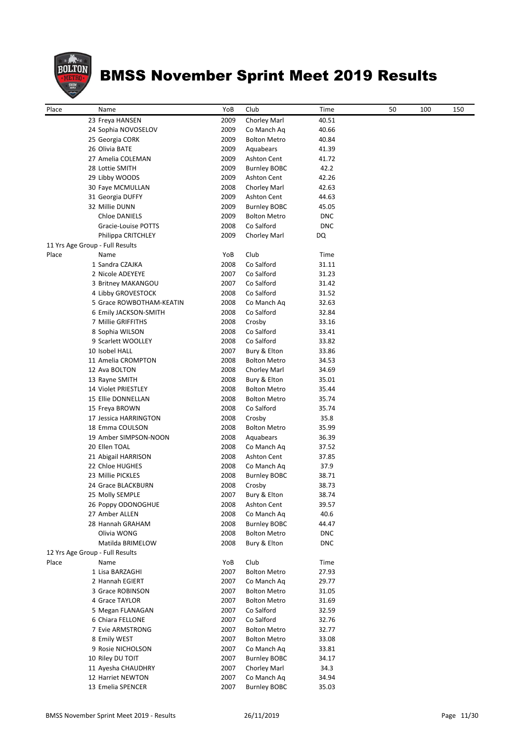

| Place | Name                                           | YoB          | Club                      | Time           | 50 | 100 | 150 |
|-------|------------------------------------------------|--------------|---------------------------|----------------|----|-----|-----|
|       | 23 Freya HANSEN                                | 2009         | Chorley Marl              | 40.51          |    |     |     |
|       | 24 Sophia NOVOSELOV                            | 2009         | Co Manch Aq               | 40.66          |    |     |     |
|       | 25 Georgia CORK                                | 2009         | <b>Bolton Metro</b>       | 40.84          |    |     |     |
|       | 26 Olivia BATE                                 | 2009         | Aquabears                 | 41.39          |    |     |     |
|       | 27 Amelia COLEMAN                              | 2009         | <b>Ashton Cent</b>        | 41.72          |    |     |     |
|       | 28 Lottie SMITH                                | 2009         | <b>Burnley BOBC</b>       | 42.2           |    |     |     |
|       | 29 Libby WOODS                                 | 2009         | Ashton Cent               | 42.26          |    |     |     |
|       | 30 Faye MCMULLAN                               | 2008         | Chorley Marl              | 42.63          |    |     |     |
|       | 31 Georgia DUFFY                               | 2009         | <b>Ashton Cent</b>        | 44.63          |    |     |     |
|       | 32 Millie DUNN                                 | 2009         | <b>Burnley BOBC</b>       | 45.05          |    |     |     |
|       | <b>Chloe DANIELS</b>                           | 2009         | <b>Bolton Metro</b>       | <b>DNC</b>     |    |     |     |
|       | Gracie-Louise POTTS                            | 2008         | Co Salford                | <b>DNC</b>     |    |     |     |
|       | Philippa CRITCHLEY                             | 2009         | Chorley Marl              | DQ             |    |     |     |
|       | 11 Yrs Age Group - Full Results                |              |                           |                |    |     |     |
| Place | Name                                           | YoB          | Club                      | Time           |    |     |     |
|       | 1 Sandra CZAJKA                                | 2008         | Co Salford                | 31.11          |    |     |     |
|       | 2 Nicole ADEYEYE<br>3 Britney MAKANGOU         | 2007<br>2007 | Co Salford<br>Co Salford  | 31.23          |    |     |     |
|       |                                                | 2008         | Co Salford                | 31.42<br>31.52 |    |     |     |
|       | 4 Libby GROVESTOCK<br>5 Grace ROWBOTHAM-KEATIN | 2008         |                           | 32.63          |    |     |     |
|       |                                                | 2008         | Co Manch Aq<br>Co Salford | 32.84          |    |     |     |
|       | 6 Emily JACKSON-SMITH<br>7 Millie GRIFFITHS    | 2008         |                           | 33.16          |    |     |     |
|       | 8 Sophia WILSON                                | 2008         | Crosby<br>Co Salford      | 33.41          |    |     |     |
|       | 9 Scarlett WOOLLEY                             | 2008         | Co Salford                | 33.82          |    |     |     |
|       | 10 Isobel HALL                                 | 2007         | Bury & Elton              | 33.86          |    |     |     |
|       | 11 Amelia CROMPTON                             | 2008         | <b>Bolton Metro</b>       | 34.53          |    |     |     |
|       | 12 Ava BOLTON                                  | 2008         | Chorley Marl              | 34.69          |    |     |     |
|       | 13 Rayne SMITH                                 | 2008         | Bury & Elton              | 35.01          |    |     |     |
|       | 14 Violet PRIESTLEY                            | 2008         | <b>Bolton Metro</b>       | 35.44          |    |     |     |
|       | 15 Ellie DONNELLAN                             | 2008         | <b>Bolton Metro</b>       | 35.74          |    |     |     |
|       | 15 Freya BROWN                                 | 2008         | Co Salford                | 35.74          |    |     |     |
|       | 17 Jessica HARRINGTON                          | 2008         | Crosby                    | 35.8           |    |     |     |
|       | 18 Emma COULSON                                | 2008         | <b>Bolton Metro</b>       | 35.99          |    |     |     |
|       | 19 Amber SIMPSON-NOON                          | 2008         | Aquabears                 | 36.39          |    |     |     |
|       | 20 Ellen TOAL                                  | 2008         | Co Manch Ag               | 37.52          |    |     |     |
|       | 21 Abigail HARRISON                            | 2008         | <b>Ashton Cent</b>        | 37.85          |    |     |     |
|       | 22 Chloe HUGHES                                | 2008         | Co Manch Aq               | 37.9           |    |     |     |
|       | 23 Millie PICKLES                              | 2008         | <b>Burnley BOBC</b>       | 38.71          |    |     |     |
|       | 24 Grace BLACKBURN                             | 2008         | Crosby                    | 38.73          |    |     |     |
|       | 25 Molly SEMPLE                                | 2007         | Bury & Elton              | 38.74          |    |     |     |
|       | 26 Poppy ODONOGHUE                             | 2008         | Ashton Cent               | 39.57          |    |     |     |
|       | 27 Amber ALLEN                                 | 2008         | Co Manch Aq               | 40.6           |    |     |     |
|       | 28 Hannah GRAHAM                               | 2008         | <b>Burnley BOBC</b>       | 44.47          |    |     |     |
|       | Olivia WONG                                    | 2008         | <b>Bolton Metro</b>       | <b>DNC</b>     |    |     |     |
|       | Matilda BRIMELOW                               | 2008         | Bury & Elton              | <b>DNC</b>     |    |     |     |
|       | 12 Yrs Age Group - Full Results                |              |                           |                |    |     |     |
| Place | Name                                           | YoB          | Club                      | Time           |    |     |     |
|       | 1 Lisa BARZAGHI                                | 2007         | <b>Bolton Metro</b>       | 27.93          |    |     |     |
|       | 2 Hannah EGIERT                                | 2007         | Co Manch Aq               | 29.77          |    |     |     |
|       | 3 Grace ROBINSON                               | 2007         | <b>Bolton Metro</b>       | 31.05          |    |     |     |
|       | 4 Grace TAYLOR                                 | 2007         | <b>Bolton Metro</b>       | 31.69          |    |     |     |
|       | 5 Megan FLANAGAN                               | 2007         | Co Salford                | 32.59          |    |     |     |
|       | 6 Chiara FELLONE                               | 2007         | Co Salford                | 32.76          |    |     |     |
|       | 7 Evie ARMSTRONG                               | 2007         | <b>Bolton Metro</b>       | 32.77          |    |     |     |
|       | 8 Emily WEST                                   | 2007         | <b>Bolton Metro</b>       | 33.08          |    |     |     |
|       | 9 Rosie NICHOLSON                              | 2007         | Co Manch Aq               | 33.81          |    |     |     |
|       | 10 Riley DU TOIT                               | 2007         | <b>Burnley BOBC</b>       | 34.17          |    |     |     |
|       | 11 Ayesha CHAUDHRY                             | 2007         | Chorley Marl              | 34.3           |    |     |     |
|       | 12 Harriet NEWTON                              | 2007         | Co Manch Aq               | 34.94          |    |     |     |
|       | 13 Emelia SPENCER                              | 2007         | <b>Burnley BOBC</b>       | 35.03          |    |     |     |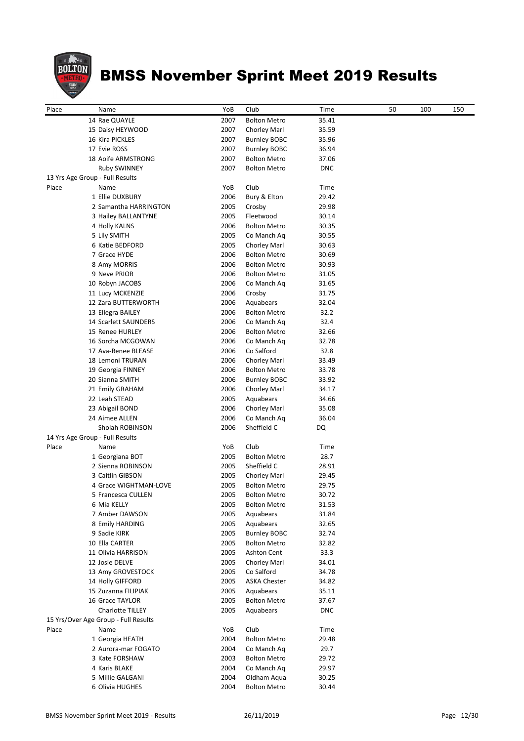

| Place | Name                                 | YoB  | Club                | Time       | 50 | 100 | 150 |
|-------|--------------------------------------|------|---------------------|------------|----|-----|-----|
|       | 14 Rae QUAYLE                        | 2007 | <b>Bolton Metro</b> | 35.41      |    |     |     |
|       | 15 Daisy HEYWOOD                     | 2007 | Chorley Marl        | 35.59      |    |     |     |
|       | 16 Kira PICKLES                      | 2007 | <b>Burnley BOBC</b> | 35.96      |    |     |     |
|       | 17 Evie ROSS                         | 2007 | <b>Burnley BOBC</b> | 36.94      |    |     |     |
|       | 18 Aoife ARMSTRONG                   | 2007 | <b>Bolton Metro</b> | 37.06      |    |     |     |
|       | <b>Ruby SWINNEY</b>                  | 2007 | <b>Bolton Metro</b> | <b>DNC</b> |    |     |     |
|       | 13 Yrs Age Group - Full Results      |      |                     |            |    |     |     |
| Place | Name                                 | YoB  | Club                | Time       |    |     |     |
|       | 1 Ellie DUXBURY                      | 2006 | Bury & Elton        | 29.42      |    |     |     |
|       | 2 Samantha HARRINGTON                | 2005 | Crosby              | 29.98      |    |     |     |
|       | 3 Hailey BALLANTYNE                  | 2005 | Fleetwood           | 30.14      |    |     |     |
|       | 4 Holly KALNS                        | 2006 | <b>Bolton Metro</b> | 30.35      |    |     |     |
|       | 5 Lily SMITH                         | 2005 | Co Manch Aq         | 30.55      |    |     |     |
|       | 6 Katie BEDFORD                      | 2005 | Chorley Marl        | 30.63      |    |     |     |
|       | 7 Grace HYDE                         | 2006 | <b>Bolton Metro</b> | 30.69      |    |     |     |
|       | 8 Amy MORRIS                         | 2006 | <b>Bolton Metro</b> | 30.93      |    |     |     |
|       | 9 Neve PRIOR                         | 2006 | <b>Bolton Metro</b> | 31.05      |    |     |     |
|       | 10 Robyn JACOBS                      | 2006 | Co Manch Aq         | 31.65      |    |     |     |
|       | 11 Lucy MCKENZIE                     | 2006 | Crosby              | 31.75      |    |     |     |
|       | 12 Zara BUTTERWORTH                  | 2006 | Aquabears           | 32.04      |    |     |     |
|       | 13 Ellegra BAILEY                    | 2006 | <b>Bolton Metro</b> | 32.2       |    |     |     |
|       | 14 Scarlett SAUNDERS                 | 2006 | Co Manch Aq         | 32.4       |    |     |     |
|       | 15 Renee HURLEY                      | 2006 | <b>Bolton Metro</b> | 32.66      |    |     |     |
|       | 16 Sorcha MCGOWAN                    | 2006 | Co Manch Ag         | 32.78      |    |     |     |
|       | 17 Ava-Renee BLEASE                  | 2006 | Co Salford          | 32.8       |    |     |     |
|       | 18 Lemoni TRURAN                     | 2006 | Chorley Marl        | 33.49      |    |     |     |
|       | 19 Georgia FINNEY                    | 2006 | <b>Bolton Metro</b> | 33.78      |    |     |     |
|       | 20 Sianna SMITH                      | 2006 | <b>Burnley BOBC</b> | 33.92      |    |     |     |
|       | 21 Emily GRAHAM                      | 2006 | Chorley Marl        | 34.17      |    |     |     |
|       | 22 Leah STEAD                        | 2005 | Aquabears           | 34.66      |    |     |     |
|       | 23 Abigail BOND                      | 2006 | Chorley Marl        | 35.08      |    |     |     |
|       | 24 Aimee ALLEN                       | 2006 | Co Manch Aq         | 36.04      |    |     |     |
|       | Sholah ROBINSON                      | 2006 | Sheffield C         | DQ         |    |     |     |
|       | 14 Yrs Age Group - Full Results      |      |                     |            |    |     |     |
| Place | Name                                 | YoB  | Club                | Time       |    |     |     |
|       | 1 Georgiana BOT                      | 2005 | <b>Bolton Metro</b> | 28.7       |    |     |     |
|       | 2 Sienna ROBINSON                    | 2005 | Sheffield C         | 28.91      |    |     |     |
|       | 3 Caitlin GIBSON                     | 2005 | Chorley Marl        | 29.45      |    |     |     |
|       | 4 Grace WIGHTMAN-LOVE                | 2005 | <b>Bolton Metro</b> | 29.75      |    |     |     |
|       | 5 Francesca CULLEN                   | 2005 | <b>Bolton Metro</b> | 30.72      |    |     |     |
|       | 6 Mia KELLY                          | 2005 | <b>Bolton Metro</b> | 31.53      |    |     |     |
|       | 7 Amber DAWSON                       | 2005 | Aquabears           | 31.84      |    |     |     |
|       | 8 Emily HARDING                      | 2005 | Aquabears           | 32.65      |    |     |     |
|       | 9 Sadie KIRK                         | 2005 | <b>Burnley BOBC</b> | 32.74      |    |     |     |
|       | 10 Ella CARTER                       | 2005 | <b>Bolton Metro</b> | 32.82      |    |     |     |
|       | 11 Olivia HARRISON                   | 2005 | Ashton Cent         | 33.3       |    |     |     |
|       | 12 Josie DELVE                       | 2005 | Chorley Marl        | 34.01      |    |     |     |
|       | 13 Amy GROVESTOCK                    | 2005 | Co Salford          | 34.78      |    |     |     |
|       | 14 Holly GIFFORD                     | 2005 | <b>ASKA Chester</b> | 34.82      |    |     |     |
|       | 15 Zuzanna FILIPIAK                  | 2005 | Aquabears           | 35.11      |    |     |     |
|       | 16 Grace TAYLOR                      | 2005 | <b>Bolton Metro</b> | 37.67      |    |     |     |
|       | Charlotte TILLEY                     | 2005 | Aquabears           | <b>DNC</b> |    |     |     |
|       | 15 Yrs/Over Age Group - Full Results |      |                     |            |    |     |     |
| Place | Name                                 | YoB  | Club                | Time       |    |     |     |
|       | 1 Georgia HEATH                      | 2004 | <b>Bolton Metro</b> | 29.48      |    |     |     |
|       | 2 Aurora-mar FOGATO                  | 2004 | Co Manch Aq         | 29.7       |    |     |     |
|       | 3 Kate FORSHAW                       | 2003 | <b>Bolton Metro</b> | 29.72      |    |     |     |
|       | 4 Karis BLAKE                        | 2004 | Co Manch Aq         | 29.97      |    |     |     |
|       | 5 Millie GALGANI                     | 2004 | Oldham Aqua         | 30.25      |    |     |     |
|       | 6 Olivia HUGHES                      | 2004 | <b>Bolton Metro</b> | 30.44      |    |     |     |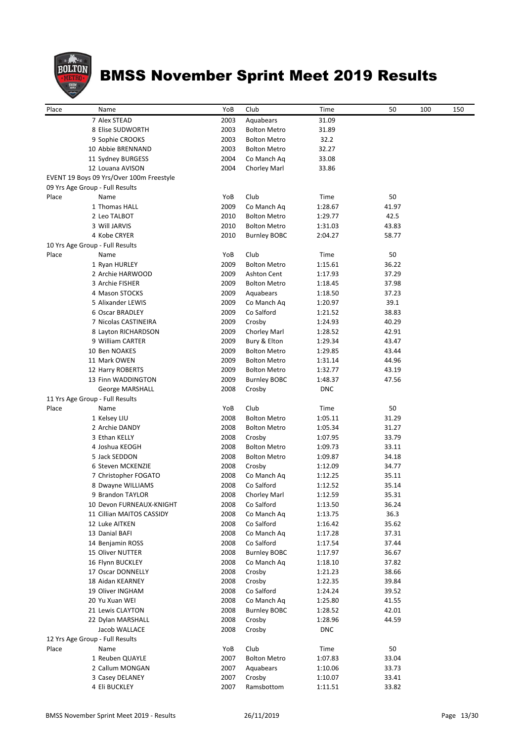

| Place |                                          | YoB  | Club                             | Time               | 50    | 100 | 150 |
|-------|------------------------------------------|------|----------------------------------|--------------------|-------|-----|-----|
|       | Name<br>7 Alex STEAD                     | 2003 |                                  |                    |       |     |     |
|       | 8 Elise SUDWORTH                         | 2003 | Aquabears<br><b>Bolton Metro</b> | 31.09<br>31.89     |       |     |     |
|       | 9 Sophie CROOKS                          | 2003 | <b>Bolton Metro</b>              | 32.2               |       |     |     |
|       | 10 Abbie BRENNAND                        | 2003 | <b>Bolton Metro</b>              | 32.27              |       |     |     |
|       | 11 Sydney BURGESS                        | 2004 | Co Manch Aq                      | 33.08              |       |     |     |
|       | 12 Louana AVISON                         | 2004 | Chorley Marl                     | 33.86              |       |     |     |
|       | EVENT 19 Boys 09 Yrs/Over 100m Freestyle |      |                                  |                    |       |     |     |
|       | 09 Yrs Age Group - Full Results          |      |                                  |                    |       |     |     |
| Place | Name                                     | YoB  | Club                             | Time               | 50    |     |     |
|       | 1 Thomas HALL                            | 2009 | Co Manch Ag                      | 1:28.67            | 41.97 |     |     |
|       | 2 Leo TALBOT                             | 2010 | <b>Bolton Metro</b>              | 1:29.77            | 42.5  |     |     |
|       | 3 Will JARVIS                            | 2010 | <b>Bolton Metro</b>              | 1:31.03            | 43.83 |     |     |
|       | 4 Kobe CRYER                             | 2010 | <b>Burnley BOBC</b>              | 2:04.27            | 58.77 |     |     |
|       | 10 Yrs Age Group - Full Results          |      |                                  |                    |       |     |     |
| Place | Name                                     | YoB  | Club                             | Time               | 50    |     |     |
|       | 1 Ryan HURLEY                            | 2009 | <b>Bolton Metro</b>              | 1:15.61            | 36.22 |     |     |
|       | 2 Archie HARWOOD                         | 2009 | <b>Ashton Cent</b>               | 1:17.93            | 37.29 |     |     |
|       | 3 Archie FISHER                          | 2009 | <b>Bolton Metro</b>              | 1:18.45            | 37.98 |     |     |
|       | 4 Mason STOCKS                           | 2009 | Aquabears                        | 1:18.50            | 37.23 |     |     |
|       | 5 Alixander LEWIS                        | 2009 | Co Manch Aq                      | 1:20.97            | 39.1  |     |     |
|       | 6 Oscar BRADLEY                          | 2009 | Co Salford                       | 1:21.52            | 38.83 |     |     |
|       | 7 Nicolas CASTINEIRA                     | 2009 | Crosby                           | 1:24.93            | 40.29 |     |     |
|       | 8 Layton RICHARDSON                      | 2009 | Chorley Marl                     | 1:28.52            | 42.91 |     |     |
|       | 9 William CARTER                         | 2009 | Bury & Elton                     | 1:29.34            | 43.47 |     |     |
|       | 10 Ben NOAKES                            | 2009 | <b>Bolton Metro</b>              | 1:29.85            | 43.44 |     |     |
|       | 11 Mark OWEN                             | 2009 | <b>Bolton Metro</b>              | 1:31.14            | 44.96 |     |     |
|       | 12 Harry ROBERTS                         | 2009 | <b>Bolton Metro</b>              | 1:32.77            | 43.19 |     |     |
|       | 13 Finn WADDINGTON                       | 2009 | <b>Burnley BOBC</b>              | 1:48.37            | 47.56 |     |     |
|       | George MARSHALL                          | 2008 | Crosby                           | <b>DNC</b>         |       |     |     |
|       | 11 Yrs Age Group - Full Results          |      |                                  |                    |       |     |     |
| Place | Name                                     | YoB  | Club                             | Time               | 50    |     |     |
|       | 1 Kelsey LIU                             | 2008 | <b>Bolton Metro</b>              | 1:05.11            | 31.29 |     |     |
|       | 2 Archie DANDY                           | 2008 | <b>Bolton Metro</b>              | 1:05.34            | 31.27 |     |     |
|       | 3 Ethan KELLY                            | 2008 | Crosby                           | 1:07.95            | 33.79 |     |     |
|       | 4 Joshua KEOGH                           | 2008 | <b>Bolton Metro</b>              | 1:09.73            | 33.11 |     |     |
|       | 5 Jack SEDDON                            | 2008 | <b>Bolton Metro</b>              | 1:09.87            | 34.18 |     |     |
|       | 6 Steven MCKENZIE                        | 2008 | Crosby                           | 1:12.09            | 34.77 |     |     |
|       | 7 Christopher FOGATO                     | 2008 | Co Manch Aq                      | 1:12.25            | 35.11 |     |     |
|       | 8 Dwayne WILLIAMS                        | 2008 | Co Salford                       | 1:12.52            | 35.14 |     |     |
|       | 9 Brandon TAYLOR                         | 2008 | Chorley Marl                     | 1:12.59            | 35.31 |     |     |
|       | 10 Devon FURNEAUX-KNIGHT                 | 2008 | Co Salford                       | 1:13.50            | 36.24 |     |     |
|       | 11 Cillian MAITOS CASSIDY                | 2008 | Co Manch Aq                      | 1:13.75            | 36.3  |     |     |
|       | 12 Luke AITKEN                           | 2008 | Co Salford                       | 1:16.42            | 35.62 |     |     |
|       | 13 Danial BAFI                           | 2008 | Co Manch Aq                      | 1:17.28            | 37.31 |     |     |
|       | 14 Benjamin ROSS                         | 2008 | Co Salford                       | 1:17.54            | 37.44 |     |     |
|       | 15 Oliver NUTTER                         | 2008 | <b>Burnley BOBC</b>              | 1:17.97            | 36.67 |     |     |
|       | 16 Flynn BUCKLEY                         | 2008 | Co Manch Aq                      | 1:18.10            | 37.82 |     |     |
|       | 17 Oscar DONNELLY                        | 2008 | Crosby                           | 1:21.23            | 38.66 |     |     |
|       | 18 Aidan KEARNEY                         | 2008 | Crosby                           | 1:22.35            | 39.84 |     |     |
|       | 19 Oliver INGHAM                         | 2008 | Co Salford                       | 1:24.24            | 39.52 |     |     |
|       | 20 Yu Xuan WEI                           | 2008 | Co Manch Aq                      | 1:25.80            | 41.55 |     |     |
|       | 21 Lewis CLAYTON                         | 2008 | <b>Burnley BOBC</b>              | 1:28.52            | 42.01 |     |     |
|       | 22 Dylan MARSHALL                        | 2008 | Crosby                           | 1:28.96            | 44.59 |     |     |
|       | Jacob WALLACE                            | 2008 | Crosby                           | <b>DNC</b>         |       |     |     |
|       |                                          |      |                                  |                    |       |     |     |
| Place | 12 Yrs Age Group - Full Results<br>Name  | YoB  | Club                             |                    | 50    |     |     |
|       | 1 Reuben QUAYLE                          | 2007 | <b>Bolton Metro</b>              | Time               | 33.04 |     |     |
|       | 2 Callum MONGAN                          | 2007 | Aquabears                        | 1:07.83<br>1:10.06 | 33.73 |     |     |
|       | 3 Casey DELANEY                          | 2007 | Crosby                           | 1:10.07            | 33.41 |     |     |
|       | 4 Eli BUCKLEY                            | 2007 | Ramsbottom                       | 1:11.51            | 33.82 |     |     |
|       |                                          |      |                                  |                    |       |     |     |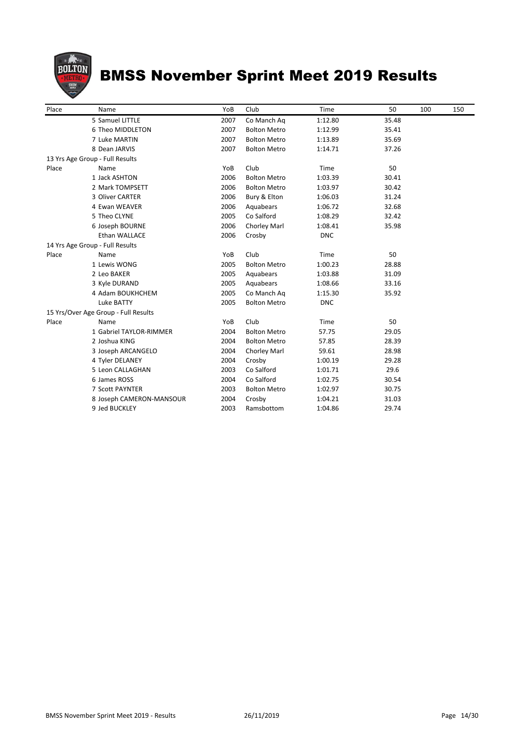

| Place | Name                                 | YoB  | Club                | Time       | 50    | 100 | 150 |
|-------|--------------------------------------|------|---------------------|------------|-------|-----|-----|
|       | 5 Samuel LITTLE                      | 2007 | Co Manch Aq         | 1:12.80    | 35.48 |     |     |
|       | 6 Theo MIDDLETON                     | 2007 | <b>Bolton Metro</b> | 1:12.99    | 35.41 |     |     |
|       | 7 Luke MARTIN                        | 2007 | <b>Bolton Metro</b> | 1:13.89    | 35.69 |     |     |
|       | 8 Dean JARVIS                        | 2007 | <b>Bolton Metro</b> | 1:14.71    | 37.26 |     |     |
|       | 13 Yrs Age Group - Full Results      |      |                     |            |       |     |     |
| Place | Name                                 | YoB  | Club                | Time       | 50    |     |     |
|       | 1 Jack ASHTON                        | 2006 | <b>Bolton Metro</b> | 1:03.39    | 30.41 |     |     |
|       | 2 Mark TOMPSETT                      | 2006 | <b>Bolton Metro</b> | 1:03.97    | 30.42 |     |     |
|       | 3 Oliver CARTER                      | 2006 | Bury & Elton        | 1:06.03    | 31.24 |     |     |
|       | 4 Ewan WEAVER                        | 2006 | Aquabears           | 1:06.72    | 32.68 |     |     |
|       | 5 Theo CLYNE                         | 2005 | Co Salford          | 1:08.29    | 32.42 |     |     |
|       | 6 Joseph BOURNE                      | 2006 | Chorley Marl        | 1:08.41    | 35.98 |     |     |
|       | Ethan WALLACE                        | 2006 | Crosby              | <b>DNC</b> |       |     |     |
|       | 14 Yrs Age Group - Full Results      |      |                     |            |       |     |     |
| Place | Name                                 | YoB  | Club                | Time       | 50    |     |     |
|       | 1 Lewis WONG                         | 2005 | <b>Bolton Metro</b> | 1:00.23    | 28.88 |     |     |
|       | 2 Leo BAKER                          | 2005 | Aquabears           | 1:03.88    | 31.09 |     |     |
|       | 3 Kyle DURAND                        | 2005 | Aquabears           | 1:08.66    | 33.16 |     |     |
|       | 4 Adam BOUKHCHEM                     | 2005 | Co Manch Ag         | 1:15.30    | 35.92 |     |     |
|       | Luke BATTY                           | 2005 | <b>Bolton Metro</b> | <b>DNC</b> |       |     |     |
|       | 15 Yrs/Over Age Group - Full Results |      |                     |            |       |     |     |
| Place | Name                                 | YoB  | Club                | Time       | 50    |     |     |
|       | 1 Gabriel TAYLOR-RIMMER              | 2004 | <b>Bolton Metro</b> | 57.75      | 29.05 |     |     |
|       | 2 Joshua KING                        | 2004 | <b>Bolton Metro</b> | 57.85      | 28.39 |     |     |
|       | 3 Joseph ARCANGELO                   | 2004 | Chorley Marl        | 59.61      | 28.98 |     |     |
|       | 4 Tyler DELANEY                      | 2004 | Crosby              | 1:00.19    | 29.28 |     |     |
|       | 5 Leon CALLAGHAN                     | 2003 | Co Salford          | 1:01.71    | 29.6  |     |     |
|       | 6 James ROSS                         | 2004 | Co Salford          | 1:02.75    | 30.54 |     |     |
|       | 7 Scott PAYNTER                      | 2003 | <b>Bolton Metro</b> | 1:02.97    | 30.75 |     |     |
|       | 8 Joseph CAMERON-MANSOUR             | 2004 | Crosby              | 1:04.21    | 31.03 |     |     |
|       | 9 Jed BUCKLEY                        | 2003 | Ramsbottom          | 1:04.86    | 29.74 |     |     |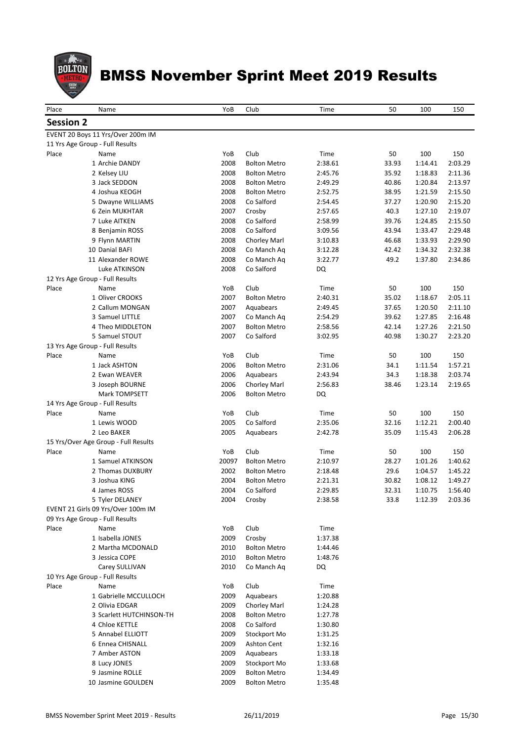

| Place            | Name                                                                 | YoB   | Club                | Time    | 50         | 100     | 150     |
|------------------|----------------------------------------------------------------------|-------|---------------------|---------|------------|---------|---------|
| <b>Session 2</b> |                                                                      |       |                     |         |            |         |         |
|                  |                                                                      |       |                     |         |            |         |         |
|                  | EVENT 20 Boys 11 Yrs/Over 200m IM<br>11 Yrs Age Group - Full Results |       |                     |         |            |         |         |
| Place            | Name                                                                 | YoB   | Club                | Time    | 50         | 100     | 150     |
|                  | 1 Archie DANDY                                                       | 2008  | <b>Bolton Metro</b> | 2:38.61 | 33.93      | 1:14.41 | 2:03.29 |
|                  | 2 Kelsey LIU                                                         | 2008  | <b>Bolton Metro</b> | 2:45.76 | 35.92      | 1:18.83 | 2:11.36 |
|                  | 3 Jack SEDDON                                                        | 2008  | <b>Bolton Metro</b> | 2:49.29 | 40.86      | 1:20.84 | 2:13.97 |
|                  | 4 Joshua KEOGH                                                       | 2008  | <b>Bolton Metro</b> | 2:52.75 | 38.95      | 1:21.59 | 2:15.50 |
|                  | 5 Dwayne WILLIAMS                                                    | 2008  | Co Salford          | 2:54.45 | 37.27      | 1:20.90 | 2:15.20 |
|                  | 6 Zein MUKHTAR                                                       | 2007  | Crosby              | 2:57.65 | 40.3       | 1:27.10 | 2:19.07 |
|                  | 7 Luke AITKEN                                                        | 2008  | Co Salford          | 2:58.99 | 39.76      | 1:24.85 | 2:15.50 |
|                  | 8 Benjamin ROSS                                                      | 2008  | Co Salford          | 3:09.56 | 43.94      | 1:33.47 | 2:29.48 |
|                  | 9 Flynn MARTIN                                                       | 2008  | Chorley Marl        | 3:10.83 | 46.68      | 1:33.93 | 2:29.90 |
|                  | 10 Danial BAFI                                                       | 2008  | Co Manch Aq         | 3:12.28 | 42.42      | 1:34.32 | 2:32.38 |
|                  | 11 Alexander ROWE                                                    | 2008  | Co Manch Aq         | 3:22.77 | 49.2       | 1:37.80 | 2:34.86 |
|                  | Luke ATKINSON                                                        | 2008  | Co Salford          | DQ      |            |         |         |
|                  | 12 Yrs Age Group - Full Results                                      |       |                     |         |            |         |         |
| Place            | Name                                                                 | YoB   | Club                | Time    | 50         | 100     | 150     |
|                  | 1 Oliver CROOKS                                                      | 2007  | <b>Bolton Metro</b> | 2:40.31 | 35.02      | 1:18.67 | 2:05.11 |
|                  | 2 Callum MONGAN                                                      | 2007  | Aquabears           | 2:49.45 | 37.65      | 1:20.50 | 2:11.10 |
|                  | 3 Samuel LITTLE                                                      | 2007  | Co Manch Ag         | 2:54.29 | 39.62      | 1:27.85 | 2:16.48 |
|                  | 4 Theo MIDDLETON                                                     | 2007  | <b>Bolton Metro</b> | 2:58.56 | 42.14      | 1:27.26 | 2:21.50 |
|                  | 5 Samuel STOUT                                                       | 2007  | Co Salford          | 3:02.95 | 40.98      | 1:30.27 | 2:23.20 |
| Place            | 13 Yrs Age Group - Full Results                                      | YoB   | Club                | Time    |            | 100     | 150     |
|                  | Name<br>1 Jack ASHTON                                                | 2006  | <b>Bolton Metro</b> | 2:31.06 | 50<br>34.1 | 1:11.54 | 1:57.21 |
|                  | 2 Ewan WEAVER                                                        | 2006  | Aquabears           | 2:43.94 | 34.3       | 1:18.38 | 2:03.74 |
|                  | 3 Joseph BOURNE                                                      | 2006  | Chorley Marl        | 2:56.83 | 38.46      | 1:23.14 | 2:19.65 |
|                  | <b>Mark TOMPSETT</b>                                                 | 2006  | <b>Bolton Metro</b> | DQ      |            |         |         |
|                  | 14 Yrs Age Group - Full Results                                      |       |                     |         |            |         |         |
| Place            | Name                                                                 | YoB   | Club                | Time    | 50         | 100     | 150     |
|                  | 1 Lewis WOOD                                                         | 2005  | Co Salford          | 2:35.06 | 32.16      | 1:12.21 | 2:00.40 |
|                  | 2 Leo BAKER                                                          | 2005  | Aquabears           | 2:42.78 | 35.09      | 1:15.43 | 2:06.28 |
|                  | 15 Yrs/Over Age Group - Full Results                                 |       |                     |         |            |         |         |
| Place            | Name                                                                 | YoB   | Club                | Time    | 50         | 100     | 150     |
|                  | 1 Samuel ATKINSON                                                    | 20097 | <b>Bolton Metro</b> | 2:10.97 | 28.27      | 1:01.26 | 1:40.62 |
|                  | 2 Thomas DUXBURY                                                     | 2002  | <b>Bolton Metro</b> | 2:18.48 | 29.6       | 1:04.57 | 1:45.22 |
|                  | 3 Joshua KING                                                        | 2004  | <b>Bolton Metro</b> | 2:21.31 | 30.82      | 1:08.12 | 1:49.27 |
|                  | 4 James ROSS                                                         | 2004  | Co Salford          | 2:29.85 | 32.31      | 1:10.75 | 1:56.40 |
|                  | 5 Tyler DELANEY                                                      | 2004  | Crosby              | 2:38.58 | 33.8       | 1:12.39 | 2:03.36 |
|                  | EVENT 21 Girls 09 Yrs/Over 100m IM                                   |       |                     |         |            |         |         |
|                  | 09 Yrs Age Group - Full Results                                      |       |                     |         |            |         |         |
| Place            | Name                                                                 | YoB   | Club                | Time    |            |         |         |
|                  | 1 Isabella JONES                                                     | 2009  | Crosby              | 1:37.38 |            |         |         |
|                  | 2 Martha MCDONALD                                                    | 2010  | <b>Bolton Metro</b> | 1:44.46 |            |         |         |
|                  | 3 Jessica COPE                                                       | 2010  | Bolton Metro        | 1:48.76 |            |         |         |
|                  | Carey SULLIVAN                                                       | 2010  | Co Manch Aq         | DQ      |            |         |         |
| Place            | 10 Yrs Age Group - Full Results<br>Name                              | YoB   | Club                | Time    |            |         |         |
|                  | 1 Gabrielle MCCULLOCH                                                | 2009  | Aquabears           | 1:20.88 |            |         |         |
|                  | 2 Olivia EDGAR                                                       | 2009  | Chorley Marl        | 1:24.28 |            |         |         |
|                  | 3 Scarlett HUTCHINSON-TH                                             | 2008  | <b>Bolton Metro</b> | 1:27.78 |            |         |         |
|                  | 4 Chloe KETTLE                                                       | 2008  | Co Salford          | 1:30.80 |            |         |         |
|                  | 5 Annabel ELLIOTT                                                    | 2009  | Stockport Mo        | 1:31.25 |            |         |         |
|                  | 6 Ennea CHISNALL                                                     | 2009  | <b>Ashton Cent</b>  | 1:32.16 |            |         |         |
|                  | 7 Amber ASTON                                                        | 2009  | Aquabears           | 1:33.18 |            |         |         |
|                  | 8 Lucy JONES                                                         | 2009  | Stockport Mo        | 1:33.68 |            |         |         |
|                  | 9 Jasmine ROLLE                                                      | 2009  | <b>Bolton Metro</b> | 1:34.49 |            |         |         |
|                  | 10 Jasmine GOULDEN                                                   | 2009  | <b>Bolton Metro</b> | 1:35.48 |            |         |         |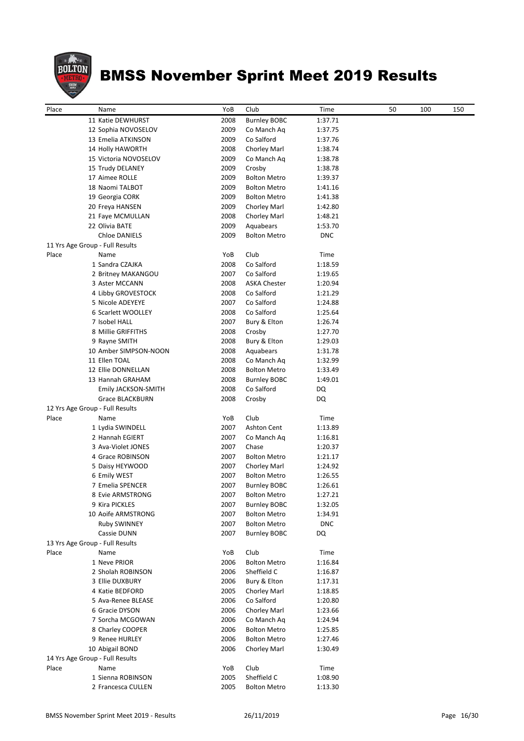

| Place | Name                            | YoB  | Club                | Time       | 50 | 100 | 150 |
|-------|---------------------------------|------|---------------------|------------|----|-----|-----|
|       | 11 Katie DEWHURST               | 2008 | <b>Burnley BOBC</b> | 1:37.71    |    |     |     |
|       | 12 Sophia NOVOSELOV             | 2009 | Co Manch Aq         | 1:37.75    |    |     |     |
|       | 13 Emelia ATKINSON              | 2009 | Co Salford          | 1:37.76    |    |     |     |
|       | 14 Holly HAWORTH                | 2008 | Chorley Marl        | 1:38.74    |    |     |     |
|       | 15 Victoria NOVOSELOV           | 2009 | Co Manch Ag         | 1:38.78    |    |     |     |
|       | 15 Trudy DELANEY                | 2009 | Crosby              | 1:38.78    |    |     |     |
|       | 17 Aimee ROLLE                  | 2009 | <b>Bolton Metro</b> | 1:39.37    |    |     |     |
|       | 18 Naomi TALBOT                 | 2009 | <b>Bolton Metro</b> | 1:41.16    |    |     |     |
|       | 19 Georgia CORK                 | 2009 | <b>Bolton Metro</b> | 1:41.38    |    |     |     |
|       | 20 Freya HANSEN                 | 2009 | Chorley Marl        | 1:42.80    |    |     |     |
|       | 21 Faye MCMULLAN                | 2008 | Chorley Marl        | 1:48.21    |    |     |     |
|       | 22 Olivia BATE                  | 2009 | Aquabears           | 1:53.70    |    |     |     |
|       | <b>Chloe DANIELS</b>            | 2009 | <b>Bolton Metro</b> | <b>DNC</b> |    |     |     |
|       | 11 Yrs Age Group - Full Results |      |                     |            |    |     |     |
| Place | Name                            | YoB  | Club                | Time       |    |     |     |
|       | 1 Sandra CZAJKA                 | 2008 | Co Salford          | 1:18.59    |    |     |     |
|       | 2 Britney MAKANGOU              | 2007 | Co Salford          | 1:19.65    |    |     |     |
|       | 3 Aster MCCANN                  | 2008 | <b>ASKA Chester</b> | 1:20.94    |    |     |     |
|       | 4 Libby GROVESTOCK              | 2008 | Co Salford          | 1:21.29    |    |     |     |
|       | 5 Nicole ADEYEYE                | 2007 | Co Salford          | 1:24.88    |    |     |     |
|       | 6 Scarlett WOOLLEY              | 2008 | Co Salford          | 1:25.64    |    |     |     |
|       | 7 Isobel HALL                   | 2007 | Bury & Elton        | 1:26.74    |    |     |     |
|       | 8 Millie GRIFFITHS              | 2008 | Crosby              | 1:27.70    |    |     |     |
|       | 9 Rayne SMITH                   | 2008 | Bury & Elton        | 1:29.03    |    |     |     |
|       | 10 Amber SIMPSON-NOON           | 2008 | Aquabears           | 1:31.78    |    |     |     |
|       | 11 Ellen TOAL                   | 2008 | Co Manch Aq         | 1:32.99    |    |     |     |
|       | 12 Ellie DONNELLAN              | 2008 | <b>Bolton Metro</b> | 1:33.49    |    |     |     |
|       | 13 Hannah GRAHAM                | 2008 | <b>Burnley BOBC</b> | 1:49.01    |    |     |     |
|       | Emily JACKSON-SMITH             | 2008 | Co Salford          | DQ         |    |     |     |
|       | Grace BLACKBURN                 | 2008 |                     | DQ         |    |     |     |
|       |                                 |      | Crosby              |            |    |     |     |
|       | 12 Yrs Age Group - Full Results |      |                     |            |    |     |     |
| Place | Name                            | YoB  | Club                | Time       |    |     |     |
|       | 1 Lydia SWINDELL                | 2007 | Ashton Cent         | 1:13.89    |    |     |     |
|       | 2 Hannah EGIERT                 | 2007 | Co Manch Aq         | 1:16.81    |    |     |     |
|       | 3 Ava-Violet JONES              | 2007 | Chase               | 1:20.37    |    |     |     |
|       | 4 Grace ROBINSON                | 2007 | <b>Bolton Metro</b> | 1:21.17    |    |     |     |
|       | 5 Daisy HEYWOOD                 | 2007 | <b>Chorley Marl</b> | 1:24.92    |    |     |     |
|       | 6 Emily WEST                    | 2007 | <b>Bolton Metro</b> | 1:26.55    |    |     |     |
|       | 7 Emelia SPENCER                | 2007 | <b>Burnley BOBC</b> | 1:26.61    |    |     |     |
|       | 8 Evie ARMSTRONG                | 2007 | <b>Bolton Metro</b> | 1:27.21    |    |     |     |
|       | 9 Kira PICKLES                  | 2007 | <b>Burnley BOBC</b> | 1:32.05    |    |     |     |
|       | 10 Aoife ARMSTRONG              | 2007 | <b>Bolton Metro</b> | 1:34.91    |    |     |     |
|       | <b>Ruby SWINNEY</b>             | 2007 | <b>Bolton Metro</b> | <b>DNC</b> |    |     |     |
|       | Cassie DUNN                     | 2007 | <b>Burnley BOBC</b> | DQ         |    |     |     |
|       | 13 Yrs Age Group - Full Results |      |                     |            |    |     |     |
| Place | Name                            | YoB  | Club                | Time       |    |     |     |
|       | 1 Neve PRIOR                    | 2006 | <b>Bolton Metro</b> | 1:16.84    |    |     |     |
|       | 2 Sholah ROBINSON               | 2006 | Sheffield C         | 1:16.87    |    |     |     |
|       | 3 Ellie DUXBURY                 | 2006 | Bury & Elton        | 1:17.31    |    |     |     |
|       | 4 Katie BEDFORD                 | 2005 | Chorley Marl        | 1:18.85    |    |     |     |
|       | 5 Ava-Renee BLEASE              | 2006 | Co Salford          | 1:20.80    |    |     |     |
|       | 6 Gracie DYSON                  | 2006 | Chorley Marl        | 1:23.66    |    |     |     |
|       | 7 Sorcha MCGOWAN                | 2006 | Co Manch Aq         | 1:24.94    |    |     |     |
|       | 8 Charley COOPER                | 2006 | <b>Bolton Metro</b> | 1:25.85    |    |     |     |
|       | 9 Renee HURLEY                  | 2006 | <b>Bolton Metro</b> | 1:27.46    |    |     |     |
|       | 10 Abigail BOND                 | 2006 | Chorley Marl        | 1:30.49    |    |     |     |
|       | 14 Yrs Age Group - Full Results |      |                     |            |    |     |     |
| Place | Name                            | YoB  | Club                | Time       |    |     |     |
|       | 1 Sienna ROBINSON               | 2005 | Sheffield C         | 1:08.90    |    |     |     |
|       | 2 Francesca CULLEN              | 2005 | <b>Bolton Metro</b> | 1:13.30    |    |     |     |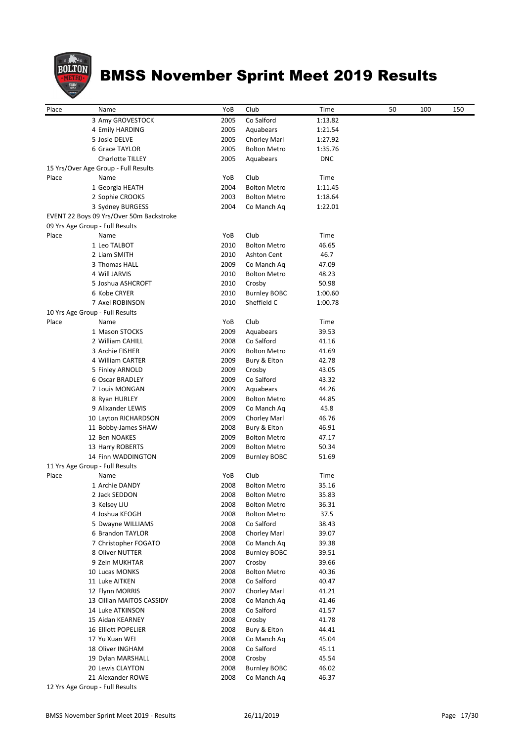

| Co Salford<br>3 Amy GROVESTOCK<br>2005<br>1:13.82<br>2005<br>Aquabears<br>1:21.54<br>4 Emily HARDING<br>5 Josie DELVE<br>2005<br>Chorley Marl<br>1:27.92<br>6 Grace TAYLOR<br>2005<br><b>Bolton Metro</b><br>1:35.76<br>Charlotte TILLEY<br>2005<br>Aquabears<br><b>DNC</b><br>15 Yrs/Over Age Group - Full Results<br>Club<br>YoB<br>Time<br>Name<br>2004<br><b>Bolton Metro</b><br>1:11.45<br>1 Georgia HEATH<br>2 Sophie CROOKS<br>2003<br><b>Bolton Metro</b><br>1:18.64<br>2004<br>3 Sydney BURGESS<br>Co Manch Aq<br>1:22.01<br>EVENT 22 Boys 09 Yrs/Over 50m Backstroke<br>09 Yrs Age Group - Full Results<br>YoB<br>Club<br>Time<br>Name<br>1 Leo TALBOT<br>2010<br><b>Bolton Metro</b><br>46.65<br>2010<br>2 Liam SMITH<br>Ashton Cent<br>46.7<br>3 Thomas HALL<br>2009<br>Co Manch Aq<br>47.09<br>4 Will JARVIS<br>2010<br><b>Bolton Metro</b><br>48.23<br>5 Joshua ASHCROFT<br>2010<br>50.98<br>Crosby<br>6 Kobe CRYER<br>2010<br><b>Burnley BOBC</b><br>1:00.60<br>Sheffield C<br>7 Axel ROBINSON<br>2010<br>1:00.78<br>10 Yrs Age Group - Full Results<br>Club<br>Name<br>YoB<br>Time<br>2009<br>Aquabears<br>39.53<br>1 Mason STOCKS<br>2 William CAHILL<br>2008<br>Co Salford<br>41.16<br>2009<br><b>Bolton Metro</b><br>3 Archie FISHER<br>41.69<br>4 William CARTER<br>2009<br>Bury & Elton<br>42.78<br>2009<br>43.05<br>5 Finley ARNOLD<br>Crosby<br>2009<br>Co Salford<br>6 Oscar BRADLEY<br>43.32<br>2009<br>7 Louis MONGAN<br>Aquabears<br>44.26<br>2009<br><b>Bolton Metro</b><br>44.85<br>8 Ryan HURLEY<br>9 Alixander LEWIS<br>2009<br>45.8<br>Co Manch Aq<br>2009<br>46.76<br>10 Layton RICHARDSON<br>Chorley Marl<br>2008<br>Bury & Elton<br>11 Bobby-James SHAW<br>46.91<br>12 Ben NOAKES<br>2009<br><b>Bolton Metro</b><br>47.17<br>2009<br>13 Harry ROBERTS<br><b>Bolton Metro</b><br>50.34<br>2009<br>14 Finn WADDINGTON<br><b>Burnley BOBC</b><br>51.69<br>11 Yrs Age Group - Full Results<br>Club<br>Place<br>Name<br>YoB<br>Time<br>2008<br>35.16<br>1 Archie DANDY<br><b>Bolton Metro</b><br>35.83<br>2 Jack SEDDON<br>2008<br><b>Bolton Metro</b><br>3 Kelsey LIU<br>2008<br>36.31<br><b>Bolton Metro</b><br>2008<br>37.5<br>4 Joshua KEOGH<br><b>Bolton Metro</b><br>2008<br>Co Salford<br>5 Dwayne WILLIAMS<br>38.43<br>6 Brandon TAYLOR<br>2008<br>Chorley Marl<br>39.07<br>7 Christopher FOGATO<br>2008<br>Co Manch Aq<br>39.38<br>2008<br>8 Oliver NUTTER<br><b>Burnley BOBC</b><br>39.51<br>9 Zein MUKHTAR<br>2007<br>Crosby<br>39.66<br>2008<br><b>Bolton Metro</b><br>40.36<br>10 Lucas MONKS<br>2008<br>Co Salford<br>11 Luke AITKEN<br>40.47<br>2007<br>Chorley Marl<br>12 Flynn MORRIS<br>41.21<br>13 Cillian MAITOS CASSIDY<br>2008<br>Co Manch Ag<br>41.46<br>2008<br>Co Salford<br>14 Luke ATKINSON<br>41.57<br>2008<br>Crosby<br>41.78<br>15 Aidan KEARNEY<br>Bury & Elton<br>16 Elliott POPELIER<br>2008<br>44.41<br>17 Yu Xuan WEI<br>2008<br>Co Manch Aq<br>45.04<br>18 Oliver INGHAM<br>2008<br>Co Salford<br>45.11<br>2008<br>45.54<br>19 Dylan MARSHALL<br>Crosby<br>20 Lewis CLAYTON<br>2008<br><b>Burnley BOBC</b><br>46.02<br>2008<br>Co Manch Aq<br>46.37<br>21 Alexander ROWE<br>12 Yrs Age Group - Full Results | Place | Name | YoB | Club | Time | 50 | 100 | 150 |
|-------------------------------------------------------------------------------------------------------------------------------------------------------------------------------------------------------------------------------------------------------------------------------------------------------------------------------------------------------------------------------------------------------------------------------------------------------------------------------------------------------------------------------------------------------------------------------------------------------------------------------------------------------------------------------------------------------------------------------------------------------------------------------------------------------------------------------------------------------------------------------------------------------------------------------------------------------------------------------------------------------------------------------------------------------------------------------------------------------------------------------------------------------------------------------------------------------------------------------------------------------------------------------------------------------------------------------------------------------------------------------------------------------------------------------------------------------------------------------------------------------------------------------------------------------------------------------------------------------------------------------------------------------------------------------------------------------------------------------------------------------------------------------------------------------------------------------------------------------------------------------------------------------------------------------------------------------------------------------------------------------------------------------------------------------------------------------------------------------------------------------------------------------------------------------------------------------------------------------------------------------------------------------------------------------------------------------------------------------------------------------------------------------------------------------------------------------------------------------------------------------------------------------------------------------------------------------------------------------------------------------------------------------------------------------------------------------------------------------------------------------------------------------------------------------------------------------------------------------------------------------------------------------------------------------------------------------------------------------------------------------------------------------------------------------------------------------------------------------------------------------------------------------------------------------|-------|------|-----|------|------|----|-----|-----|
|                                                                                                                                                                                                                                                                                                                                                                                                                                                                                                                                                                                                                                                                                                                                                                                                                                                                                                                                                                                                                                                                                                                                                                                                                                                                                                                                                                                                                                                                                                                                                                                                                                                                                                                                                                                                                                                                                                                                                                                                                                                                                                                                                                                                                                                                                                                                                                                                                                                                                                                                                                                                                                                                                                                                                                                                                                                                                                                                                                                                                                                                                                                                                                               |       |      |     |      |      |    |     |     |
|                                                                                                                                                                                                                                                                                                                                                                                                                                                                                                                                                                                                                                                                                                                                                                                                                                                                                                                                                                                                                                                                                                                                                                                                                                                                                                                                                                                                                                                                                                                                                                                                                                                                                                                                                                                                                                                                                                                                                                                                                                                                                                                                                                                                                                                                                                                                                                                                                                                                                                                                                                                                                                                                                                                                                                                                                                                                                                                                                                                                                                                                                                                                                                               |       |      |     |      |      |    |     |     |
|                                                                                                                                                                                                                                                                                                                                                                                                                                                                                                                                                                                                                                                                                                                                                                                                                                                                                                                                                                                                                                                                                                                                                                                                                                                                                                                                                                                                                                                                                                                                                                                                                                                                                                                                                                                                                                                                                                                                                                                                                                                                                                                                                                                                                                                                                                                                                                                                                                                                                                                                                                                                                                                                                                                                                                                                                                                                                                                                                                                                                                                                                                                                                                               |       |      |     |      |      |    |     |     |
|                                                                                                                                                                                                                                                                                                                                                                                                                                                                                                                                                                                                                                                                                                                                                                                                                                                                                                                                                                                                                                                                                                                                                                                                                                                                                                                                                                                                                                                                                                                                                                                                                                                                                                                                                                                                                                                                                                                                                                                                                                                                                                                                                                                                                                                                                                                                                                                                                                                                                                                                                                                                                                                                                                                                                                                                                                                                                                                                                                                                                                                                                                                                                                               |       |      |     |      |      |    |     |     |
|                                                                                                                                                                                                                                                                                                                                                                                                                                                                                                                                                                                                                                                                                                                                                                                                                                                                                                                                                                                                                                                                                                                                                                                                                                                                                                                                                                                                                                                                                                                                                                                                                                                                                                                                                                                                                                                                                                                                                                                                                                                                                                                                                                                                                                                                                                                                                                                                                                                                                                                                                                                                                                                                                                                                                                                                                                                                                                                                                                                                                                                                                                                                                                               |       |      |     |      |      |    |     |     |
|                                                                                                                                                                                                                                                                                                                                                                                                                                                                                                                                                                                                                                                                                                                                                                                                                                                                                                                                                                                                                                                                                                                                                                                                                                                                                                                                                                                                                                                                                                                                                                                                                                                                                                                                                                                                                                                                                                                                                                                                                                                                                                                                                                                                                                                                                                                                                                                                                                                                                                                                                                                                                                                                                                                                                                                                                                                                                                                                                                                                                                                                                                                                                                               |       |      |     |      |      |    |     |     |
|                                                                                                                                                                                                                                                                                                                                                                                                                                                                                                                                                                                                                                                                                                                                                                                                                                                                                                                                                                                                                                                                                                                                                                                                                                                                                                                                                                                                                                                                                                                                                                                                                                                                                                                                                                                                                                                                                                                                                                                                                                                                                                                                                                                                                                                                                                                                                                                                                                                                                                                                                                                                                                                                                                                                                                                                                                                                                                                                                                                                                                                                                                                                                                               | Place |      |     |      |      |    |     |     |
|                                                                                                                                                                                                                                                                                                                                                                                                                                                                                                                                                                                                                                                                                                                                                                                                                                                                                                                                                                                                                                                                                                                                                                                                                                                                                                                                                                                                                                                                                                                                                                                                                                                                                                                                                                                                                                                                                                                                                                                                                                                                                                                                                                                                                                                                                                                                                                                                                                                                                                                                                                                                                                                                                                                                                                                                                                                                                                                                                                                                                                                                                                                                                                               |       |      |     |      |      |    |     |     |
|                                                                                                                                                                                                                                                                                                                                                                                                                                                                                                                                                                                                                                                                                                                                                                                                                                                                                                                                                                                                                                                                                                                                                                                                                                                                                                                                                                                                                                                                                                                                                                                                                                                                                                                                                                                                                                                                                                                                                                                                                                                                                                                                                                                                                                                                                                                                                                                                                                                                                                                                                                                                                                                                                                                                                                                                                                                                                                                                                                                                                                                                                                                                                                               |       |      |     |      |      |    |     |     |
|                                                                                                                                                                                                                                                                                                                                                                                                                                                                                                                                                                                                                                                                                                                                                                                                                                                                                                                                                                                                                                                                                                                                                                                                                                                                                                                                                                                                                                                                                                                                                                                                                                                                                                                                                                                                                                                                                                                                                                                                                                                                                                                                                                                                                                                                                                                                                                                                                                                                                                                                                                                                                                                                                                                                                                                                                                                                                                                                                                                                                                                                                                                                                                               |       |      |     |      |      |    |     |     |
|                                                                                                                                                                                                                                                                                                                                                                                                                                                                                                                                                                                                                                                                                                                                                                                                                                                                                                                                                                                                                                                                                                                                                                                                                                                                                                                                                                                                                                                                                                                                                                                                                                                                                                                                                                                                                                                                                                                                                                                                                                                                                                                                                                                                                                                                                                                                                                                                                                                                                                                                                                                                                                                                                                                                                                                                                                                                                                                                                                                                                                                                                                                                                                               |       |      |     |      |      |    |     |     |
|                                                                                                                                                                                                                                                                                                                                                                                                                                                                                                                                                                                                                                                                                                                                                                                                                                                                                                                                                                                                                                                                                                                                                                                                                                                                                                                                                                                                                                                                                                                                                                                                                                                                                                                                                                                                                                                                                                                                                                                                                                                                                                                                                                                                                                                                                                                                                                                                                                                                                                                                                                                                                                                                                                                                                                                                                                                                                                                                                                                                                                                                                                                                                                               |       |      |     |      |      |    |     |     |
|                                                                                                                                                                                                                                                                                                                                                                                                                                                                                                                                                                                                                                                                                                                                                                                                                                                                                                                                                                                                                                                                                                                                                                                                                                                                                                                                                                                                                                                                                                                                                                                                                                                                                                                                                                                                                                                                                                                                                                                                                                                                                                                                                                                                                                                                                                                                                                                                                                                                                                                                                                                                                                                                                                                                                                                                                                                                                                                                                                                                                                                                                                                                                                               | Place |      |     |      |      |    |     |     |
|                                                                                                                                                                                                                                                                                                                                                                                                                                                                                                                                                                                                                                                                                                                                                                                                                                                                                                                                                                                                                                                                                                                                                                                                                                                                                                                                                                                                                                                                                                                                                                                                                                                                                                                                                                                                                                                                                                                                                                                                                                                                                                                                                                                                                                                                                                                                                                                                                                                                                                                                                                                                                                                                                                                                                                                                                                                                                                                                                                                                                                                                                                                                                                               |       |      |     |      |      |    |     |     |
|                                                                                                                                                                                                                                                                                                                                                                                                                                                                                                                                                                                                                                                                                                                                                                                                                                                                                                                                                                                                                                                                                                                                                                                                                                                                                                                                                                                                                                                                                                                                                                                                                                                                                                                                                                                                                                                                                                                                                                                                                                                                                                                                                                                                                                                                                                                                                                                                                                                                                                                                                                                                                                                                                                                                                                                                                                                                                                                                                                                                                                                                                                                                                                               |       |      |     |      |      |    |     |     |
|                                                                                                                                                                                                                                                                                                                                                                                                                                                                                                                                                                                                                                                                                                                                                                                                                                                                                                                                                                                                                                                                                                                                                                                                                                                                                                                                                                                                                                                                                                                                                                                                                                                                                                                                                                                                                                                                                                                                                                                                                                                                                                                                                                                                                                                                                                                                                                                                                                                                                                                                                                                                                                                                                                                                                                                                                                                                                                                                                                                                                                                                                                                                                                               |       |      |     |      |      |    |     |     |
|                                                                                                                                                                                                                                                                                                                                                                                                                                                                                                                                                                                                                                                                                                                                                                                                                                                                                                                                                                                                                                                                                                                                                                                                                                                                                                                                                                                                                                                                                                                                                                                                                                                                                                                                                                                                                                                                                                                                                                                                                                                                                                                                                                                                                                                                                                                                                                                                                                                                                                                                                                                                                                                                                                                                                                                                                                                                                                                                                                                                                                                                                                                                                                               |       |      |     |      |      |    |     |     |
|                                                                                                                                                                                                                                                                                                                                                                                                                                                                                                                                                                                                                                                                                                                                                                                                                                                                                                                                                                                                                                                                                                                                                                                                                                                                                                                                                                                                                                                                                                                                                                                                                                                                                                                                                                                                                                                                                                                                                                                                                                                                                                                                                                                                                                                                                                                                                                                                                                                                                                                                                                                                                                                                                                                                                                                                                                                                                                                                                                                                                                                                                                                                                                               |       |      |     |      |      |    |     |     |
|                                                                                                                                                                                                                                                                                                                                                                                                                                                                                                                                                                                                                                                                                                                                                                                                                                                                                                                                                                                                                                                                                                                                                                                                                                                                                                                                                                                                                                                                                                                                                                                                                                                                                                                                                                                                                                                                                                                                                                                                                                                                                                                                                                                                                                                                                                                                                                                                                                                                                                                                                                                                                                                                                                                                                                                                                                                                                                                                                                                                                                                                                                                                                                               |       |      |     |      |      |    |     |     |
|                                                                                                                                                                                                                                                                                                                                                                                                                                                                                                                                                                                                                                                                                                                                                                                                                                                                                                                                                                                                                                                                                                                                                                                                                                                                                                                                                                                                                                                                                                                                                                                                                                                                                                                                                                                                                                                                                                                                                                                                                                                                                                                                                                                                                                                                                                                                                                                                                                                                                                                                                                                                                                                                                                                                                                                                                                                                                                                                                                                                                                                                                                                                                                               |       |      |     |      |      |    |     |     |
|                                                                                                                                                                                                                                                                                                                                                                                                                                                                                                                                                                                                                                                                                                                                                                                                                                                                                                                                                                                                                                                                                                                                                                                                                                                                                                                                                                                                                                                                                                                                                                                                                                                                                                                                                                                                                                                                                                                                                                                                                                                                                                                                                                                                                                                                                                                                                                                                                                                                                                                                                                                                                                                                                                                                                                                                                                                                                                                                                                                                                                                                                                                                                                               |       |      |     |      |      |    |     |     |
|                                                                                                                                                                                                                                                                                                                                                                                                                                                                                                                                                                                                                                                                                                                                                                                                                                                                                                                                                                                                                                                                                                                                                                                                                                                                                                                                                                                                                                                                                                                                                                                                                                                                                                                                                                                                                                                                                                                                                                                                                                                                                                                                                                                                                                                                                                                                                                                                                                                                                                                                                                                                                                                                                                                                                                                                                                                                                                                                                                                                                                                                                                                                                                               | Place |      |     |      |      |    |     |     |
|                                                                                                                                                                                                                                                                                                                                                                                                                                                                                                                                                                                                                                                                                                                                                                                                                                                                                                                                                                                                                                                                                                                                                                                                                                                                                                                                                                                                                                                                                                                                                                                                                                                                                                                                                                                                                                                                                                                                                                                                                                                                                                                                                                                                                                                                                                                                                                                                                                                                                                                                                                                                                                                                                                                                                                                                                                                                                                                                                                                                                                                                                                                                                                               |       |      |     |      |      |    |     |     |
|                                                                                                                                                                                                                                                                                                                                                                                                                                                                                                                                                                                                                                                                                                                                                                                                                                                                                                                                                                                                                                                                                                                                                                                                                                                                                                                                                                                                                                                                                                                                                                                                                                                                                                                                                                                                                                                                                                                                                                                                                                                                                                                                                                                                                                                                                                                                                                                                                                                                                                                                                                                                                                                                                                                                                                                                                                                                                                                                                                                                                                                                                                                                                                               |       |      |     |      |      |    |     |     |
|                                                                                                                                                                                                                                                                                                                                                                                                                                                                                                                                                                                                                                                                                                                                                                                                                                                                                                                                                                                                                                                                                                                                                                                                                                                                                                                                                                                                                                                                                                                                                                                                                                                                                                                                                                                                                                                                                                                                                                                                                                                                                                                                                                                                                                                                                                                                                                                                                                                                                                                                                                                                                                                                                                                                                                                                                                                                                                                                                                                                                                                                                                                                                                               |       |      |     |      |      |    |     |     |
|                                                                                                                                                                                                                                                                                                                                                                                                                                                                                                                                                                                                                                                                                                                                                                                                                                                                                                                                                                                                                                                                                                                                                                                                                                                                                                                                                                                                                                                                                                                                                                                                                                                                                                                                                                                                                                                                                                                                                                                                                                                                                                                                                                                                                                                                                                                                                                                                                                                                                                                                                                                                                                                                                                                                                                                                                                                                                                                                                                                                                                                                                                                                                                               |       |      |     |      |      |    |     |     |
|                                                                                                                                                                                                                                                                                                                                                                                                                                                                                                                                                                                                                                                                                                                                                                                                                                                                                                                                                                                                                                                                                                                                                                                                                                                                                                                                                                                                                                                                                                                                                                                                                                                                                                                                                                                                                                                                                                                                                                                                                                                                                                                                                                                                                                                                                                                                                                                                                                                                                                                                                                                                                                                                                                                                                                                                                                                                                                                                                                                                                                                                                                                                                                               |       |      |     |      |      |    |     |     |
|                                                                                                                                                                                                                                                                                                                                                                                                                                                                                                                                                                                                                                                                                                                                                                                                                                                                                                                                                                                                                                                                                                                                                                                                                                                                                                                                                                                                                                                                                                                                                                                                                                                                                                                                                                                                                                                                                                                                                                                                                                                                                                                                                                                                                                                                                                                                                                                                                                                                                                                                                                                                                                                                                                                                                                                                                                                                                                                                                                                                                                                                                                                                                                               |       |      |     |      |      |    |     |     |
|                                                                                                                                                                                                                                                                                                                                                                                                                                                                                                                                                                                                                                                                                                                                                                                                                                                                                                                                                                                                                                                                                                                                                                                                                                                                                                                                                                                                                                                                                                                                                                                                                                                                                                                                                                                                                                                                                                                                                                                                                                                                                                                                                                                                                                                                                                                                                                                                                                                                                                                                                                                                                                                                                                                                                                                                                                                                                                                                                                                                                                                                                                                                                                               |       |      |     |      |      |    |     |     |
|                                                                                                                                                                                                                                                                                                                                                                                                                                                                                                                                                                                                                                                                                                                                                                                                                                                                                                                                                                                                                                                                                                                                                                                                                                                                                                                                                                                                                                                                                                                                                                                                                                                                                                                                                                                                                                                                                                                                                                                                                                                                                                                                                                                                                                                                                                                                                                                                                                                                                                                                                                                                                                                                                                                                                                                                                                                                                                                                                                                                                                                                                                                                                                               |       |      |     |      |      |    |     |     |
|                                                                                                                                                                                                                                                                                                                                                                                                                                                                                                                                                                                                                                                                                                                                                                                                                                                                                                                                                                                                                                                                                                                                                                                                                                                                                                                                                                                                                                                                                                                                                                                                                                                                                                                                                                                                                                                                                                                                                                                                                                                                                                                                                                                                                                                                                                                                                                                                                                                                                                                                                                                                                                                                                                                                                                                                                                                                                                                                                                                                                                                                                                                                                                               |       |      |     |      |      |    |     |     |
|                                                                                                                                                                                                                                                                                                                                                                                                                                                                                                                                                                                                                                                                                                                                                                                                                                                                                                                                                                                                                                                                                                                                                                                                                                                                                                                                                                                                                                                                                                                                                                                                                                                                                                                                                                                                                                                                                                                                                                                                                                                                                                                                                                                                                                                                                                                                                                                                                                                                                                                                                                                                                                                                                                                                                                                                                                                                                                                                                                                                                                                                                                                                                                               |       |      |     |      |      |    |     |     |
|                                                                                                                                                                                                                                                                                                                                                                                                                                                                                                                                                                                                                                                                                                                                                                                                                                                                                                                                                                                                                                                                                                                                                                                                                                                                                                                                                                                                                                                                                                                                                                                                                                                                                                                                                                                                                                                                                                                                                                                                                                                                                                                                                                                                                                                                                                                                                                                                                                                                                                                                                                                                                                                                                                                                                                                                                                                                                                                                                                                                                                                                                                                                                                               |       |      |     |      |      |    |     |     |
|                                                                                                                                                                                                                                                                                                                                                                                                                                                                                                                                                                                                                                                                                                                                                                                                                                                                                                                                                                                                                                                                                                                                                                                                                                                                                                                                                                                                                                                                                                                                                                                                                                                                                                                                                                                                                                                                                                                                                                                                                                                                                                                                                                                                                                                                                                                                                                                                                                                                                                                                                                                                                                                                                                                                                                                                                                                                                                                                                                                                                                                                                                                                                                               |       |      |     |      |      |    |     |     |
|                                                                                                                                                                                                                                                                                                                                                                                                                                                                                                                                                                                                                                                                                                                                                                                                                                                                                                                                                                                                                                                                                                                                                                                                                                                                                                                                                                                                                                                                                                                                                                                                                                                                                                                                                                                                                                                                                                                                                                                                                                                                                                                                                                                                                                                                                                                                                                                                                                                                                                                                                                                                                                                                                                                                                                                                                                                                                                                                                                                                                                                                                                                                                                               |       |      |     |      |      |    |     |     |
|                                                                                                                                                                                                                                                                                                                                                                                                                                                                                                                                                                                                                                                                                                                                                                                                                                                                                                                                                                                                                                                                                                                                                                                                                                                                                                                                                                                                                                                                                                                                                                                                                                                                                                                                                                                                                                                                                                                                                                                                                                                                                                                                                                                                                                                                                                                                                                                                                                                                                                                                                                                                                                                                                                                                                                                                                                                                                                                                                                                                                                                                                                                                                                               |       |      |     |      |      |    |     |     |
|                                                                                                                                                                                                                                                                                                                                                                                                                                                                                                                                                                                                                                                                                                                                                                                                                                                                                                                                                                                                                                                                                                                                                                                                                                                                                                                                                                                                                                                                                                                                                                                                                                                                                                                                                                                                                                                                                                                                                                                                                                                                                                                                                                                                                                                                                                                                                                                                                                                                                                                                                                                                                                                                                                                                                                                                                                                                                                                                                                                                                                                                                                                                                                               |       |      |     |      |      |    |     |     |
|                                                                                                                                                                                                                                                                                                                                                                                                                                                                                                                                                                                                                                                                                                                                                                                                                                                                                                                                                                                                                                                                                                                                                                                                                                                                                                                                                                                                                                                                                                                                                                                                                                                                                                                                                                                                                                                                                                                                                                                                                                                                                                                                                                                                                                                                                                                                                                                                                                                                                                                                                                                                                                                                                                                                                                                                                                                                                                                                                                                                                                                                                                                                                                               |       |      |     |      |      |    |     |     |
|                                                                                                                                                                                                                                                                                                                                                                                                                                                                                                                                                                                                                                                                                                                                                                                                                                                                                                                                                                                                                                                                                                                                                                                                                                                                                                                                                                                                                                                                                                                                                                                                                                                                                                                                                                                                                                                                                                                                                                                                                                                                                                                                                                                                                                                                                                                                                                                                                                                                                                                                                                                                                                                                                                                                                                                                                                                                                                                                                                                                                                                                                                                                                                               |       |      |     |      |      |    |     |     |
|                                                                                                                                                                                                                                                                                                                                                                                                                                                                                                                                                                                                                                                                                                                                                                                                                                                                                                                                                                                                                                                                                                                                                                                                                                                                                                                                                                                                                                                                                                                                                                                                                                                                                                                                                                                                                                                                                                                                                                                                                                                                                                                                                                                                                                                                                                                                                                                                                                                                                                                                                                                                                                                                                                                                                                                                                                                                                                                                                                                                                                                                                                                                                                               |       |      |     |      |      |    |     |     |
|                                                                                                                                                                                                                                                                                                                                                                                                                                                                                                                                                                                                                                                                                                                                                                                                                                                                                                                                                                                                                                                                                                                                                                                                                                                                                                                                                                                                                                                                                                                                                                                                                                                                                                                                                                                                                                                                                                                                                                                                                                                                                                                                                                                                                                                                                                                                                                                                                                                                                                                                                                                                                                                                                                                                                                                                                                                                                                                                                                                                                                                                                                                                                                               |       |      |     |      |      |    |     |     |
|                                                                                                                                                                                                                                                                                                                                                                                                                                                                                                                                                                                                                                                                                                                                                                                                                                                                                                                                                                                                                                                                                                                                                                                                                                                                                                                                                                                                                                                                                                                                                                                                                                                                                                                                                                                                                                                                                                                                                                                                                                                                                                                                                                                                                                                                                                                                                                                                                                                                                                                                                                                                                                                                                                                                                                                                                                                                                                                                                                                                                                                                                                                                                                               |       |      |     |      |      |    |     |     |
|                                                                                                                                                                                                                                                                                                                                                                                                                                                                                                                                                                                                                                                                                                                                                                                                                                                                                                                                                                                                                                                                                                                                                                                                                                                                                                                                                                                                                                                                                                                                                                                                                                                                                                                                                                                                                                                                                                                                                                                                                                                                                                                                                                                                                                                                                                                                                                                                                                                                                                                                                                                                                                                                                                                                                                                                                                                                                                                                                                                                                                                                                                                                                                               |       |      |     |      |      |    |     |     |
|                                                                                                                                                                                                                                                                                                                                                                                                                                                                                                                                                                                                                                                                                                                                                                                                                                                                                                                                                                                                                                                                                                                                                                                                                                                                                                                                                                                                                                                                                                                                                                                                                                                                                                                                                                                                                                                                                                                                                                                                                                                                                                                                                                                                                                                                                                                                                                                                                                                                                                                                                                                                                                                                                                                                                                                                                                                                                                                                                                                                                                                                                                                                                                               |       |      |     |      |      |    |     |     |
|                                                                                                                                                                                                                                                                                                                                                                                                                                                                                                                                                                                                                                                                                                                                                                                                                                                                                                                                                                                                                                                                                                                                                                                                                                                                                                                                                                                                                                                                                                                                                                                                                                                                                                                                                                                                                                                                                                                                                                                                                                                                                                                                                                                                                                                                                                                                                                                                                                                                                                                                                                                                                                                                                                                                                                                                                                                                                                                                                                                                                                                                                                                                                                               |       |      |     |      |      |    |     |     |
|                                                                                                                                                                                                                                                                                                                                                                                                                                                                                                                                                                                                                                                                                                                                                                                                                                                                                                                                                                                                                                                                                                                                                                                                                                                                                                                                                                                                                                                                                                                                                                                                                                                                                                                                                                                                                                                                                                                                                                                                                                                                                                                                                                                                                                                                                                                                                                                                                                                                                                                                                                                                                                                                                                                                                                                                                                                                                                                                                                                                                                                                                                                                                                               |       |      |     |      |      |    |     |     |
|                                                                                                                                                                                                                                                                                                                                                                                                                                                                                                                                                                                                                                                                                                                                                                                                                                                                                                                                                                                                                                                                                                                                                                                                                                                                                                                                                                                                                                                                                                                                                                                                                                                                                                                                                                                                                                                                                                                                                                                                                                                                                                                                                                                                                                                                                                                                                                                                                                                                                                                                                                                                                                                                                                                                                                                                                                                                                                                                                                                                                                                                                                                                                                               |       |      |     |      |      |    |     |     |
|                                                                                                                                                                                                                                                                                                                                                                                                                                                                                                                                                                                                                                                                                                                                                                                                                                                                                                                                                                                                                                                                                                                                                                                                                                                                                                                                                                                                                                                                                                                                                                                                                                                                                                                                                                                                                                                                                                                                                                                                                                                                                                                                                                                                                                                                                                                                                                                                                                                                                                                                                                                                                                                                                                                                                                                                                                                                                                                                                                                                                                                                                                                                                                               |       |      |     |      |      |    |     |     |
|                                                                                                                                                                                                                                                                                                                                                                                                                                                                                                                                                                                                                                                                                                                                                                                                                                                                                                                                                                                                                                                                                                                                                                                                                                                                                                                                                                                                                                                                                                                                                                                                                                                                                                                                                                                                                                                                                                                                                                                                                                                                                                                                                                                                                                                                                                                                                                                                                                                                                                                                                                                                                                                                                                                                                                                                                                                                                                                                                                                                                                                                                                                                                                               |       |      |     |      |      |    |     |     |
|                                                                                                                                                                                                                                                                                                                                                                                                                                                                                                                                                                                                                                                                                                                                                                                                                                                                                                                                                                                                                                                                                                                                                                                                                                                                                                                                                                                                                                                                                                                                                                                                                                                                                                                                                                                                                                                                                                                                                                                                                                                                                                                                                                                                                                                                                                                                                                                                                                                                                                                                                                                                                                                                                                                                                                                                                                                                                                                                                                                                                                                                                                                                                                               |       |      |     |      |      |    |     |     |
|                                                                                                                                                                                                                                                                                                                                                                                                                                                                                                                                                                                                                                                                                                                                                                                                                                                                                                                                                                                                                                                                                                                                                                                                                                                                                                                                                                                                                                                                                                                                                                                                                                                                                                                                                                                                                                                                                                                                                                                                                                                                                                                                                                                                                                                                                                                                                                                                                                                                                                                                                                                                                                                                                                                                                                                                                                                                                                                                                                                                                                                                                                                                                                               |       |      |     |      |      |    |     |     |
|                                                                                                                                                                                                                                                                                                                                                                                                                                                                                                                                                                                                                                                                                                                                                                                                                                                                                                                                                                                                                                                                                                                                                                                                                                                                                                                                                                                                                                                                                                                                                                                                                                                                                                                                                                                                                                                                                                                                                                                                                                                                                                                                                                                                                                                                                                                                                                                                                                                                                                                                                                                                                                                                                                                                                                                                                                                                                                                                                                                                                                                                                                                                                                               |       |      |     |      |      |    |     |     |
|                                                                                                                                                                                                                                                                                                                                                                                                                                                                                                                                                                                                                                                                                                                                                                                                                                                                                                                                                                                                                                                                                                                                                                                                                                                                                                                                                                                                                                                                                                                                                                                                                                                                                                                                                                                                                                                                                                                                                                                                                                                                                                                                                                                                                                                                                                                                                                                                                                                                                                                                                                                                                                                                                                                                                                                                                                                                                                                                                                                                                                                                                                                                                                               |       |      |     |      |      |    |     |     |
|                                                                                                                                                                                                                                                                                                                                                                                                                                                                                                                                                                                                                                                                                                                                                                                                                                                                                                                                                                                                                                                                                                                                                                                                                                                                                                                                                                                                                                                                                                                                                                                                                                                                                                                                                                                                                                                                                                                                                                                                                                                                                                                                                                                                                                                                                                                                                                                                                                                                                                                                                                                                                                                                                                                                                                                                                                                                                                                                                                                                                                                                                                                                                                               |       |      |     |      |      |    |     |     |
|                                                                                                                                                                                                                                                                                                                                                                                                                                                                                                                                                                                                                                                                                                                                                                                                                                                                                                                                                                                                                                                                                                                                                                                                                                                                                                                                                                                                                                                                                                                                                                                                                                                                                                                                                                                                                                                                                                                                                                                                                                                                                                                                                                                                                                                                                                                                                                                                                                                                                                                                                                                                                                                                                                                                                                                                                                                                                                                                                                                                                                                                                                                                                                               |       |      |     |      |      |    |     |     |
|                                                                                                                                                                                                                                                                                                                                                                                                                                                                                                                                                                                                                                                                                                                                                                                                                                                                                                                                                                                                                                                                                                                                                                                                                                                                                                                                                                                                                                                                                                                                                                                                                                                                                                                                                                                                                                                                                                                                                                                                                                                                                                                                                                                                                                                                                                                                                                                                                                                                                                                                                                                                                                                                                                                                                                                                                                                                                                                                                                                                                                                                                                                                                                               |       |      |     |      |      |    |     |     |
|                                                                                                                                                                                                                                                                                                                                                                                                                                                                                                                                                                                                                                                                                                                                                                                                                                                                                                                                                                                                                                                                                                                                                                                                                                                                                                                                                                                                                                                                                                                                                                                                                                                                                                                                                                                                                                                                                                                                                                                                                                                                                                                                                                                                                                                                                                                                                                                                                                                                                                                                                                                                                                                                                                                                                                                                                                                                                                                                                                                                                                                                                                                                                                               |       |      |     |      |      |    |     |     |
|                                                                                                                                                                                                                                                                                                                                                                                                                                                                                                                                                                                                                                                                                                                                                                                                                                                                                                                                                                                                                                                                                                                                                                                                                                                                                                                                                                                                                                                                                                                                                                                                                                                                                                                                                                                                                                                                                                                                                                                                                                                                                                                                                                                                                                                                                                                                                                                                                                                                                                                                                                                                                                                                                                                                                                                                                                                                                                                                                                                                                                                                                                                                                                               |       |      |     |      |      |    |     |     |
|                                                                                                                                                                                                                                                                                                                                                                                                                                                                                                                                                                                                                                                                                                                                                                                                                                                                                                                                                                                                                                                                                                                                                                                                                                                                                                                                                                                                                                                                                                                                                                                                                                                                                                                                                                                                                                                                                                                                                                                                                                                                                                                                                                                                                                                                                                                                                                                                                                                                                                                                                                                                                                                                                                                                                                                                                                                                                                                                                                                                                                                                                                                                                                               |       |      |     |      |      |    |     |     |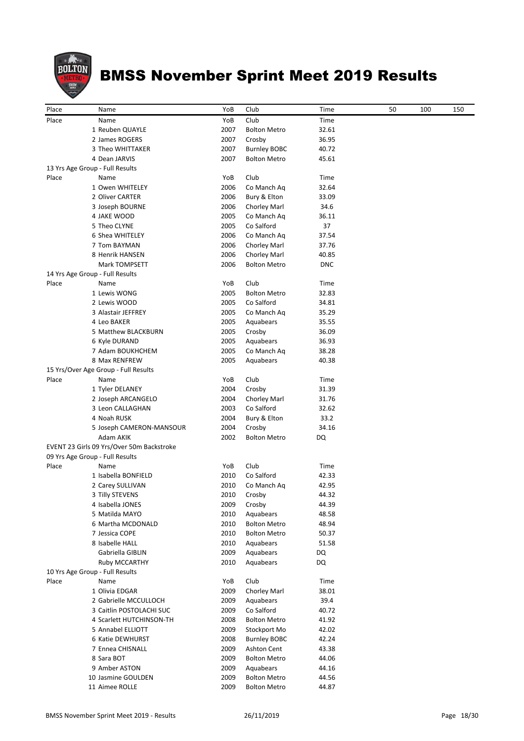

| Place | Name                                                  | YoB  | Club                | Time       | 50 | 100 | 150 |
|-------|-------------------------------------------------------|------|---------------------|------------|----|-----|-----|
| Place | Name                                                  | YoB  | Club                | Time       |    |     |     |
|       | 1 Reuben QUAYLE                                       | 2007 | <b>Bolton Metro</b> | 32.61      |    |     |     |
|       | 2 James ROGERS                                        | 2007 | Crosby              | 36.95      |    |     |     |
|       | 3 Theo WHITTAKER                                      | 2007 | <b>Burnley BOBC</b> | 40.72      |    |     |     |
|       | 4 Dean JARVIS                                         | 2007 | <b>Bolton Metro</b> | 45.61      |    |     |     |
|       | 13 Yrs Age Group - Full Results                       |      |                     |            |    |     |     |
| Place | Name                                                  | YoB  | Club                | Time       |    |     |     |
|       | 1 Owen WHITELEY                                       | 2006 | Co Manch Aq         | 32.64      |    |     |     |
|       | 2 Oliver CARTER                                       | 2006 | Bury & Elton        | 33.09      |    |     |     |
|       | 3 Joseph BOURNE                                       | 2006 | Chorley Marl        | 34.6       |    |     |     |
|       | 4 JAKE WOOD                                           | 2005 | Co Manch Aq         | 36.11      |    |     |     |
|       | 5 Theo CLYNE                                          | 2005 | Co Salford          | 37         |    |     |     |
|       | 6 Shea WHITELEY                                       | 2006 | Co Manch Aq         | 37.54      |    |     |     |
|       | 7 Tom BAYMAN                                          | 2006 | Chorley Marl        | 37.76      |    |     |     |
|       | 8 Henrik HANSEN                                       | 2006 | Chorley Marl        | 40.85      |    |     |     |
|       | Mark TOMPSETT                                         | 2006 | <b>Bolton Metro</b> | <b>DNC</b> |    |     |     |
|       | 14 Yrs Age Group - Full Results                       |      |                     |            |    |     |     |
| Place | Name                                                  | YoB  | Club                | Time       |    |     |     |
|       | 1 Lewis WONG                                          | 2005 | <b>Bolton Metro</b> | 32.83      |    |     |     |
|       | 2 Lewis WOOD                                          | 2005 | Co Salford          | 34.81      |    |     |     |
|       | 3 Alastair JEFFREY                                    | 2005 | Co Manch Aq         | 35.29      |    |     |     |
|       | 4 Leo BAKER                                           | 2005 | Aquabears           | 35.55      |    |     |     |
|       | 5 Matthew BLACKBURN                                   | 2005 | Crosby              | 36.09      |    |     |     |
|       | 6 Kyle DURAND                                         | 2005 | Aquabears           | 36.93      |    |     |     |
|       | 7 Adam BOUKHCHEM                                      | 2005 | Co Manch Aq         | 38.28      |    |     |     |
|       | 8 Max RENFREW<br>15 Yrs/Over Age Group - Full Results | 2005 | Aquabears           | 40.38      |    |     |     |
| Place | Name                                                  | YoB  | Club                | Time       |    |     |     |
|       | 1 Tyler DELANEY                                       | 2004 | Crosby              | 31.39      |    |     |     |
|       | 2 Joseph ARCANGELO                                    | 2004 | Chorley Marl        | 31.76      |    |     |     |
|       | 3 Leon CALLAGHAN                                      | 2003 | Co Salford          | 32.62      |    |     |     |
|       | 4 Noah RUSK                                           | 2004 | Bury & Elton        | 33.2       |    |     |     |
|       | 5 Joseph CAMERON-MANSOUR                              | 2004 | Crosby              | 34.16      |    |     |     |
|       | Adam AKIK                                             | 2002 | <b>Bolton Metro</b> | DQ         |    |     |     |
|       | EVENT 23 Girls 09 Yrs/Over 50m Backstroke             |      |                     |            |    |     |     |
|       | 09 Yrs Age Group - Full Results                       |      |                     |            |    |     |     |
| Place | Name                                                  | YoB  | Club                | Time       |    |     |     |
|       | 1 Isabella BONFIELD                                   | 2010 | Co Salford          | 42.33      |    |     |     |
|       | 2 Carey SULLIVAN                                      | 2010 | Co Manch Ag         | 42.95      |    |     |     |
|       | 3 Tilly STEVENS                                       | 2010 | Crosby              | 44.32      |    |     |     |
|       | 4 Isabella JONES                                      | 2009 | Crosby              | 44.39      |    |     |     |
|       | 5 Matilda MAYO                                        | 2010 | Aquabears           | 48.58      |    |     |     |
|       | 6 Martha MCDONALD                                     | 2010 | <b>Bolton Metro</b> | 48.94      |    |     |     |
|       | 7 Jessica COPE                                        | 2010 | <b>Bolton Metro</b> | 50.37      |    |     |     |
|       | 8 Isabelle HALL                                       | 2010 | Aquabears           | 51.58      |    |     |     |
|       | Gabriella GIBLIN                                      | 2009 | Aquabears           | DQ         |    |     |     |
|       | <b>Ruby MCCARTHY</b>                                  | 2010 | Aquabears           | DQ         |    |     |     |
|       | 10 Yrs Age Group - Full Results                       |      |                     |            |    |     |     |
| Place | Name                                                  | YoB  | Club                | Time       |    |     |     |
|       | 1 Olivia EDGAR                                        | 2009 | Chorley Marl        | 38.01      |    |     |     |
|       | 2 Gabrielle MCCULLOCH                                 | 2009 | Aquabears           | 39.4       |    |     |     |
|       | 3 Caitlin POSTOLACHI SUC                              | 2009 | Co Salford          | 40.72      |    |     |     |
|       | 4 Scarlett HUTCHINSON-TH                              | 2008 | <b>Bolton Metro</b> | 41.92      |    |     |     |
|       | 5 Annabel ELLIOTT                                     | 2009 | Stockport Mo        | 42.02      |    |     |     |
|       | 6 Katie DEWHURST                                      | 2008 | <b>Burnley BOBC</b> | 42.24      |    |     |     |
|       | 7 Ennea CHISNALL                                      | 2009 | Ashton Cent         | 43.38      |    |     |     |
|       | 8 Sara BOT                                            | 2009 | <b>Bolton Metro</b> | 44.06      |    |     |     |
|       | 9 Amber ASTON                                         | 2009 | Aquabears           | 44.16      |    |     |     |
|       | 10 Jasmine GOULDEN                                    | 2009 | <b>Bolton Metro</b> | 44.56      |    |     |     |
|       | 11 Aimee ROLLE                                        | 2009 | <b>Bolton Metro</b> | 44.87      |    |     |     |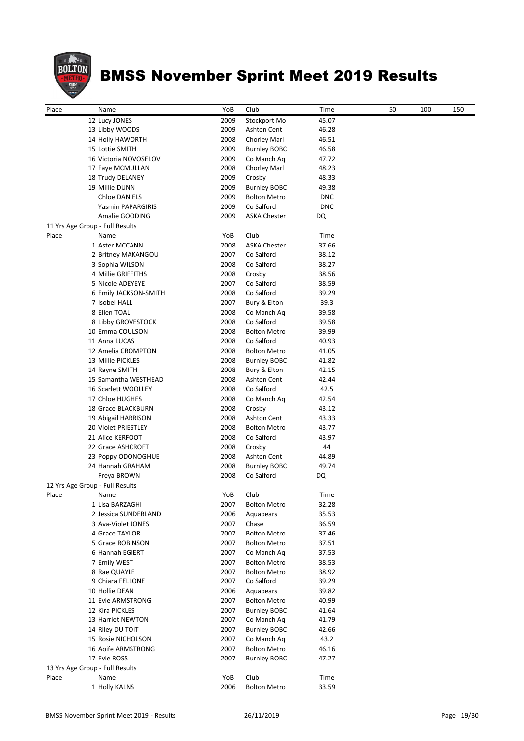

| Place | Name                            | YoB  | Club                | Time       | 50 | 100 | 150 |
|-------|---------------------------------|------|---------------------|------------|----|-----|-----|
|       | 12 Lucy JONES                   | 2009 | Stockport Mo        | 45.07      |    |     |     |
|       | 13 Libby WOODS                  | 2009 | Ashton Cent         | 46.28      |    |     |     |
|       | 14 Holly HAWORTH                | 2008 | Chorley Marl        | 46.51      |    |     |     |
|       | 15 Lottie SMITH                 | 2009 | <b>Burnley BOBC</b> | 46.58      |    |     |     |
|       | 16 Victoria NOVOSELOV           | 2009 | Co Manch Aq         | 47.72      |    |     |     |
|       | 17 Faye MCMULLAN                | 2008 | Chorley Marl        | 48.23      |    |     |     |
|       | 18 Trudy DELANEY                | 2009 | Crosby              | 48.33      |    |     |     |
|       | 19 Millie DUNN                  | 2009 | <b>Burnley BOBC</b> | 49.38      |    |     |     |
|       | <b>Chloe DANIELS</b>            | 2009 | <b>Bolton Metro</b> | <b>DNC</b> |    |     |     |
|       | Yasmin PAPARGIRIS               | 2009 | Co Salford          | <b>DNC</b> |    |     |     |
|       | Amalie GOODING                  | 2009 | <b>ASKA Chester</b> | DQ         |    |     |     |
|       | 11 Yrs Age Group - Full Results |      |                     |            |    |     |     |
| Place | Name                            | YoB  | Club                | Time       |    |     |     |
|       | 1 Aster MCCANN                  | 2008 | <b>ASKA Chester</b> | 37.66      |    |     |     |
|       | 2 Britney MAKANGOU              | 2007 | Co Salford          | 38.12      |    |     |     |
|       | 3 Sophia WILSON                 | 2008 | Co Salford          | 38.27      |    |     |     |
|       | 4 Millie GRIFFITHS              | 2008 | Crosby              | 38.56      |    |     |     |
|       | 5 Nicole ADEYEYE                | 2007 | Co Salford          | 38.59      |    |     |     |
|       | 6 Emily JACKSON-SMITH           | 2008 | Co Salford          | 39.29      |    |     |     |
|       | 7 Isobel HALL                   | 2007 | Bury & Elton        | 39.3       |    |     |     |
|       | 8 Ellen TOAL                    | 2008 | Co Manch Aq         | 39.58      |    |     |     |
|       | 8 Libby GROVESTOCK              | 2008 | Co Salford          | 39.58      |    |     |     |
|       |                                 |      |                     |            |    |     |     |
|       | 10 Emma COULSON                 | 2008 | <b>Bolton Metro</b> | 39.99      |    |     |     |
|       | 11 Anna LUCAS                   | 2008 | Co Salford          | 40.93      |    |     |     |
|       | 12 Amelia CROMPTON              | 2008 | <b>Bolton Metro</b> | 41.05      |    |     |     |
|       | 13 Millie PICKLES               | 2008 | <b>Burnley BOBC</b> | 41.82      |    |     |     |
|       | 14 Rayne SMITH                  | 2008 | Bury & Elton        | 42.15      |    |     |     |
|       | 15 Samantha WESTHEAD            | 2008 | <b>Ashton Cent</b>  | 42.44      |    |     |     |
|       | 16 Scarlett WOOLLEY             | 2008 | Co Salford          | 42.5       |    |     |     |
|       | 17 Chloe HUGHES                 | 2008 | Co Manch Aq         | 42.54      |    |     |     |
|       | 18 Grace BLACKBURN              | 2008 | Crosby              | 43.12      |    |     |     |
|       | 19 Abigail HARRISON             | 2008 | <b>Ashton Cent</b>  | 43.33      |    |     |     |
|       | 20 Violet PRIESTLEY             | 2008 | <b>Bolton Metro</b> | 43.77      |    |     |     |
|       | 21 Alice KERFOOT                | 2008 | Co Salford          | 43.97      |    |     |     |
|       | 22 Grace ASHCROFT               | 2008 | Crosby              | 44         |    |     |     |
|       | 23 Poppy ODONOGHUE              | 2008 | <b>Ashton Cent</b>  | 44.89      |    |     |     |
|       | 24 Hannah GRAHAM                | 2008 | <b>Burnley BOBC</b> | 49.74      |    |     |     |
|       | Freya BROWN                     | 2008 | Co Salford          | DQ         |    |     |     |
|       | 12 Yrs Age Group - Full Results |      |                     |            |    |     |     |
| Place | Name                            | YoB  | Club                | Time       |    |     |     |
|       | 1 Lisa BARZAGHI                 | 2007 | <b>Bolton Metro</b> | 32.28      |    |     |     |
|       | 2 Jessica SUNDERLAND            | 2006 | Aquabears           | 35.53      |    |     |     |
|       | 3 Ava-Violet JONES              | 2007 | Chase               | 36.59      |    |     |     |
|       | 4 Grace TAYLOR                  | 2007 | <b>Bolton Metro</b> | 37.46      |    |     |     |
|       | 5 Grace ROBINSON                | 2007 | <b>Bolton Metro</b> | 37.51      |    |     |     |
|       | 6 Hannah EGIERT                 | 2007 | Co Manch Aq         | 37.53      |    |     |     |
|       | 7 Emily WEST                    | 2007 | <b>Bolton Metro</b> | 38.53      |    |     |     |
|       | 8 Rae QUAYLE                    | 2007 | <b>Bolton Metro</b> | 38.92      |    |     |     |
|       | 9 Chiara FELLONE                | 2007 | Co Salford          | 39.29      |    |     |     |
|       | 10 Hollie DEAN                  | 2006 | Aquabears           | 39.82      |    |     |     |
|       |                                 |      |                     |            |    |     |     |
|       | 11 Evie ARMSTRONG               | 2007 | <b>Bolton Metro</b> | 40.99      |    |     |     |
|       | 12 Kira PICKLES                 | 2007 | <b>Burnley BOBC</b> | 41.64      |    |     |     |
|       | 13 Harriet NEWTON               | 2007 | Co Manch Aq         | 41.79      |    |     |     |
|       | 14 Riley DU TOIT                | 2007 | <b>Burnley BOBC</b> | 42.66      |    |     |     |
|       | 15 Rosie NICHOLSON              | 2007 | Co Manch Aq         | 43.2       |    |     |     |
|       | 16 Aoife ARMSTRONG              | 2007 | <b>Bolton Metro</b> | 46.16      |    |     |     |
|       | 17 Evie ROSS                    | 2007 | <b>Burnley BOBC</b> | 47.27      |    |     |     |
|       | 13 Yrs Age Group - Full Results |      |                     |            |    |     |     |
| Place | Name                            | YoB  | Club                | Time       |    |     |     |
|       | 1 Holly KALNS                   | 2006 | <b>Bolton Metro</b> | 33.59      |    |     |     |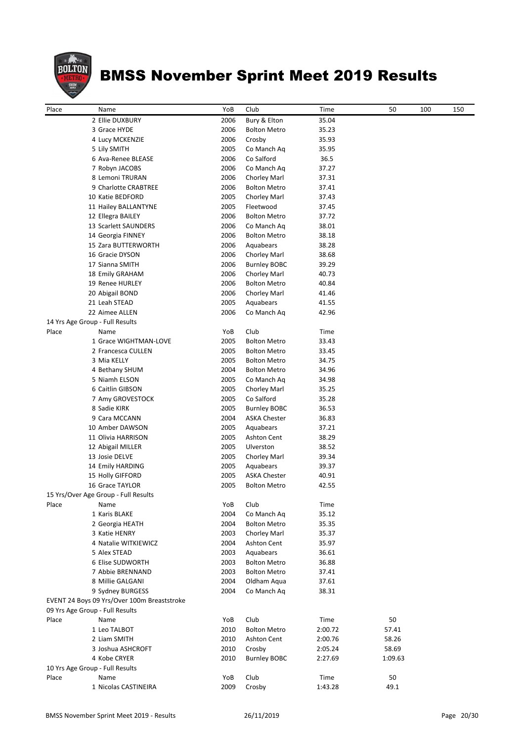

| Place<br>Name                        |                                             | YoB          | Club                      | Time           | 50      | 100 | 150 |
|--------------------------------------|---------------------------------------------|--------------|---------------------------|----------------|---------|-----|-----|
|                                      |                                             |              |                           |                |         |     |     |
|                                      | 2 Ellie DUXBURY                             | 2006<br>2006 | Bury & Elton              | 35.04          |         |     |     |
|                                      | 3 Grace HYDE                                | 2006         | <b>Bolton Metro</b>       | 35.23<br>35.93 |         |     |     |
|                                      | 4 Lucy MCKENZIE                             | 2005         | Crosby                    | 35.95          |         |     |     |
|                                      | 5 Lily SMITH<br>6 Ava-Renee BLEASE          | 2006         | Co Manch Aq<br>Co Salford | 36.5           |         |     |     |
|                                      | 7 Robyn JACOBS                              | 2006         | Co Manch Aq               | 37.27          |         |     |     |
|                                      | 8 Lemoni TRURAN                             | 2006         | Chorley Marl              | 37.31          |         |     |     |
|                                      | 9 Charlotte CRABTREE                        | 2006         | <b>Bolton Metro</b>       | 37.41          |         |     |     |
|                                      | 10 Katie BEDFORD                            | 2005         | Chorley Marl              | 37.43          |         |     |     |
|                                      | 11 Hailey BALLANTYNE                        | 2005         | Fleetwood                 | 37.45          |         |     |     |
|                                      | 12 Ellegra BAILEY                           | 2006         | <b>Bolton Metro</b>       | 37.72          |         |     |     |
|                                      | 13 Scarlett SAUNDERS                        | 2006         | Co Manch Aq               | 38.01          |         |     |     |
|                                      | 14 Georgia FINNEY                           | 2006         | <b>Bolton Metro</b>       | 38.18          |         |     |     |
|                                      | 15 Zara BUTTERWORTH                         | 2006         | Aquabears                 | 38.28          |         |     |     |
|                                      | 16 Gracie DYSON                             | 2006         | Chorley Marl              | 38.68          |         |     |     |
|                                      | 17 Sianna SMITH                             | 2006         | <b>Burnley BOBC</b>       | 39.29          |         |     |     |
|                                      | 18 Emily GRAHAM                             | 2006         | Chorley Marl              | 40.73          |         |     |     |
|                                      | 19 Renee HURLEY                             | 2006         | <b>Bolton Metro</b>       | 40.84          |         |     |     |
|                                      | 20 Abigail BOND                             | 2006         | Chorley Marl              | 41.46          |         |     |     |
|                                      | 21 Leah STEAD                               | 2005         | Aquabears                 | 41.55          |         |     |     |
|                                      | 22 Aimee ALLEN                              | 2006         | Co Manch Aq               | 42.96          |         |     |     |
| 14 Yrs Age Group - Full Results      |                                             |              |                           |                |         |     |     |
| Place<br>Name                        |                                             | YoB          | Club                      | Time           |         |     |     |
|                                      | 1 Grace WIGHTMAN-LOVE                       | 2005         | <b>Bolton Metro</b>       | 33.43          |         |     |     |
|                                      | 2 Francesca CULLEN                          | 2005         | <b>Bolton Metro</b>       | 33.45          |         |     |     |
|                                      | 3 Mia KELLY                                 | 2005         | <b>Bolton Metro</b>       | 34.75          |         |     |     |
|                                      | 4 Bethany SHUM                              | 2004         | <b>Bolton Metro</b>       | 34.96          |         |     |     |
|                                      | 5 Niamh ELSON                               | 2005         | Co Manch Aq               | 34.98          |         |     |     |
|                                      | 6 Caitlin GIBSON                            | 2005         | Chorley Marl              | 35.25          |         |     |     |
|                                      | 7 Amy GROVESTOCK                            | 2005         | Co Salford                | 35.28          |         |     |     |
|                                      | 8 Sadie KIRK                                | 2005         | <b>Burnley BOBC</b>       | 36.53          |         |     |     |
|                                      | 9 Cara MCCANN                               | 2004         | <b>ASKA Chester</b>       | 36.83          |         |     |     |
|                                      | 10 Amber DAWSON                             | 2005         | Aquabears                 | 37.21          |         |     |     |
|                                      | 11 Olivia HARRISON                          | 2005         | <b>Ashton Cent</b>        | 38.29          |         |     |     |
|                                      | 12 Abigail MILLER                           | 2005         | Ulverston                 | 38.52          |         |     |     |
|                                      | 13 Josie DELVE                              | 2005         | Chorley Marl              | 39.34          |         |     |     |
|                                      | 14 Emily HARDING                            | 2005         | Aquabears                 | 39.37          |         |     |     |
|                                      | 15 Holly GIFFORD                            | 2005         | <b>ASKA Chester</b>       | 40.91          |         |     |     |
|                                      | 16 Grace TAYLOR                             | 2005         | <b>Bolton Metro</b>       | 42.55          |         |     |     |
| 15 Yrs/Over Age Group - Full Results |                                             |              |                           |                |         |     |     |
| Place<br>Name                        |                                             | YoB          | Club                      | Time           |         |     |     |
|                                      | 1 Karis BLAKE                               | 2004         | Co Manch Aq               | 35.12          |         |     |     |
|                                      | 2 Georgia HEATH                             | 2004         | <b>Bolton Metro</b>       | 35.35          |         |     |     |
|                                      | 3 Katie HENRY                               | 2003         | Chorley Marl              | 35.37          |         |     |     |
|                                      | 4 Natalie WITKIEWICZ                        | 2004         | <b>Ashton Cent</b>        | 35.97          |         |     |     |
|                                      | 5 Alex STEAD                                | 2003         | Aquabears                 | 36.61          |         |     |     |
|                                      | 6 Elise SUDWORTH                            | 2003         | <b>Bolton Metro</b>       | 36.88          |         |     |     |
|                                      | 7 Abbie BRENNAND                            | 2003         | <b>Bolton Metro</b>       | 37.41          |         |     |     |
|                                      | 8 Millie GALGANI                            | 2004         | Oldham Aqua               | 37.61          |         |     |     |
|                                      | 9 Sydney BURGESS                            | 2004         | Co Manch Aq               | 38.31          |         |     |     |
|                                      | EVENT 24 Boys 09 Yrs/Over 100m Breaststroke |              |                           |                |         |     |     |
| 09 Yrs Age Group - Full Results      |                                             |              |                           |                |         |     |     |
| Place<br>Name                        |                                             | YoB          | Club                      | Time           | 50      |     |     |
|                                      | 1 Leo TALBOT                                | 2010         | <b>Bolton Metro</b>       | 2:00.72        | 57.41   |     |     |
|                                      | 2 Liam SMITH                                | 2010         | Ashton Cent               | 2:00.76        | 58.26   |     |     |
|                                      | 3 Joshua ASHCROFT                           | 2010         | Crosby                    | 2:05.24        | 58.69   |     |     |
|                                      | 4 Kobe CRYER                                | 2010         | <b>Burnley BOBC</b>       | 2:27.69        | 1:09.63 |     |     |
| 10 Yrs Age Group - Full Results      |                                             |              |                           |                |         |     |     |
| Place<br>Name                        |                                             | YoB          | Club                      | Time           | 50      |     |     |
|                                      | 1 Nicolas CASTINEIRA                        | 2009         | Crosby                    | 1:43.28        | 49.1    |     |     |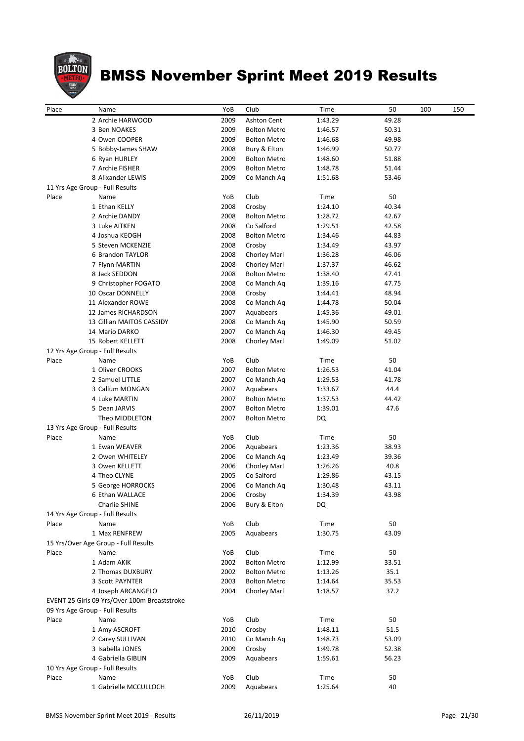

| Place | Name                                         | YoB          | Club                | Time            | 50    | 100 | 150 |
|-------|----------------------------------------------|--------------|---------------------|-----------------|-------|-----|-----|
|       | 2 Archie HARWOOD                             | 2009         | Ashton Cent         | 1:43.29         | 49.28 |     |     |
|       | 3 Ben NOAKES                                 | 2009         | <b>Bolton Metro</b> | 1:46.57         | 50.31 |     |     |
|       | 4 Owen COOPER                                | 2009         | <b>Bolton Metro</b> | 1:46.68         | 49.98 |     |     |
|       | 5 Bobby-James SHAW                           | 2008         | Bury & Elton        | 1:46.99         | 50.77 |     |     |
|       | 6 Ryan HURLEY                                | 2009         | <b>Bolton Metro</b> | 1:48.60         | 51.88 |     |     |
|       | 7 Archie FISHER                              | 2009         | <b>Bolton Metro</b> | 1:48.78         | 51.44 |     |     |
|       | 8 Alixander LEWIS                            | 2009         |                     | 1:51.68         | 53.46 |     |     |
|       |                                              |              | Co Manch Aq         |                 |       |     |     |
|       | 11 Yrs Age Group - Full Results              |              |                     |                 |       |     |     |
| Place | Name<br>1 Ethan KELLY                        | YoB          | Club                | Time<br>1:24.10 | 50    |     |     |
|       | 2 Archie DANDY                               | 2008<br>2008 | Crosby              |                 | 40.34 |     |     |
|       |                                              |              | <b>Bolton Metro</b> | 1:28.72         | 42.67 |     |     |
|       | 3 Luke AITKEN<br>4 Joshua KEOGH              | 2008         | Co Salford          | 1:29.51         | 42.58 |     |     |
|       |                                              | 2008<br>2008 | <b>Bolton Metro</b> | 1:34.46         | 44.83 |     |     |
|       | 5 Steven MCKENZIE                            |              | Crosby              | 1:34.49         | 43.97 |     |     |
|       | 6 Brandon TAYLOR                             | 2008         | Chorley Marl        | 1:36.28         | 46.06 |     |     |
|       | 7 Flynn MARTIN                               | 2008         | Chorley Marl        | 1:37.37         | 46.62 |     |     |
|       | 8 Jack SEDDON                                | 2008         | <b>Bolton Metro</b> | 1:38.40         | 47.41 |     |     |
|       | 9 Christopher FOGATO                         | 2008         | Co Manch Ag         | 1:39.16         | 47.75 |     |     |
|       | 10 Oscar DONNELLY                            | 2008         | Crosby              | 1:44.41         | 48.94 |     |     |
|       | 11 Alexander ROWE                            | 2008         | Co Manch Aq         | 1:44.78         | 50.04 |     |     |
|       | 12 James RICHARDSON                          | 2007         | Aquabears           | 1:45.36         | 49.01 |     |     |
|       | 13 Cillian MAITOS CASSIDY                    | 2008         | Co Manch Aq         | 1:45.90         | 50.59 |     |     |
|       | 14 Mario DARKO                               | 2007         | Co Manch Aq         | 1:46.30         | 49.45 |     |     |
|       | 15 Robert KELLETT                            | 2008         | Chorley Marl        | 1:49.09         | 51.02 |     |     |
|       | 12 Yrs Age Group - Full Results              |              |                     |                 |       |     |     |
| Place | Name                                         | YoB          | Club                | Time            | 50    |     |     |
|       | 1 Oliver CROOKS                              | 2007         | <b>Bolton Metro</b> | 1:26.53         | 41.04 |     |     |
|       | 2 Samuel LITTLE                              | 2007         | Co Manch Ag         | 1:29.53         | 41.78 |     |     |
|       | 3 Callum MONGAN                              | 2007         | Aquabears           | 1:33.67         | 44.4  |     |     |
|       | 4 Luke MARTIN                                | 2007         | <b>Bolton Metro</b> | 1:37.53         | 44.42 |     |     |
|       | 5 Dean JARVIS                                | 2007         | <b>Bolton Metro</b> | 1:39.01         | 47.6  |     |     |
|       | Theo MIDDLETON                               | 2007         | <b>Bolton Metro</b> | DQ              |       |     |     |
|       | 13 Yrs Age Group - Full Results              |              |                     |                 |       |     |     |
| Place | Name                                         | YoB          | Club                | Time            | 50    |     |     |
|       | 1 Ewan WEAVER                                | 2006         | Aquabears           | 1:23.36         | 38.93 |     |     |
|       | 2 Owen WHITELEY                              | 2006         | Co Manch Aq         | 1:23.49         | 39.36 |     |     |
|       | 3 Owen KELLETT                               | 2006         | Chorley Marl        | 1:26.26         | 40.8  |     |     |
|       | 4 Theo CLYNE                                 | 2005         | Co Salford          | 1:29.86         | 43.15 |     |     |
|       | 5 George HORROCKS                            | 2006         | Co Manch Aq         | 1:30.48         | 43.11 |     |     |
|       | 6 Ethan WALLACE                              | 2006         | Crosby              | 1:34.39         | 43.98 |     |     |
|       | Charlie SHINE                                | 2006         | Bury & Elton        | DQ              |       |     |     |
|       | 14 Yrs Age Group - Full Results              |              |                     |                 |       |     |     |
| Place | Name                                         | YoB          | Club                | Time            | 50    |     |     |
|       | 1 Max RENFREW                                | 2005         | Aquabears           | 1:30.75         | 43.09 |     |     |
|       | 15 Yrs/Over Age Group - Full Results         |              |                     |                 |       |     |     |
| Place | Name                                         | YoB          | Club                | Time            | 50    |     |     |
|       | 1 Adam AKIK                                  | 2002         | <b>Bolton Metro</b> | 1:12.99         | 33.51 |     |     |
|       | 2 Thomas DUXBURY                             | 2002         | <b>Bolton Metro</b> | 1:13.26         | 35.1  |     |     |
|       | 3 Scott PAYNTER                              | 2003         | <b>Bolton Metro</b> | 1:14.64         | 35.53 |     |     |
|       | 4 Joseph ARCANGELO                           | 2004         | Chorley Marl        | 1:18.57         | 37.2  |     |     |
|       | EVENT 25 Girls 09 Yrs/Over 100m Breaststroke |              |                     |                 |       |     |     |
|       | 09 Yrs Age Group - Full Results              |              |                     |                 |       |     |     |
| Place | Name                                         | YoB          | Club                | Time            | 50    |     |     |
|       | 1 Amy ASCROFT                                | 2010         | Crosby              | 1:48.11         | 51.5  |     |     |
|       | 2 Carey SULLIVAN                             | 2010         | Co Manch Aq         | 1:48.73         | 53.09 |     |     |
|       | 3 Isabella JONES                             | 2009         | Crosby              | 1:49.78         | 52.38 |     |     |
|       | 4 Gabriella GIBLIN                           | 2009         | Aquabears           | 1:59.61         | 56.23 |     |     |
|       | 10 Yrs Age Group - Full Results              |              |                     |                 |       |     |     |
| Place | Name                                         | YoB          | Club                | Time            | 50    |     |     |
|       | 1 Gabrielle MCCULLOCH                        | 2009         | Aquabears           | 1:25.64         | 40    |     |     |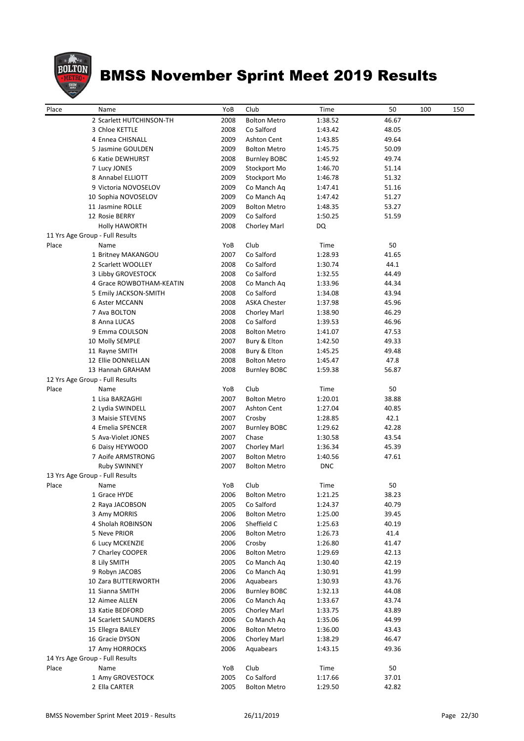

| Place | Name                            | YoB  | Club                | Time       | 50    | 100 | 150 |
|-------|---------------------------------|------|---------------------|------------|-------|-----|-----|
|       | 2 Scarlett HUTCHINSON-TH        | 2008 | <b>Bolton Metro</b> | 1:38.52    | 46.67 |     |     |
|       | 3 Chloe KETTLE                  | 2008 | Co Salford          | 1:43.42    | 48.05 |     |     |
|       | 4 Ennea CHISNALL                | 2009 | <b>Ashton Cent</b>  | 1:43.85    | 49.64 |     |     |
|       | 5 Jasmine GOULDEN               | 2009 | <b>Bolton Metro</b> | 1:45.75    | 50.09 |     |     |
|       |                                 | 2008 |                     |            | 49.74 |     |     |
|       | 6 Katie DEWHURST                |      | <b>Burnley BOBC</b> | 1:45.92    |       |     |     |
|       | 7 Lucy JONES                    | 2009 | Stockport Mo        | 1:46.70    | 51.14 |     |     |
|       | 8 Annabel ELLIOTT               | 2009 | Stockport Mo        | 1:46.78    | 51.32 |     |     |
|       | 9 Victoria NOVOSELOV            | 2009 | Co Manch Ag         | 1:47.41    | 51.16 |     |     |
|       | 10 Sophia NOVOSELOV             | 2009 | Co Manch Aq         | 1:47.42    | 51.27 |     |     |
|       | 11 Jasmine ROLLE                | 2009 | <b>Bolton Metro</b> | 1:48.35    | 53.27 |     |     |
|       | 12 Rosie BERRY                  | 2009 | Co Salford          | 1:50.25    | 51.59 |     |     |
|       | <b>Holly HAWORTH</b>            | 2008 | Chorley Marl        | DQ         |       |     |     |
|       | 11 Yrs Age Group - Full Results |      |                     |            |       |     |     |
| Place | Name                            | YoB  | Club                | Time       | 50    |     |     |
|       | 1 Britney MAKANGOU              | 2007 | Co Salford          | 1:28.93    | 41.65 |     |     |
|       | 2 Scarlett WOOLLEY              | 2008 | Co Salford          | 1:30.74    | 44.1  |     |     |
|       | 3 Libby GROVESTOCK              | 2008 | Co Salford          | 1:32.55    | 44.49 |     |     |
|       | 4 Grace ROWBOTHAM-KEATIN        | 2008 | Co Manch Aq         | 1:33.96    | 44.34 |     |     |
|       | 5 Emily JACKSON-SMITH           | 2008 | Co Salford          | 1:34.08    | 43.94 |     |     |
|       | 6 Aster MCCANN                  | 2008 | <b>ASKA Chester</b> | 1:37.98    | 45.96 |     |     |
|       | 7 Ava BOLTON                    | 2008 | Chorley Marl        | 1:38.90    | 46.29 |     |     |
|       | 8 Anna LUCAS                    | 2008 | Co Salford          | 1:39.53    | 46.96 |     |     |
|       | 9 Emma COULSON                  | 2008 | <b>Bolton Metro</b> | 1:41.07    | 47.53 |     |     |
|       | 10 Molly SEMPLE                 | 2007 | Bury & Elton        | 1:42.50    | 49.33 |     |     |
|       | 11 Rayne SMITH                  | 2008 | Bury & Elton        | 1:45.25    | 49.48 |     |     |
|       | 12 Ellie DONNELLAN              | 2008 | <b>Bolton Metro</b> | 1:45.47    | 47.8  |     |     |
|       | 13 Hannah GRAHAM                | 2008 | <b>Burnley BOBC</b> | 1:59.38    | 56.87 |     |     |
|       | 12 Yrs Age Group - Full Results |      |                     |            |       |     |     |
| Place | Name                            | YoB  | Club                | Time       | 50    |     |     |
|       | 1 Lisa BARZAGHI                 | 2007 | <b>Bolton Metro</b> | 1:20.01    | 38.88 |     |     |
|       | 2 Lydia SWINDELL                | 2007 | <b>Ashton Cent</b>  | 1:27.04    | 40.85 |     |     |
|       | 3 Maisie STEVENS                | 2007 | Crosby              | 1:28.85    | 42.1  |     |     |
|       | 4 Emelia SPENCER                | 2007 | <b>Burnley BOBC</b> | 1:29.62    | 42.28 |     |     |
|       | 5 Ava-Violet JONES              | 2007 | Chase               | 1:30.58    | 43.54 |     |     |
|       | 6 Daisy HEYWOOD                 | 2007 | Chorley Marl        | 1:36.34    | 45.39 |     |     |
|       | 7 Aoife ARMSTRONG               | 2007 | <b>Bolton Metro</b> | 1:40.56    | 47.61 |     |     |
|       | Ruby SWINNEY                    | 2007 | <b>Bolton Metro</b> | <b>DNC</b> |       |     |     |
|       | 13 Yrs Age Group - Full Results |      |                     |            |       |     |     |
| Place | Name                            | YoB  | Club                | Time       | 50    |     |     |
|       | 1 Grace HYDE                    | 2006 | <b>Bolton Metro</b> | 1:21.25    | 38.23 |     |     |
|       | 2 Raya JACOBSON                 | 2005 | Co Salford          | 1:24.37    | 40.79 |     |     |
|       | 3 Amy MORRIS                    | 2006 | <b>Bolton Metro</b> | 1:25.00    | 39.45 |     |     |
|       | 4 Sholah ROBINSON               | 2006 | Sheffield C         | 1:25.63    | 40.19 |     |     |
|       | 5 Neve PRIOR                    | 2006 | <b>Bolton Metro</b> | 1:26.73    | 41.4  |     |     |
|       | 6 Lucy MCKENZIE                 | 2006 | Crosby              | 1:26.80    | 41.47 |     |     |
|       | 7 Charley COOPER                | 2006 | <b>Bolton Metro</b> | 1:29.69    | 42.13 |     |     |
|       | 8 Lily SMITH                    | 2005 | Co Manch Ag         | 1:30.40    | 42.19 |     |     |
|       | 9 Robyn JACOBS                  | 2006 | Co Manch Aq         | 1:30.91    | 41.99 |     |     |
|       | 10 Zara BUTTERWORTH             | 2006 | Aquabears           | 1:30.93    | 43.76 |     |     |
|       | 11 Sianna SMITH                 | 2006 | <b>Burnley BOBC</b> | 1:32.13    | 44.08 |     |     |
|       | 12 Aimee ALLEN                  | 2006 | Co Manch Aq         | 1:33.67    | 43.74 |     |     |
|       | 13 Katie BEDFORD                | 2005 | Chorley Marl        | 1:33.75    | 43.89 |     |     |
|       | 14 Scarlett SAUNDERS            | 2006 | Co Manch Aq         | 1:35.06    | 44.99 |     |     |
|       | 15 Ellegra BAILEY               | 2006 | <b>Bolton Metro</b> | 1:36.00    | 43.43 |     |     |
|       | 16 Gracie DYSON                 | 2006 | Chorley Marl        | 1:38.29    | 46.47 |     |     |
|       | 17 Amy HORROCKS                 | 2006 | Aquabears           | 1:43.15    | 49.36 |     |     |
|       | 14 Yrs Age Group - Full Results |      |                     |            |       |     |     |
| Place | Name                            | YoB  | Club                | Time       | 50    |     |     |
|       | 1 Amy GROVESTOCK                | 2005 | Co Salford          | 1:17.66    | 37.01 |     |     |
|       | 2 Ella CARTER                   | 2005 | <b>Bolton Metro</b> | 1:29.50    | 42.82 |     |     |
|       |                                 |      |                     |            |       |     |     |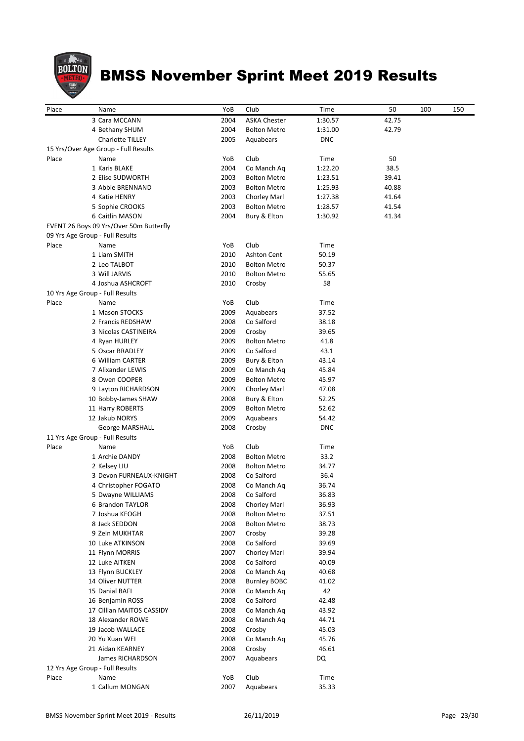

| Place | Name                                                                       | YoB         | Club                | Time          | 50    | 100 | 150 |
|-------|----------------------------------------------------------------------------|-------------|---------------------|---------------|-------|-----|-----|
|       | 3 Cara MCCANN                                                              | 2004        | <b>ASKA Chester</b> | 1:30.57       | 42.75 |     |     |
|       | 4 Bethany SHUM                                                             | 2004        | <b>Bolton Metro</b> | 1:31.00       | 42.79 |     |     |
|       | <b>Charlotte TILLEY</b>                                                    | 2005        | Aquabears           | <b>DNC</b>    |       |     |     |
|       | 15 Yrs/Over Age Group - Full Results                                       |             |                     |               |       |     |     |
| Place | Name                                                                       | YoB         | Club                | Time          | 50    |     |     |
|       | 1 Karis BLAKE                                                              | 2004        | Co Manch Aq         | 1:22.20       | 38.5  |     |     |
|       | 2 Elise SUDWORTH                                                           | 2003        | <b>Bolton Metro</b> | 1:23.51       | 39.41 |     |     |
|       | 3 Abbie BRENNAND                                                           | 2003        | <b>Bolton Metro</b> | 1:25.93       | 40.88 |     |     |
|       | 4 Katie HENRY                                                              | 2003        | Chorley Marl        | 1:27.38       | 41.64 |     |     |
|       | 5 Sophie CROOKS<br>6 Caitlin MASON                                         | 2003        | <b>Bolton Metro</b> | 1:28.57       | 41.54 |     |     |
|       |                                                                            | 2004        | Bury & Elton        | 1:30.92       | 41.34 |     |     |
|       | EVENT 26 Boys 09 Yrs/Over 50m Butterfly<br>09 Yrs Age Group - Full Results |             |                     |               |       |     |     |
| Place | Name                                                                       | YoB         | Club                | Time          |       |     |     |
|       | 1 Liam SMITH                                                               | 2010        | <b>Ashton Cent</b>  | 50.19         |       |     |     |
|       | 2 Leo TALBOT                                                               | 2010        | <b>Bolton Metro</b> | 50.37         |       |     |     |
|       | 3 Will JARVIS                                                              | 2010        | <b>Bolton Metro</b> | 55.65         |       |     |     |
|       | 4 Joshua ASHCROFT                                                          | 2010        | Crosby              | 58            |       |     |     |
|       | 10 Yrs Age Group - Full Results                                            |             |                     |               |       |     |     |
| Place | Name                                                                       | YoB         | Club                | Time          |       |     |     |
|       | 1 Mason STOCKS                                                             | 2009        | Aquabears           | 37.52         |       |     |     |
|       | 2 Francis REDSHAW                                                          | 2008        | Co Salford          | 38.18         |       |     |     |
|       | 3 Nicolas CASTINEIRA                                                       | 2009        | Crosby              | 39.65         |       |     |     |
|       | 4 Ryan HURLEY                                                              | 2009        | <b>Bolton Metro</b> | 41.8          |       |     |     |
|       | 5 Oscar BRADLEY                                                            | 2009        | Co Salford          | 43.1          |       |     |     |
|       | 6 William CARTER                                                           | 2009        | Bury & Elton        | 43.14         |       |     |     |
|       | 7 Alixander LEWIS                                                          | 2009        | Co Manch Ag         | 45.84         |       |     |     |
|       | 8 Owen COOPER                                                              | 2009        | <b>Bolton Metro</b> | 45.97         |       |     |     |
|       | 9 Layton RICHARDSON                                                        | 2009        | Chorley Marl        | 47.08         |       |     |     |
|       | 10 Bobby-James SHAW                                                        | 2008        | Bury & Elton        | 52.25         |       |     |     |
|       | 11 Harry ROBERTS                                                           | 2009        | <b>Bolton Metro</b> | 52.62         |       |     |     |
|       | 12 Jakub NORYS                                                             | 2009        | Aquabears           | 54.42         |       |     |     |
|       | George MARSHALL                                                            | 2008        | Crosby              | <b>DNC</b>    |       |     |     |
|       | 11 Yrs Age Group - Full Results                                            |             |                     |               |       |     |     |
| Place | Name                                                                       | YoB         | Club                | Time          |       |     |     |
|       | 1 Archie DANDY                                                             | 2008        | <b>Bolton Metro</b> | 33.2          |       |     |     |
|       | 2 Kelsey LIU                                                               | 2008        | <b>Bolton Metro</b> | 34.77         |       |     |     |
|       | 3 Devon FURNEAUX-KNIGHT                                                    | 2008        | Co Salford          | 36.4          |       |     |     |
|       | 4 Christopher FOGATO                                                       | 2008        | Co Manch Ag         | 36.74         |       |     |     |
|       | 5 Dwayne WILLIAMS                                                          | 2008        | Co Salford          | 36.83         |       |     |     |
|       | 6 Brandon TAYLOR                                                           | 2008        | Chorley Marl        | 36.93         |       |     |     |
|       | 7 Joshua KEOGH                                                             | 2008        | <b>Bolton Metro</b> | 37.51         |       |     |     |
|       | 8 Jack SEDDON                                                              | 2008        | <b>Bolton Metro</b> | 38.73         |       |     |     |
|       | 9 Zein MUKHTAR                                                             | 2007        | Crosby              | 39.28         |       |     |     |
|       | 10 Luke ATKINSON                                                           | 2008        | Co Salford          | 39.69         |       |     |     |
|       | 11 Flynn MORRIS                                                            | 2007        | Chorley Marl        | 39.94         |       |     |     |
|       | 12 Luke AITKEN                                                             | 2008        | Co Salford          | 40.09         |       |     |     |
|       | 13 Flynn BUCKLEY                                                           | 2008        | Co Manch Aq         | 40.68         |       |     |     |
|       | 14 Oliver NUTTER                                                           | 2008        | <b>Burnley BOBC</b> | 41.02         |       |     |     |
|       | 15 Danial BAFI                                                             | 2008        | Co Manch Aq         | 42            |       |     |     |
|       | 16 Benjamin ROSS                                                           | 2008        | Co Salford          | 42.48         |       |     |     |
|       | 17 Cillian MAITOS CASSIDY                                                  | 2008        | Co Manch Aq         | 43.92         |       |     |     |
|       | 18 Alexander ROWE                                                          | 2008        | Co Manch Aq         | 44.71         |       |     |     |
|       | 19 Jacob WALLACE                                                           | 2008        | Crosby              | 45.03         |       |     |     |
|       | 20 Yu Xuan WEI                                                             | 2008        | Co Manch Aq         | 45.76         |       |     |     |
|       | 21 Aidan KEARNEY                                                           | 2008        | Crosby              | 46.61         |       |     |     |
|       | James RICHARDSON                                                           | 2007        | Aquabears           | DQ            |       |     |     |
|       | 12 Yrs Age Group - Full Results                                            |             |                     |               |       |     |     |
| Place | Name<br>1 Callum MONGAN                                                    | YoB<br>2007 | Club<br>Aquabears   | Time<br>35.33 |       |     |     |
|       |                                                                            |             |                     |               |       |     |     |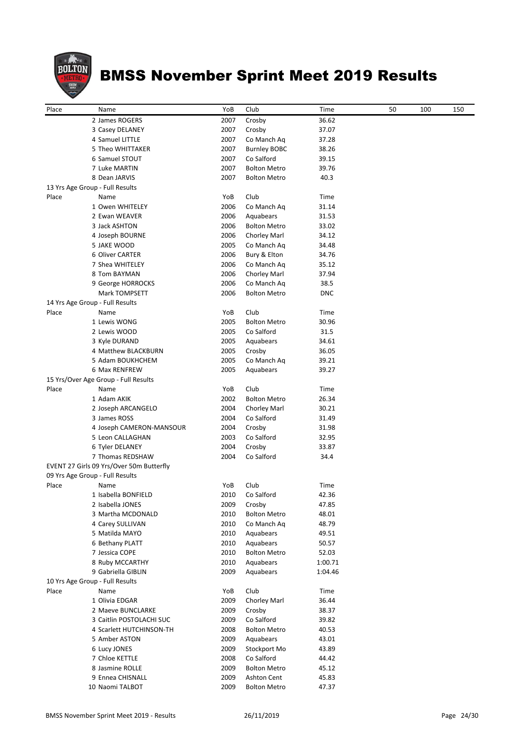

| Place | Name                                     | YoB  | Club                | Time       | 50 | 100 | 150 |
|-------|------------------------------------------|------|---------------------|------------|----|-----|-----|
|       | 2 James ROGERS                           | 2007 | Crosby              | 36.62      |    |     |     |
|       | 3 Casey DELANEY                          | 2007 | Crosby              | 37.07      |    |     |     |
|       | 4 Samuel LITTLE                          | 2007 | Co Manch Aq         | 37.28      |    |     |     |
|       | 5 Theo WHITTAKER                         | 2007 | <b>Burnley BOBC</b> | 38.26      |    |     |     |
|       | 6 Samuel STOUT                           | 2007 | Co Salford          | 39.15      |    |     |     |
|       | 7 Luke MARTIN                            | 2007 | <b>Bolton Metro</b> | 39.76      |    |     |     |
|       | 8 Dean JARVIS                            | 2007 | Bolton Metro        | 40.3       |    |     |     |
|       | 13 Yrs Age Group - Full Results          |      |                     |            |    |     |     |
| Place | Name                                     | YoB  | Club                | Time       |    |     |     |
|       | 1 Owen WHITELEY                          | 2006 | Co Manch Aq         | 31.14      |    |     |     |
|       | 2 Ewan WEAVER                            | 2006 | Aquabears           | 31.53      |    |     |     |
|       | 3 Jack ASHTON                            | 2006 | <b>Bolton Metro</b> | 33.02      |    |     |     |
|       | 4 Joseph BOURNE                          | 2006 | Chorley Marl        | 34.12      |    |     |     |
|       | 5 JAKE WOOD                              | 2005 | Co Manch Aq         | 34.48      |    |     |     |
|       | 6 Oliver CARTER                          | 2006 | Bury & Elton        | 34.76      |    |     |     |
|       | 7 Shea WHITELEY                          | 2006 | Co Manch Aq         | 35.12      |    |     |     |
|       | 8 Tom BAYMAN                             | 2006 | Chorley Marl        | 37.94      |    |     |     |
|       | 9 George HORROCKS                        | 2006 | Co Manch Ag         | 38.5       |    |     |     |
|       | Mark TOMPSETT                            | 2006 | <b>Bolton Metro</b> | <b>DNC</b> |    |     |     |
|       | 14 Yrs Age Group - Full Results          |      |                     |            |    |     |     |
| Place | Name                                     | YoB  | Club                | Time       |    |     |     |
|       | 1 Lewis WONG                             | 2005 | <b>Bolton Metro</b> | 30.96      |    |     |     |
|       | 2 Lewis WOOD                             | 2005 | Co Salford          | 31.5       |    |     |     |
|       | 3 Kyle DURAND                            | 2005 | Aquabears           | 34.61      |    |     |     |
|       | 4 Matthew BLACKBURN                      | 2005 | Crosby              | 36.05      |    |     |     |
|       | 5 Adam BOUKHCHEM                         | 2005 | Co Manch Aq         | 39.21      |    |     |     |
|       | 6 Max RENFREW                            | 2005 | Aquabears           | 39.27      |    |     |     |
|       | 15 Yrs/Over Age Group - Full Results     |      |                     |            |    |     |     |
| Place | Name                                     | YoB  | Club                | Time       |    |     |     |
|       | 1 Adam AKIK                              | 2002 | <b>Bolton Metro</b> | 26.34      |    |     |     |
|       | 2 Joseph ARCANGELO                       | 2004 | Chorley Marl        | 30.21      |    |     |     |
|       | 3 James ROSS                             | 2004 | Co Salford          | 31.49      |    |     |     |
|       | 4 Joseph CAMERON-MANSOUR                 | 2004 | Crosby              | 31.98      |    |     |     |
|       | 5 Leon CALLAGHAN                         | 2003 | Co Salford          | 32.95      |    |     |     |
|       | 6 Tyler DELANEY                          | 2004 | Crosby              | 33.87      |    |     |     |
|       | 7 Thomas REDSHAW                         | 2004 | Co Salford          | 34.4       |    |     |     |
|       | EVENT 27 Girls 09 Yrs/Over 50m Butterfly |      |                     |            |    |     |     |
|       | 09 Yrs Age Group - Full Results          |      |                     |            |    |     |     |
| Place | Name                                     | YoB  | Club                | Time       |    |     |     |
|       | 1 Isabella BONFIELD                      |      | 2010 Co Salford     | 42.36      |    |     |     |
|       | 2 Isabella JONES                         | 2009 | Crosby              | 47.85      |    |     |     |
|       | 3 Martha MCDONALD                        | 2010 | <b>Bolton Metro</b> | 48.01      |    |     |     |
|       | 4 Carey SULLIVAN                         | 2010 | Co Manch Aq         | 48.79      |    |     |     |
|       | 5 Matilda MAYO                           | 2010 | Aquabears           | 49.51      |    |     |     |
|       | 6 Bethany PLATT                          | 2010 | Aquabears           | 50.57      |    |     |     |
|       | 7 Jessica COPE                           | 2010 | <b>Bolton Metro</b> | 52.03      |    |     |     |
|       | 8 Ruby MCCARTHY                          | 2010 | Aquabears           | 1:00.71    |    |     |     |
|       | 9 Gabriella GIBLIN                       | 2009 | Aquabears           | 1:04.46    |    |     |     |
|       | 10 Yrs Age Group - Full Results          |      |                     |            |    |     |     |
| Place | Name                                     | YoB  | Club                | Time       |    |     |     |
|       | 1 Olivia EDGAR                           | 2009 | Chorley Marl        | 36.44      |    |     |     |
|       | 2 Maeve BUNCLARKE                        | 2009 | Crosby              | 38.37      |    |     |     |
|       | 3 Caitlin POSTOLACHI SUC                 | 2009 | Co Salford          | 39.82      |    |     |     |
|       | 4 Scarlett HUTCHINSON-TH                 | 2008 | <b>Bolton Metro</b> | 40.53      |    |     |     |
|       | 5 Amber ASTON                            | 2009 | Aquabears           | 43.01      |    |     |     |
|       | 6 Lucy JONES                             | 2009 | Stockport Mo        | 43.89      |    |     |     |
|       | 7 Chloe KETTLE                           | 2008 | Co Salford          | 44.42      |    |     |     |
|       | 8 Jasmine ROLLE                          | 2009 | <b>Bolton Metro</b> | 45.12      |    |     |     |
|       | 9 Ennea CHISNALL                         | 2009 | <b>Ashton Cent</b>  | 45.83      |    |     |     |
|       | 10 Naomi TALBOT                          | 2009 | <b>Bolton Metro</b> | 47.37      |    |     |     |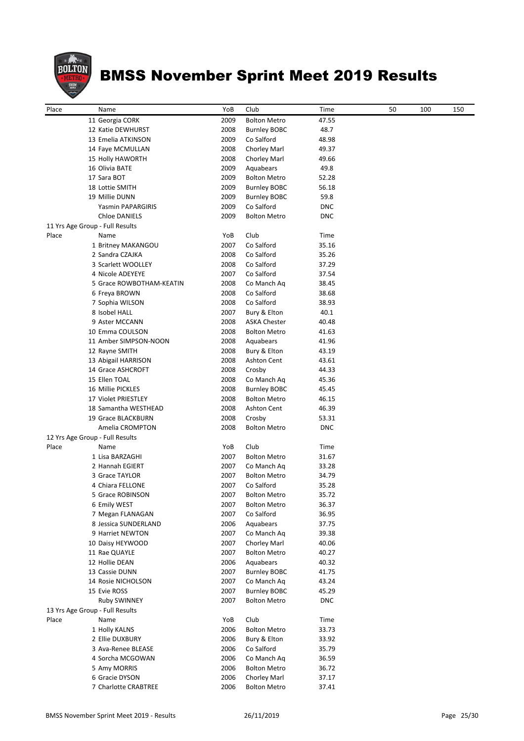

| Place | Name                            | YoB  | Club                | Time       | 50 | 100 | 150 |
|-------|---------------------------------|------|---------------------|------------|----|-----|-----|
|       | 11 Georgia CORK                 | 2009 | <b>Bolton Metro</b> | 47.55      |    |     |     |
|       | 12 Katie DEWHURST               | 2008 | <b>Burnley BOBC</b> | 48.7       |    |     |     |
|       | 13 Emelia ATKINSON              | 2009 | Co Salford          | 48.98      |    |     |     |
|       | 14 Faye MCMULLAN                | 2008 | Chorley Marl        | 49.37      |    |     |     |
|       | 15 Holly HAWORTH                | 2008 | Chorley Marl        | 49.66      |    |     |     |
|       | 16 Olivia BATE                  | 2009 | Aquabears           | 49.8       |    |     |     |
|       | 17 Sara BOT                     | 2009 | <b>Bolton Metro</b> | 52.28      |    |     |     |
|       | 18 Lottie SMITH                 | 2009 | <b>Burnley BOBC</b> | 56.18      |    |     |     |
|       | 19 Millie DUNN                  | 2009 | <b>Burnley BOBC</b> | 59.8       |    |     |     |
|       | Yasmin PAPARGIRIS               | 2009 | Co Salford          | <b>DNC</b> |    |     |     |
|       | <b>Chloe DANIELS</b>            | 2009 | <b>Bolton Metro</b> | <b>DNC</b> |    |     |     |
|       | 11 Yrs Age Group - Full Results |      |                     |            |    |     |     |
| Place | Name                            | YoB  | Club                | Time       |    |     |     |
|       | 1 Britney MAKANGOU              | 2007 | Co Salford          | 35.16      |    |     |     |
|       | 2 Sandra CZAJKA                 | 2008 | Co Salford          | 35.26      |    |     |     |
|       | 3 Scarlett WOOLLEY              | 2008 | Co Salford          | 37.29      |    |     |     |
|       | 4 Nicole ADEYEYE                | 2007 | Co Salford          | 37.54      |    |     |     |
|       | 5 Grace ROWBOTHAM-KEATIN        | 2008 | Co Manch Aq         | 38.45      |    |     |     |
|       | 6 Freya BROWN                   | 2008 | Co Salford          | 38.68      |    |     |     |
|       |                                 | 2008 | Co Salford          | 38.93      |    |     |     |
|       | 7 Sophia WILSON                 |      |                     |            |    |     |     |
|       | 8 Isobel HALL                   | 2007 | Bury & Elton        | 40.1       |    |     |     |
|       | 9 Aster MCCANN                  | 2008 | <b>ASKA Chester</b> | 40.48      |    |     |     |
|       | 10 Emma COULSON                 | 2008 | <b>Bolton Metro</b> | 41.63      |    |     |     |
|       | 11 Amber SIMPSON-NOON           | 2008 | Aquabears           | 41.96      |    |     |     |
|       | 12 Rayne SMITH                  | 2008 | Bury & Elton        | 43.19      |    |     |     |
|       | 13 Abigail HARRISON             | 2008 | <b>Ashton Cent</b>  | 43.61      |    |     |     |
|       | 14 Grace ASHCROFT               | 2008 | Crosby              | 44.33      |    |     |     |
|       | 15 Ellen TOAL                   | 2008 | Co Manch Aq         | 45.36      |    |     |     |
|       | 16 Millie PICKLES               | 2008 | <b>Burnley BOBC</b> | 45.45      |    |     |     |
|       | 17 Violet PRIESTLEY             | 2008 | <b>Bolton Metro</b> | 46.15      |    |     |     |
|       | 18 Samantha WESTHEAD            | 2008 | <b>Ashton Cent</b>  | 46.39      |    |     |     |
|       | 19 Grace BLACKBURN              | 2008 | Crosby              | 53.31      |    |     |     |
|       | Amelia CROMPTON                 | 2008 | <b>Bolton Metro</b> | <b>DNC</b> |    |     |     |
|       | 12 Yrs Age Group - Full Results |      |                     |            |    |     |     |
| Place | Name                            | YoB  | Club                | Time       |    |     |     |
|       | 1 Lisa BARZAGHI                 | 2007 | <b>Bolton Metro</b> | 31.67      |    |     |     |
|       | 2 Hannah EGIERT                 | 2007 | Co Manch Aq         | 33.28      |    |     |     |
|       | 3 Grace TAYLOR                  | 2007 | <b>Bolton Metro</b> | 34.79      |    |     |     |
|       | 4 Chiara FELLONE                | 2007 | Co Salford          | 35.28      |    |     |     |
|       | 5 Grace ROBINSON                | 2007 | <b>Bolton Metro</b> | 35.72      |    |     |     |
|       | 6 Emily WEST                    | 2007 | <b>Bolton Metro</b> | 36.37      |    |     |     |
|       | 7 Megan FLANAGAN                | 2007 | Co Salford          | 36.95      |    |     |     |
|       | 8 Jessica SUNDERLAND            | 2006 | Aquabears           | 37.75      |    |     |     |
|       | 9 Harriet NEWTON                | 2007 | Co Manch Aq         | 39.38      |    |     |     |
|       | 10 Daisy HEYWOOD                | 2007 | Chorley Marl        | 40.06      |    |     |     |
|       | 11 Rae QUAYLE                   | 2007 | <b>Bolton Metro</b> | 40.27      |    |     |     |
|       | 12 Hollie DEAN                  | 2006 | Aquabears           | 40.32      |    |     |     |
|       |                                 |      |                     |            |    |     |     |
|       | 13 Cassie DUNN                  | 2007 | <b>Burnley BOBC</b> | 41.75      |    |     |     |
|       | 14 Rosie NICHOLSON              | 2007 | Co Manch Aq         | 43.24      |    |     |     |
|       | 15 Evie ROSS                    | 2007 | <b>Burnley BOBC</b> | 45.29      |    |     |     |
|       | Ruby SWINNEY                    | 2007 | <b>Bolton Metro</b> | <b>DNC</b> |    |     |     |
|       | 13 Yrs Age Group - Full Results |      |                     |            |    |     |     |
| Place | Name                            | YoB  | Club                | Time       |    |     |     |
|       | 1 Holly KALNS                   | 2006 | <b>Bolton Metro</b> | 33.73      |    |     |     |
|       | 2 Ellie DUXBURY                 | 2006 | Bury & Elton        | 33.92      |    |     |     |
|       | 3 Ava-Renee BLEASE              | 2006 | Co Salford          | 35.79      |    |     |     |
|       | 4 Sorcha MCGOWAN                | 2006 | Co Manch Aq         | 36.59      |    |     |     |
|       | 5 Amy MORRIS                    | 2006 | <b>Bolton Metro</b> | 36.72      |    |     |     |
|       | 6 Gracie DYSON                  | 2006 | Chorley Marl        | 37.17      |    |     |     |
|       | 7 Charlotte CRABTREE            | 2006 | <b>Bolton Metro</b> | 37.41      |    |     |     |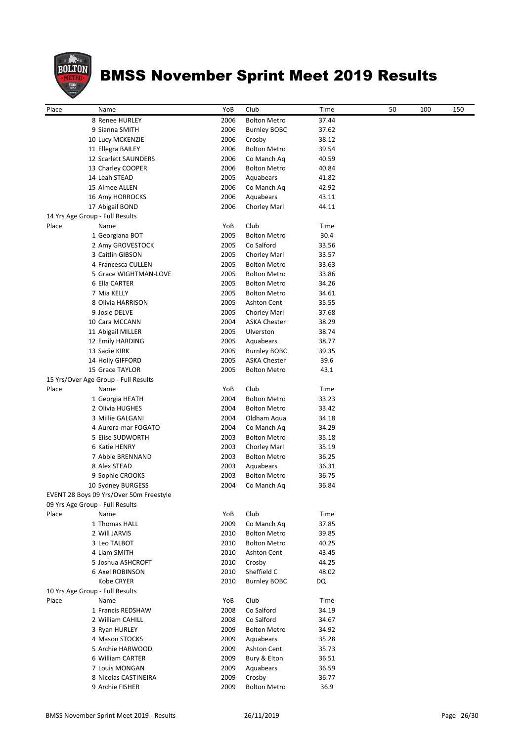

| Place | Name                                    | YoB  | Club                | Time  | 50 | 100 | 150 |
|-------|-----------------------------------------|------|---------------------|-------|----|-----|-----|
|       | 8 Renee HURLEY                          | 2006 | <b>Bolton Metro</b> | 37.44 |    |     |     |
|       | 9 Sianna SMITH                          | 2006 | <b>Burnley BOBC</b> | 37.62 |    |     |     |
|       | 10 Lucy MCKENZIE                        | 2006 | Crosby              | 38.12 |    |     |     |
|       | 11 Ellegra BAILEY                       | 2006 | <b>Bolton Metro</b> | 39.54 |    |     |     |
|       | 12 Scarlett SAUNDERS                    | 2006 | Co Manch Ag         | 40.59 |    |     |     |
|       | 13 Charley COOPER                       | 2006 | <b>Bolton Metro</b> | 40.84 |    |     |     |
|       | 14 Leah STEAD                           | 2005 | Aquabears           | 41.82 |    |     |     |
|       | 15 Aimee ALLEN                          | 2006 | Co Manch Aq         | 42.92 |    |     |     |
|       | 16 Amy HORROCKS                         | 2006 | Aquabears           | 43.11 |    |     |     |
|       | 17 Abigail BOND                         | 2006 | Chorley Marl        | 44.11 |    |     |     |
|       | 14 Yrs Age Group - Full Results         |      |                     |       |    |     |     |
| Place | Name                                    | YoB  | Club                | Time  |    |     |     |
|       | 1 Georgiana BOT                         | 2005 | <b>Bolton Metro</b> | 30.4  |    |     |     |
|       | 2 Amy GROVESTOCK                        | 2005 | Co Salford          | 33.56 |    |     |     |
|       | 3 Caitlin GIBSON                        | 2005 | Chorley Marl        | 33.57 |    |     |     |
|       | 4 Francesca CULLEN                      | 2005 | <b>Bolton Metro</b> | 33.63 |    |     |     |
|       | 5 Grace WIGHTMAN-LOVE                   | 2005 | <b>Bolton Metro</b> | 33.86 |    |     |     |
|       | 6 Ella CARTER                           | 2005 | <b>Bolton Metro</b> | 34.26 |    |     |     |
|       | 7 Mia KELLY                             | 2005 | <b>Bolton Metro</b> | 34.61 |    |     |     |
|       | 8 Olivia HARRISON                       | 2005 | <b>Ashton Cent</b>  | 35.55 |    |     |     |
|       | 9 Josie DELVE                           | 2005 | Chorley Marl        | 37.68 |    |     |     |
|       | 10 Cara MCCANN                          | 2004 | <b>ASKA Chester</b> | 38.29 |    |     |     |
|       | 11 Abigail MILLER                       | 2005 | Ulverston           | 38.74 |    |     |     |
|       | 12 Emily HARDING                        | 2005 | Aquabears           | 38.77 |    |     |     |
|       | 13 Sadie KIRK                           | 2005 | <b>Burnley BOBC</b> | 39.35 |    |     |     |
|       | 14 Holly GIFFORD                        | 2005 | <b>ASKA Chester</b> | 39.6  |    |     |     |
|       |                                         |      |                     |       |    |     |     |
|       | 15 Grace TAYLOR                         | 2005 | <b>Bolton Metro</b> | 43.1  |    |     |     |
|       | 15 Yrs/Over Age Group - Full Results    |      |                     |       |    |     |     |
| Place | Name                                    | YoB  | Club                | Time  |    |     |     |
|       | 1 Georgia HEATH                         | 2004 | <b>Bolton Metro</b> | 33.23 |    |     |     |
|       | 2 Olivia HUGHES                         | 2004 | <b>Bolton Metro</b> | 33.42 |    |     |     |
|       | 3 Millie GALGANI                        | 2004 | Oldham Aqua         | 34.18 |    |     |     |
|       | 4 Aurora-mar FOGATO                     | 2004 | Co Manch Ag         | 34.29 |    |     |     |
|       | 5 Elise SUDWORTH                        | 2003 | <b>Bolton Metro</b> | 35.18 |    |     |     |
|       | 6 Katie HENRY                           | 2003 | Chorley Marl        | 35.19 |    |     |     |
|       | 7 Abbie BRENNAND                        | 2003 | <b>Bolton Metro</b> | 36.25 |    |     |     |
|       | 8 Alex STEAD                            | 2003 | Aquabears           | 36.31 |    |     |     |
|       | 9 Sophie CROOKS                         | 2003 | <b>Bolton Metro</b> | 36.75 |    |     |     |
|       | 10 Sydney BURGESS                       | 2004 | Co Manch Aq         | 36.84 |    |     |     |
|       | EVENT 28 Boys 09 Yrs/Over 50m Freestyle |      |                     |       |    |     |     |
|       | 09 Yrs Age Group - Full Results         |      |                     |       |    |     |     |
| Place | Name                                    | YoB  | Club                | Time  |    |     |     |
|       | 1 Thomas HALL                           | 2009 | Co Manch Aq         | 37.85 |    |     |     |
|       | 2 Will JARVIS                           | 2010 | <b>Bolton Metro</b> | 39.85 |    |     |     |
|       | 3 Leo TALBOT                            | 2010 | <b>Bolton Metro</b> | 40.25 |    |     |     |
|       | 4 Liam SMITH                            | 2010 | <b>Ashton Cent</b>  | 43.45 |    |     |     |
|       | 5 Joshua ASHCROFT                       | 2010 | Crosby              | 44.25 |    |     |     |
|       | 6 Axel ROBINSON                         | 2010 | Sheffield C         | 48.02 |    |     |     |
|       | Kobe CRYER                              | 2010 | <b>Burnley BOBC</b> | DQ    |    |     |     |
|       | 10 Yrs Age Group - Full Results         |      |                     |       |    |     |     |
| Place | Name                                    | YoB  | Club                | Time  |    |     |     |
|       | 1 Francis REDSHAW                       | 2008 | Co Salford          | 34.19 |    |     |     |
|       | 2 William CAHILL                        | 2008 | Co Salford          | 34.67 |    |     |     |
|       | 3 Ryan HURLEY                           | 2009 | <b>Bolton Metro</b> | 34.92 |    |     |     |
|       | 4 Mason STOCKS                          | 2009 | Aquabears           | 35.28 |    |     |     |
|       | 5 Archie HARWOOD                        | 2009 | <b>Ashton Cent</b>  | 35.73 |    |     |     |
|       |                                         |      |                     |       |    |     |     |
|       | 6 William CARTER                        | 2009 | Bury & Elton        | 36.51 |    |     |     |
|       | 7 Louis MONGAN                          | 2009 | Aquabears           | 36.59 |    |     |     |
|       | 8 Nicolas CASTINEIRA                    | 2009 | Crosby              | 36.77 |    |     |     |
|       | 9 Archie FISHER                         | 2009 | <b>Bolton Metro</b> | 36.9  |    |     |     |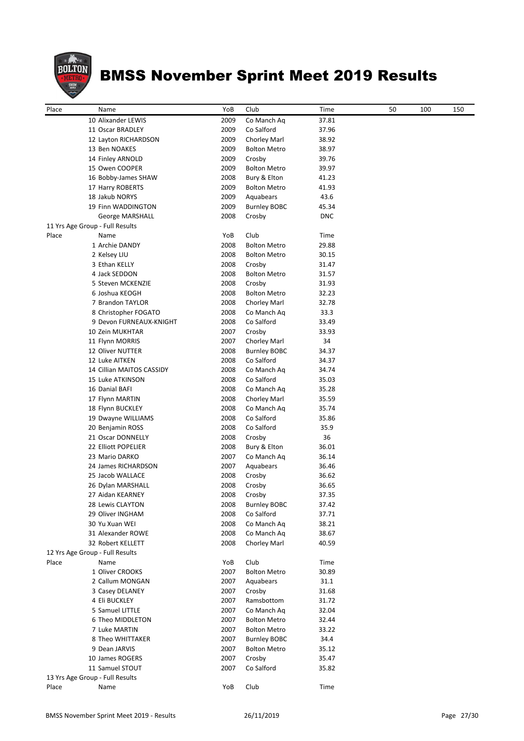

| Place | Name                            | YoB  | Club                | Time       | 50 | 100 | 150 |
|-------|---------------------------------|------|---------------------|------------|----|-----|-----|
|       | 10 Alixander LEWIS              | 2009 | Co Manch Aq         | 37.81      |    |     |     |
|       | 11 Oscar BRADLEY                | 2009 | Co Salford          | 37.96      |    |     |     |
|       | 12 Layton RICHARDSON            | 2009 | Chorley Marl        | 38.92      |    |     |     |
|       | 13 Ben NOAKES                   | 2009 | <b>Bolton Metro</b> | 38.97      |    |     |     |
|       | 14 Finley ARNOLD                | 2009 | Crosby              | 39.76      |    |     |     |
|       | 15 Owen COOPER                  | 2009 | <b>Bolton Metro</b> | 39.97      |    |     |     |
|       | 16 Bobby-James SHAW             | 2008 | Bury & Elton        | 41.23      |    |     |     |
|       | 17 Harry ROBERTS                | 2009 | <b>Bolton Metro</b> | 41.93      |    |     |     |
|       | 18 Jakub NORYS                  | 2009 | Aquabears           | 43.6       |    |     |     |
|       | 19 Finn WADDINGTON              | 2009 | <b>Burnley BOBC</b> | 45.34      |    |     |     |
|       | George MARSHALL                 | 2008 | Crosby              | <b>DNC</b> |    |     |     |
|       | 11 Yrs Age Group - Full Results |      |                     |            |    |     |     |
| Place | Name                            | YoB  | Club                | Time       |    |     |     |
|       | 1 Archie DANDY                  | 2008 | <b>Bolton Metro</b> | 29.88      |    |     |     |
|       | 2 Kelsey LIU                    | 2008 | <b>Bolton Metro</b> | 30.15      |    |     |     |
|       | 3 Ethan KELLY                   | 2008 | Crosby              | 31.47      |    |     |     |
|       | 4 Jack SEDDON                   | 2008 | <b>Bolton Metro</b> | 31.57      |    |     |     |
|       | 5 Steven MCKENZIE               | 2008 | Crosby              | 31.93      |    |     |     |
|       | 6 Joshua KEOGH                  | 2008 | <b>Bolton Metro</b> | 32.23      |    |     |     |
|       | 7 Brandon TAYLOR                | 2008 | Chorley Marl        | 32.78      |    |     |     |
|       | 8 Christopher FOGATO            | 2008 | Co Manch Aq         | 33.3       |    |     |     |
|       | 9 Devon FURNEAUX-KNIGHT         | 2008 | Co Salford          | 33.49      |    |     |     |
|       | 10 Zein MUKHTAR                 | 2007 | Crosby              | 33.93      |    |     |     |
|       | 11 Flynn MORRIS                 | 2007 | Chorley Marl        | 34         |    |     |     |
|       | 12 Oliver NUTTER                | 2008 | <b>Burnley BOBC</b> | 34.37      |    |     |     |
|       | 12 Luke AITKEN                  | 2008 | Co Salford          | 34.37      |    |     |     |
|       | 14 Cillian MAITOS CASSIDY       | 2008 | Co Manch Aq         | 34.74      |    |     |     |
|       | 15 Luke ATKINSON                | 2008 | Co Salford          | 35.03      |    |     |     |
|       | 16 Danial BAFI                  | 2008 | Co Manch Aq         | 35.28      |    |     |     |
|       | 17 Flynn MARTIN                 | 2008 | Chorley Marl        | 35.59      |    |     |     |
|       | 18 Flynn BUCKLEY                | 2008 | Co Manch Aq         | 35.74      |    |     |     |
|       | 19 Dwayne WILLIAMS              | 2008 | Co Salford          | 35.86      |    |     |     |
|       | 20 Benjamin ROSS                | 2008 | Co Salford          | 35.9       |    |     |     |
|       | 21 Oscar DONNELLY               | 2008 | Crosby              | 36         |    |     |     |
|       | 22 Elliott POPELIER             | 2008 | Bury & Elton        | 36.01      |    |     |     |
|       | 23 Mario DARKO                  | 2007 | Co Manch Ag         | 36.14      |    |     |     |
|       | 24 James RICHARDSON             | 2007 | Aquabears           | 36.46      |    |     |     |
|       | 25 Jacob WALLACE                | 2008 | Crosby              | 36.62      |    |     |     |
|       | 26 Dylan MARSHALL               | 2008 | Crosby              | 36.65      |    |     |     |
|       | 27 Aidan KEARNEY                | 2008 | Crosby              | 37.35      |    |     |     |
|       | 28 Lewis CLAYTON                | 2008 | <b>Burnley BOBC</b> | 37.42      |    |     |     |
|       | 29 Oliver INGHAM                | 2008 | Co Salford          | 37.71      |    |     |     |
|       | 30 Yu Xuan WEI                  | 2008 | Co Manch Aq         | 38.21      |    |     |     |
|       | 31 Alexander ROWE               | 2008 | Co Manch Aq         | 38.67      |    |     |     |
|       | 32 Robert KELLETT               | 2008 | Chorley Marl        | 40.59      |    |     |     |
|       | 12 Yrs Age Group - Full Results |      |                     |            |    |     |     |
| Place | Name                            | YoB  | Club                | Time       |    |     |     |
|       | 1 Oliver CROOKS                 | 2007 | <b>Bolton Metro</b> | 30.89      |    |     |     |
|       | 2 Callum MONGAN                 | 2007 | Aquabears           | 31.1       |    |     |     |
|       | 3 Casey DELANEY                 | 2007 | Crosby              | 31.68      |    |     |     |
|       | 4 Eli BUCKLEY                   | 2007 | Ramsbottom          | 31.72      |    |     |     |
|       | 5 Samuel LITTLE                 | 2007 | Co Manch Aq         | 32.04      |    |     |     |
|       | 6 Theo MIDDLETON                | 2007 | <b>Bolton Metro</b> | 32.44      |    |     |     |
|       | 7 Luke MARTIN                   | 2007 | <b>Bolton Metro</b> | 33.22      |    |     |     |
|       | 8 Theo WHITTAKER                | 2007 | <b>Burnley BOBC</b> | 34.4       |    |     |     |
|       | 9 Dean JARVIS                   | 2007 | <b>Bolton Metro</b> | 35.12      |    |     |     |
|       | 10 James ROGERS                 | 2007 | Crosby              | 35.47      |    |     |     |
|       | 11 Samuel STOUT                 | 2007 | Co Salford          | 35.82      |    |     |     |
|       | 13 Yrs Age Group - Full Results |      |                     |            |    |     |     |
| Place | Name                            | YoB  | Club                | Time       |    |     |     |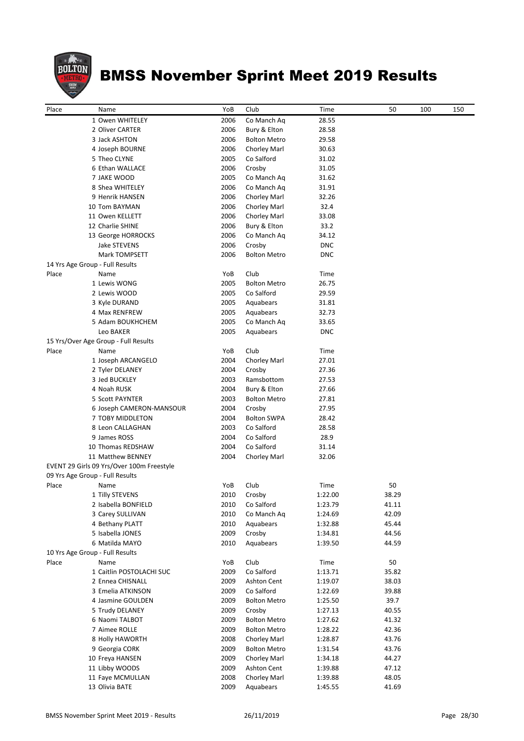

| Place | Name                                      | YoB  | Club                | Time       | 50    | 100 | 150 |
|-------|-------------------------------------------|------|---------------------|------------|-------|-----|-----|
|       | 1 Owen WHITELEY                           | 2006 | Co Manch Aq         | 28.55      |       |     |     |
|       | 2 Oliver CARTER                           | 2006 | Bury & Elton        | 28.58      |       |     |     |
|       | 3 Jack ASHTON                             | 2006 | <b>Bolton Metro</b> | 29.58      |       |     |     |
|       | 4 Joseph BOURNE                           | 2006 | Chorley Marl        | 30.63      |       |     |     |
|       | 5 Theo CLYNE                              | 2005 | Co Salford          | 31.02      |       |     |     |
|       | 6 Ethan WALLACE                           | 2006 | Crosby              | 31.05      |       |     |     |
|       | 7 JAKE WOOD                               | 2005 | Co Manch Aq         | 31.62      |       |     |     |
|       | 8 Shea WHITELEY                           | 2006 | Co Manch Aq         | 31.91      |       |     |     |
|       | 9 Henrik HANSEN                           | 2006 | Chorley Marl        | 32.26      |       |     |     |
|       | 10 Tom BAYMAN                             | 2006 | <b>Chorley Marl</b> | 32.4       |       |     |     |
|       | 11 Owen KELLETT                           | 2006 | Chorley Marl        | 33.08      |       |     |     |
|       | 12 Charlie SHINE                          | 2006 | Bury & Elton        | 33.2       |       |     |     |
|       | 13 George HORROCKS                        | 2006 | Co Manch Aq         | 34.12      |       |     |     |
|       | Jake STEVENS                              | 2006 | Crosby              | <b>DNC</b> |       |     |     |
|       | Mark TOMPSETT                             | 2006 | <b>Bolton Metro</b> | <b>DNC</b> |       |     |     |
|       | 14 Yrs Age Group - Full Results           |      |                     |            |       |     |     |
| Place | Name                                      | YoB  | Club                | Time       |       |     |     |
|       | 1 Lewis WONG                              | 2005 | <b>Bolton Metro</b> | 26.75      |       |     |     |
|       | 2 Lewis WOOD                              | 2005 | Co Salford          | 29.59      |       |     |     |
|       | 3 Kyle DURAND                             | 2005 | Aquabears           | 31.81      |       |     |     |
|       | 4 Max RENFREW                             | 2005 | Aquabears           | 32.73      |       |     |     |
|       | 5 Adam BOUKHCHEM                          | 2005 | Co Manch Aq         | 33.65      |       |     |     |
|       | Leo BAKER                                 | 2005 | Aquabears           | <b>DNC</b> |       |     |     |
|       | 15 Yrs/Over Age Group - Full Results      |      |                     |            |       |     |     |
| Place | Name                                      | YoB  | Club                | Time       |       |     |     |
|       | 1 Joseph ARCANGELO                        | 2004 | Chorley Marl        | 27.01      |       |     |     |
|       | 2 Tyler DELANEY                           | 2004 | Crosby              | 27.36      |       |     |     |
|       | 3 Jed BUCKLEY                             | 2003 | Ramsbottom          | 27.53      |       |     |     |
|       | 4 Noah RUSK                               | 2004 | Bury & Elton        | 27.66      |       |     |     |
|       | 5 Scott PAYNTER                           | 2003 | <b>Bolton Metro</b> | 27.81      |       |     |     |
|       | 6 Joseph CAMERON-MANSOUR                  | 2004 | Crosby              | 27.95      |       |     |     |
|       | 7 TOBY MIDDLETON                          | 2004 | <b>Bolton SWPA</b>  | 28.42      |       |     |     |
|       | 8 Leon CALLAGHAN                          | 2003 | Co Salford          | 28.58      |       |     |     |
|       | 9 James ROSS                              | 2004 | Co Salford          | 28.9       |       |     |     |
|       | 10 Thomas REDSHAW                         | 2004 | Co Salford          | 31.14      |       |     |     |
|       | 11 Matthew BENNEY                         | 2004 | <b>Chorley Marl</b> | 32.06      |       |     |     |
|       | EVENT 29 Girls 09 Yrs/Over 100m Freestyle |      |                     |            |       |     |     |
|       | 09 Yrs Age Group - Full Results           |      |                     |            |       |     |     |
| Place | Name                                      | YoB  | Club                | Time       | 50    |     |     |
|       | 1 Tilly STEVENS                           |      | 2010 Crosby         | 1:22.00    | 38.29 |     |     |
|       | 2 Isabella BONFIELD                       | 2010 | Co Salford          | 1:23.79    | 41.11 |     |     |
|       | 3 Carey SULLIVAN                          | 2010 | Co Manch Aq         | 1:24.69    | 42.09 |     |     |
|       | 4 Bethany PLATT                           | 2010 | Aquabears           | 1:32.88    | 45.44 |     |     |
|       | 5 Isabella JONES                          | 2009 | Crosby              | 1:34.81    | 44.56 |     |     |
|       | 6 Matilda MAYO                            | 2010 | Aquabears           | 1:39.50    | 44.59 |     |     |
|       | 10 Yrs Age Group - Full Results           |      |                     |            |       |     |     |
| Place | Name                                      | YoB  | Club                | Time       | 50    |     |     |
|       | 1 Caitlin POSTOLACHI SUC                  | 2009 | Co Salford          | 1:13.71    | 35.82 |     |     |
|       | 2 Ennea CHISNALL                          | 2009 | Ashton Cent         | 1:19.07    | 38.03 |     |     |
|       | 3 Emelia ATKINSON                         | 2009 | Co Salford          | 1:22.69    | 39.88 |     |     |
|       | 4 Jasmine GOULDEN                         | 2009 | <b>Bolton Metro</b> | 1:25.50    | 39.7  |     |     |
|       | 5 Trudy DELANEY                           | 2009 | Crosby              | 1:27.13    | 40.55 |     |     |
|       | 6 Naomi TALBOT                            | 2009 | <b>Bolton Metro</b> | 1:27.62    | 41.32 |     |     |
|       | 7 Aimee ROLLE                             | 2009 | <b>Bolton Metro</b> | 1:28.22    | 42.36 |     |     |
|       | 8 Holly HAWORTH                           | 2008 | Chorley Marl        | 1:28.87    | 43.76 |     |     |
|       | 9 Georgia CORK                            | 2009 | <b>Bolton Metro</b> | 1:31.54    | 43.76 |     |     |
|       | 10 Freya HANSEN                           | 2009 | Chorley Marl        | 1:34.18    | 44.27 |     |     |
|       | 11 Libby WOODS                            | 2009 | <b>Ashton Cent</b>  | 1:39.88    | 47.12 |     |     |
|       | 11 Faye MCMULLAN                          | 2008 | Chorley Marl        | 1:39.88    | 48.05 |     |     |
|       | 13 Olivia BATE                            | 2009 | Aquabears           | 1:45.55    | 41.69 |     |     |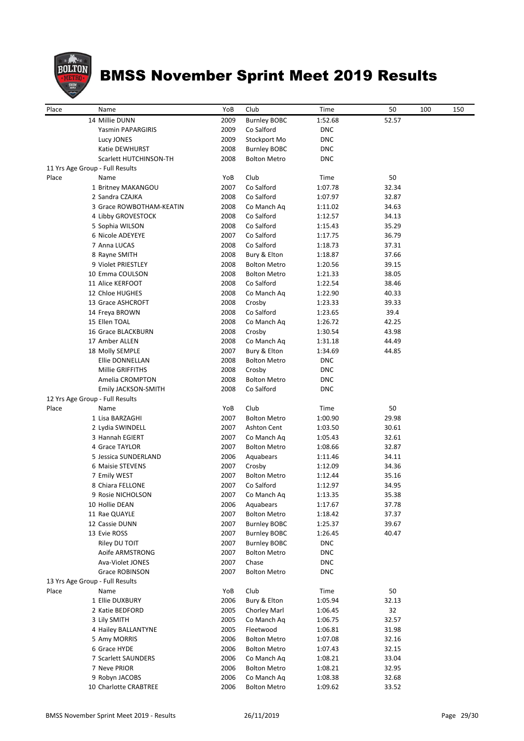

| Place | Name                             | YoB          | Club                      | Time               | 50             | 100 | 150 |
|-------|----------------------------------|--------------|---------------------------|--------------------|----------------|-----|-----|
|       | 14 Millie DUNN                   | 2009         | <b>Burnley BOBC</b>       | 1:52.68            | 52.57          |     |     |
|       | Yasmin PAPARGIRIS                | 2009         | Co Salford                | <b>DNC</b>         |                |     |     |
|       | Lucy JONES                       | 2009         | Stockport Mo              | <b>DNC</b>         |                |     |     |
|       | Katie DEWHURST                   | 2008         | <b>Burnley BOBC</b>       | <b>DNC</b>         |                |     |     |
|       | Scarlett HUTCHINSON-TH           | 2008         | <b>Bolton Metro</b>       | <b>DNC</b>         |                |     |     |
|       | 11 Yrs Age Group - Full Results  |              |                           |                    |                |     |     |
| Place | Name                             | YoB          | Club                      | Time               | 50             |     |     |
|       | 1 Britney MAKANGOU               | 2007<br>2008 | Co Salford                | 1:07.78<br>1:07.97 | 32.34          |     |     |
|       | 2 Sandra CZAJKA                  | 2008         | Co Salford                |                    | 32.87          |     |     |
|       | 3 Grace ROWBOTHAM-KEATIN         |              | Co Manch Ag<br>Co Salford | 1:11.02            | 34.63          |     |     |
|       | 4 Libby GROVESTOCK               | 2008<br>2008 |                           | 1:12.57            | 34.13          |     |     |
|       | 5 Sophia WILSON                  | 2007         | Co Salford                | 1:15.43            | 35.29<br>36.79 |     |     |
|       | 6 Nicole ADEYEYE<br>7 Anna LUCAS | 2008         | Co Salford<br>Co Salford  | 1:17.75<br>1:18.73 | 37.31          |     |     |
|       | 8 Rayne SMITH                    | 2008         | Bury & Elton              | 1:18.87            | 37.66          |     |     |
|       | 9 Violet PRIESTLEY               | 2008         | <b>Bolton Metro</b>       |                    | 39.15          |     |     |
|       | 10 Emma COULSON                  | 2008         | <b>Bolton Metro</b>       | 1:20.56<br>1:21.33 | 38.05          |     |     |
|       | 11 Alice KERFOOT                 | 2008         | Co Salford                | 1:22.54            | 38.46          |     |     |
|       | 12 Chloe HUGHES                  | 2008         | Co Manch Aq               | 1:22.90            | 40.33          |     |     |
|       | 13 Grace ASHCROFT                | 2008         | Crosby                    | 1:23.33            | 39.33          |     |     |
|       | 14 Freya BROWN                   | 2008         | Co Salford                | 1:23.65            | 39.4           |     |     |
|       | 15 Ellen TOAL                    | 2008         | Co Manch Aq               | 1:26.72            | 42.25          |     |     |
|       | 16 Grace BLACKBURN               | 2008         | Crosby                    | 1:30.54            | 43.98          |     |     |
|       | 17 Amber ALLEN                   | 2008         | Co Manch Ag               | 1:31.18            | 44.49          |     |     |
|       | 18 Molly SEMPLE                  | 2007         | Bury & Elton              | 1:34.69            | 44.85          |     |     |
|       | Ellie DONNELLAN                  | 2008         | <b>Bolton Metro</b>       | <b>DNC</b>         |                |     |     |
|       | Millie GRIFFITHS                 | 2008         | Crosby                    | <b>DNC</b>         |                |     |     |
|       | Amelia CROMPTON                  | 2008         | <b>Bolton Metro</b>       | <b>DNC</b>         |                |     |     |
|       | Emily JACKSON-SMITH              | 2008         | Co Salford                | <b>DNC</b>         |                |     |     |
|       | 12 Yrs Age Group - Full Results  |              |                           |                    |                |     |     |
| Place | Name                             | YoB          | Club                      | Time               | 50             |     |     |
|       | 1 Lisa BARZAGHI                  | 2007         | <b>Bolton Metro</b>       | 1:00.90            | 29.98          |     |     |
|       | 2 Lydia SWINDELL                 | 2007         | Ashton Cent               | 1:03.50            | 30.61          |     |     |
|       | 3 Hannah EGIERT                  | 2007         | Co Manch Ag               | 1:05.43            | 32.61          |     |     |
|       | 4 Grace TAYLOR                   | 2007         | <b>Bolton Metro</b>       | 1:08.66            | 32.87          |     |     |
|       | 5 Jessica SUNDERLAND             | 2006         | Aquabears                 | 1:11.46            | 34.11          |     |     |
|       | 6 Maisie STEVENS                 | 2007         | Crosby                    | 1:12.09            | 34.36          |     |     |
|       | 7 Emily WEST                     | 2007         | <b>Bolton Metro</b>       | 1:12.44            | 35.16          |     |     |
|       | 8 Chiara FELLONE                 | 2007         | Co Salford                | 1:12.97            | 34.95          |     |     |
|       | 9 Rosie NICHOLSON                | 2007         | Co Manch Aq               | 1:13.35            | 35.38          |     |     |
|       | 10 Hollie DEAN                   | 2006         | Aquabears                 | 1:17.67            | 37.78          |     |     |
|       | 11 Rae QUAYLE                    | 2007         | <b>Bolton Metro</b>       | 1:18.42            | 37.37          |     |     |
|       | 12 Cassie DUNN                   | 2007         | <b>Burnley BOBC</b>       | 1:25.37            | 39.67          |     |     |
|       | 13 Evie ROSS                     | 2007         | <b>Burnley BOBC</b>       | 1:26.45            | 40.47          |     |     |
|       | Riley DU TOIT                    | 2007         | <b>Burnley BOBC</b>       | <b>DNC</b>         |                |     |     |
|       | Aoife ARMSTRONG                  | 2007         | <b>Bolton Metro</b>       | <b>DNC</b>         |                |     |     |
|       | Ava-Violet JONES                 | 2007         | Chase                     | <b>DNC</b>         |                |     |     |
|       | Grace ROBINSON                   | 2007         | <b>Bolton Metro</b>       | <b>DNC</b>         |                |     |     |
|       | 13 Yrs Age Group - Full Results  |              |                           |                    |                |     |     |
| Place | Name                             | YoB          | Club                      | Time               | 50             |     |     |
|       | 1 Ellie DUXBURY                  | 2006         | Bury & Elton              | 1:05.94            | 32.13          |     |     |
|       | 2 Katie BEDFORD                  | 2005         | Chorley Marl              | 1:06.45            | 32             |     |     |
|       | 3 Lily SMITH                     | 2005         | Co Manch Aq               | 1:06.75            | 32.57          |     |     |
|       | 4 Hailey BALLANTYNE              | 2005         | Fleetwood                 | 1:06.81            | 31.98          |     |     |
|       | 5 Amy MORRIS                     | 2006         | <b>Bolton Metro</b>       | 1:07.08            | 32.16          |     |     |
|       | 6 Grace HYDE                     | 2006         | <b>Bolton Metro</b>       | 1:07.43            | 32.15          |     |     |
|       | 7 Scarlett SAUNDERS              | 2006         | Co Manch Ag               | 1:08.21            | 33.04          |     |     |
|       | 7 Neve PRIOR                     | 2006         | <b>Bolton Metro</b>       | 1:08.21            | 32.95          |     |     |
|       | 9 Robyn JACOBS                   | 2006         | Co Manch Aq               | 1:08.38            | 32.68          |     |     |
|       | 10 Charlotte CRABTREE            | 2006         | <b>Bolton Metro</b>       | 1:09.62            | 33.52          |     |     |